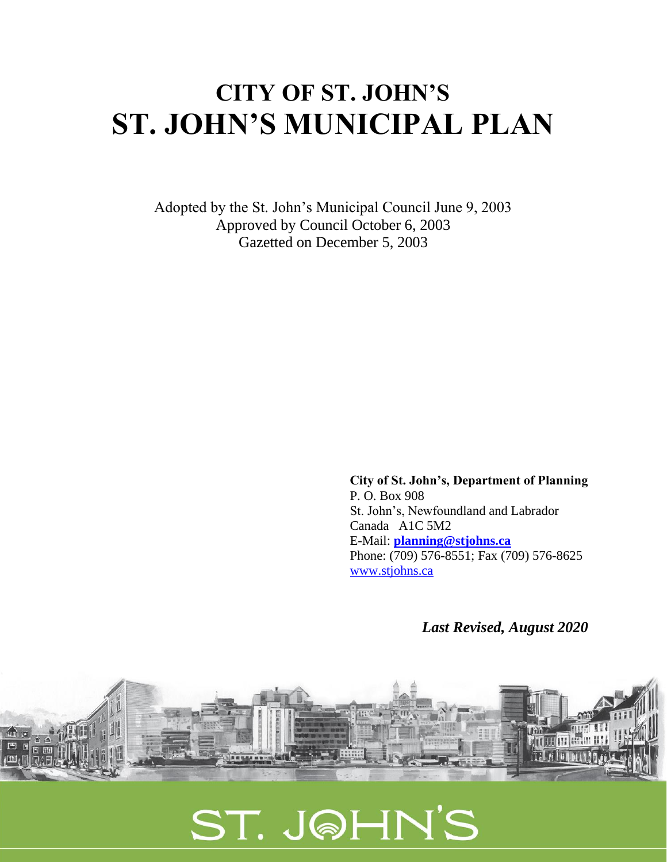# **CITY OF ST. JOHN'S ST. JOHN'S MUNICIPAL PLAN**

Adopted by the St. John's Municipal Council June 9, 2003 Approved by Council October 6, 2003 Gazetted on December 5, 2003

> **City of St. John's, Department of Planning** P. O. Box 908 St. John's, Newfoundland and Labrador Canada A1C 5M2 E-Mail: **[planning@stjohns.ca](mailto:planning@stjohns.ca)** Phone: (709) 576-8551; Fax (709) 576-8625 [www.stjohns.ca](http://www.stjohns.ca/)

> > *Last Revised, August 2020*



ST. J@HN'S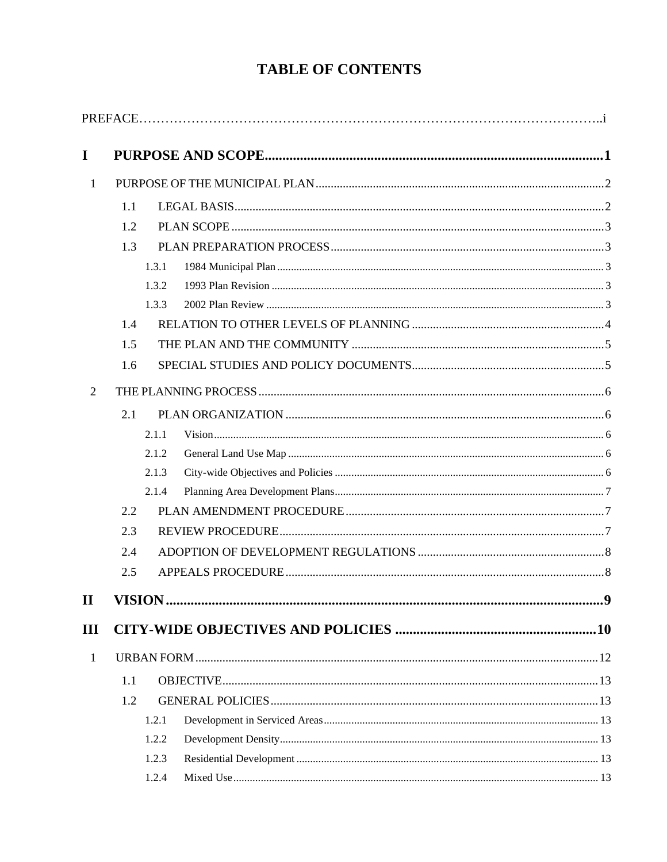# **TABLE OF CONTENTS**

| $\mathbf I$    |       |  |     |  |
|----------------|-------|--|-----|--|
| $\mathbf{1}$   |       |  |     |  |
|                | 1.1   |  |     |  |
|                | 1.2   |  |     |  |
|                | 1.3   |  |     |  |
|                | 1.3.1 |  |     |  |
|                | 1.3.2 |  |     |  |
|                | 1.3.3 |  |     |  |
|                | 1.4   |  |     |  |
|                | 1.5   |  |     |  |
|                | 1.6   |  |     |  |
| $\overline{2}$ |       |  |     |  |
|                | 2.1   |  |     |  |
|                | 2.1.1 |  |     |  |
|                | 2.1.2 |  |     |  |
|                | 2.1.3 |  |     |  |
|                | 2.1.4 |  |     |  |
|                | 2.2   |  |     |  |
|                | 2.3   |  |     |  |
|                | 2.4   |  |     |  |
|                | 2.5   |  |     |  |
| $\mathbf{II}$  |       |  | . 9 |  |
| III            |       |  |     |  |
| $\mathbf{1}$   |       |  |     |  |
|                | 1.1   |  |     |  |
|                | 1.2   |  |     |  |
|                | 1.2.1 |  |     |  |
|                | 1.2.2 |  |     |  |
|                | 1.2.3 |  |     |  |
|                | 1.2.4 |  |     |  |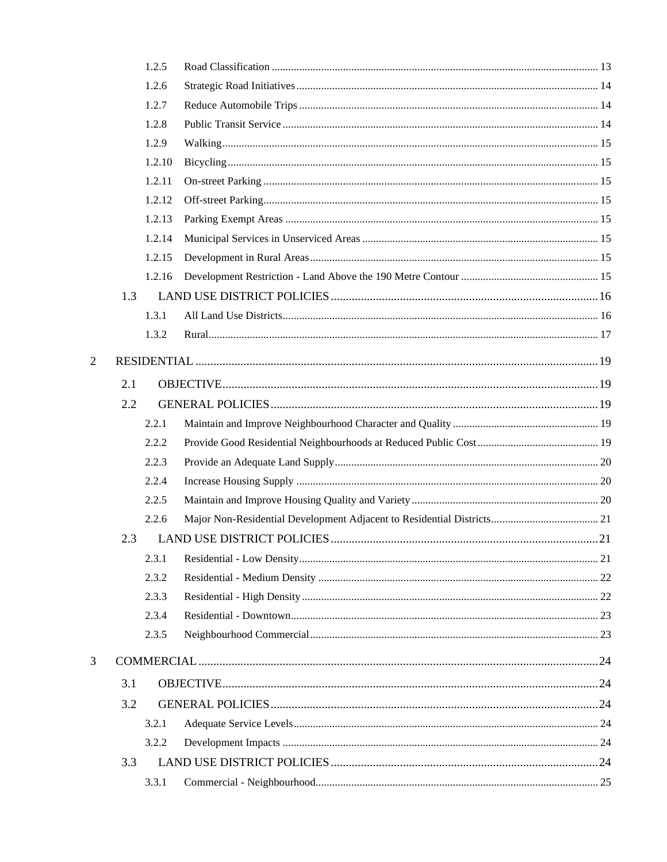|                |     | 1.2.5  |  |  |  |
|----------------|-----|--------|--|--|--|
|                |     | 1.2.6  |  |  |  |
|                |     | 1.2.7  |  |  |  |
|                |     | 1.2.8  |  |  |  |
|                |     | 1.2.9  |  |  |  |
|                |     | 1.2.10 |  |  |  |
|                |     | 1.2.11 |  |  |  |
|                |     | 1.2.12 |  |  |  |
|                |     | 1.2.13 |  |  |  |
|                |     | 1.2.14 |  |  |  |
|                |     | 1.2.15 |  |  |  |
|                |     | 1.2.16 |  |  |  |
|                | 1.3 |        |  |  |  |
|                |     | 1.3.1  |  |  |  |
|                |     | 1.3.2  |  |  |  |
| $\overline{2}$ |     |        |  |  |  |
|                | 2.1 |        |  |  |  |
|                | 2.2 |        |  |  |  |
|                |     | 2.2.1  |  |  |  |
|                |     | 2.2.2  |  |  |  |
|                |     | 2.2.3  |  |  |  |
|                |     | 2.2.4  |  |  |  |
|                |     | 2.2.5  |  |  |  |
|                |     | 2.2.6  |  |  |  |
|                | 2.3 |        |  |  |  |
|                |     | 2.3.1  |  |  |  |
|                |     | 2.3.2  |  |  |  |
|                |     | 2.3.3  |  |  |  |
|                |     | 2.3.4  |  |  |  |
|                |     | 2.3.5  |  |  |  |
| 3              |     |        |  |  |  |
|                | 3.1 |        |  |  |  |
|                | 3.2 |        |  |  |  |
|                |     | 3.2.1  |  |  |  |
|                |     | 3.2.2  |  |  |  |
|                | 3.3 |        |  |  |  |
|                |     | 3.3.1  |  |  |  |
|                |     |        |  |  |  |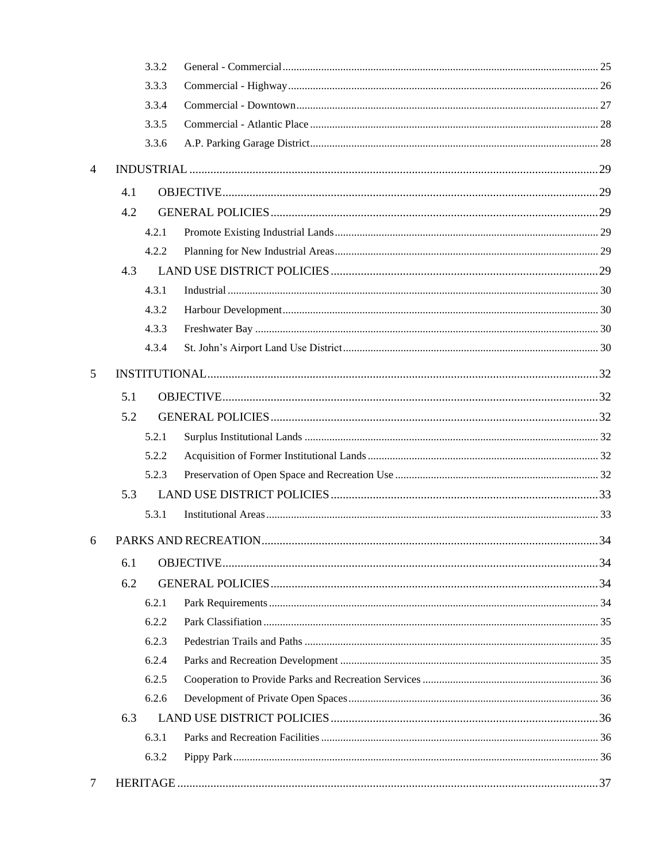|   |     | 3.3.2 |  |  |  |  |
|---|-----|-------|--|--|--|--|
|   |     | 3.3.3 |  |  |  |  |
|   |     | 3.3.4 |  |  |  |  |
|   |     | 3.3.5 |  |  |  |  |
|   |     | 3.3.6 |  |  |  |  |
| 4 |     |       |  |  |  |  |
|   | 4.1 |       |  |  |  |  |
|   | 4.2 |       |  |  |  |  |
|   |     | 4.2.1 |  |  |  |  |
|   |     | 4.2.2 |  |  |  |  |
|   | 4.3 |       |  |  |  |  |
|   |     | 4.3.1 |  |  |  |  |
|   |     | 4.3.2 |  |  |  |  |
|   |     | 4.3.3 |  |  |  |  |
|   |     | 4.3.4 |  |  |  |  |
| 5 |     |       |  |  |  |  |
|   | 5.1 |       |  |  |  |  |
|   | 5.2 |       |  |  |  |  |
|   |     | 5.2.1 |  |  |  |  |
|   |     | 5.2.2 |  |  |  |  |
|   |     | 5.2.3 |  |  |  |  |
|   | 5.3 |       |  |  |  |  |
|   |     | 5.3.1 |  |  |  |  |
| 6 |     |       |  |  |  |  |
|   | 6.1 |       |  |  |  |  |
|   | 6.2 |       |  |  |  |  |
|   |     | 6.2.1 |  |  |  |  |
|   |     | 6.2.2 |  |  |  |  |
|   |     | 6.2.3 |  |  |  |  |
|   |     | 6.2.4 |  |  |  |  |
|   |     | 6.2.5 |  |  |  |  |
|   |     | 6.2.6 |  |  |  |  |
|   | 6.3 |       |  |  |  |  |
|   |     | 6.3.1 |  |  |  |  |
|   |     | 6.3.2 |  |  |  |  |
| 7 |     |       |  |  |  |  |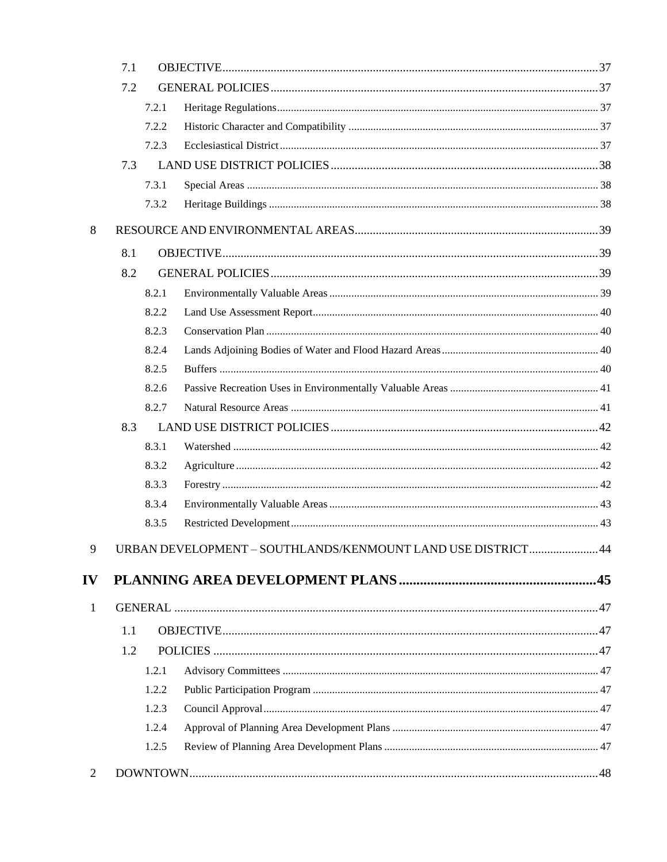|              | 7.1 |       |                                                             |  |  |  |
|--------------|-----|-------|-------------------------------------------------------------|--|--|--|
|              | 7.2 |       |                                                             |  |  |  |
|              |     | 7.2.1 |                                                             |  |  |  |
|              |     | 7.2.2 |                                                             |  |  |  |
|              |     | 7.2.3 |                                                             |  |  |  |
|              | 7.3 |       |                                                             |  |  |  |
|              |     | 7.3.1 |                                                             |  |  |  |
|              |     | 7.3.2 |                                                             |  |  |  |
| 8            |     |       |                                                             |  |  |  |
|              | 8.1 |       |                                                             |  |  |  |
|              | 8.2 |       |                                                             |  |  |  |
|              |     | 8.2.1 |                                                             |  |  |  |
|              |     | 8.2.2 |                                                             |  |  |  |
|              |     | 8.2.3 |                                                             |  |  |  |
|              |     | 8.2.4 |                                                             |  |  |  |
|              |     | 8.2.5 |                                                             |  |  |  |
|              |     | 8.2.6 |                                                             |  |  |  |
|              |     | 8.2.7 |                                                             |  |  |  |
|              | 8.3 |       |                                                             |  |  |  |
|              |     | 8.3.1 |                                                             |  |  |  |
|              |     | 8.3.2 |                                                             |  |  |  |
|              |     | 8.3.3 |                                                             |  |  |  |
|              |     | 8.3.4 |                                                             |  |  |  |
|              |     | 8.3.5 |                                                             |  |  |  |
| 9            |     |       | URBAN DEVELOPMENT - SOUTHLANDS/KENMOUNT LAND USE DISTRICT44 |  |  |  |
| IV           |     |       |                                                             |  |  |  |
| $\mathbf{1}$ |     |       |                                                             |  |  |  |
|              | 1.1 |       |                                                             |  |  |  |
|              | 1.2 |       |                                                             |  |  |  |
|              |     | 1.2.1 |                                                             |  |  |  |
|              |     | 1.2.2 |                                                             |  |  |  |
|              |     | 1.2.3 |                                                             |  |  |  |
|              |     | 1.2.4 |                                                             |  |  |  |
|              |     | 1.2.5 |                                                             |  |  |  |
| 2            |     |       |                                                             |  |  |  |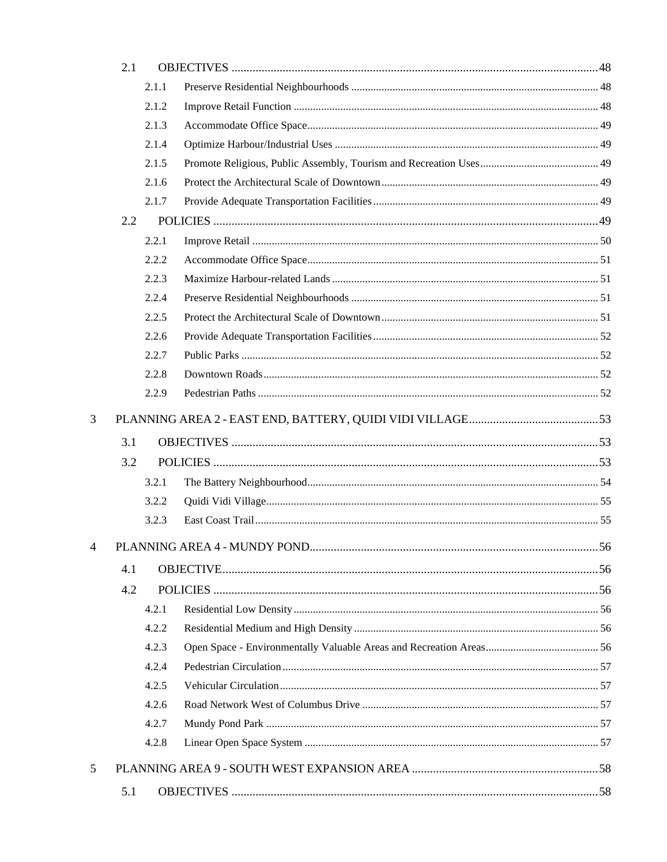|   | 2.1 |       |  |
|---|-----|-------|--|
|   |     | 2.1.1 |  |
|   |     | 2.1.2 |  |
|   |     | 2.1.3 |  |
|   |     | 2.1.4 |  |
|   |     | 2.1.5 |  |
|   |     | 2.1.6 |  |
|   |     | 2.1.7 |  |
|   | 2.2 |       |  |
|   |     | 2.2.1 |  |
|   |     | 2.2.2 |  |
|   |     | 2.2.3 |  |
|   |     | 2.2.4 |  |
|   |     | 2.2.5 |  |
|   |     | 2.2.6 |  |
|   |     | 2.2.7 |  |
|   |     | 2.2.8 |  |
|   |     | 2.2.9 |  |
| 3 |     |       |  |
|   | 3.1 |       |  |
|   | 3.2 |       |  |
|   |     | 3.2.1 |  |
|   |     | 3.2.2 |  |
|   |     | 3.2.3 |  |
|   |     |       |  |
|   | 4.1 |       |  |
|   | 4.2 |       |  |
|   |     | 4.2.1 |  |
|   |     | 4.2.2 |  |
|   |     | 4.2.3 |  |
|   |     | 4.2.4 |  |
|   |     | 4.2.5 |  |
|   |     | 4.2.6 |  |
|   |     | 4.2.7 |  |
|   |     | 4.2.8 |  |
| 5 |     |       |  |
|   |     |       |  |
|   | 5.1 |       |  |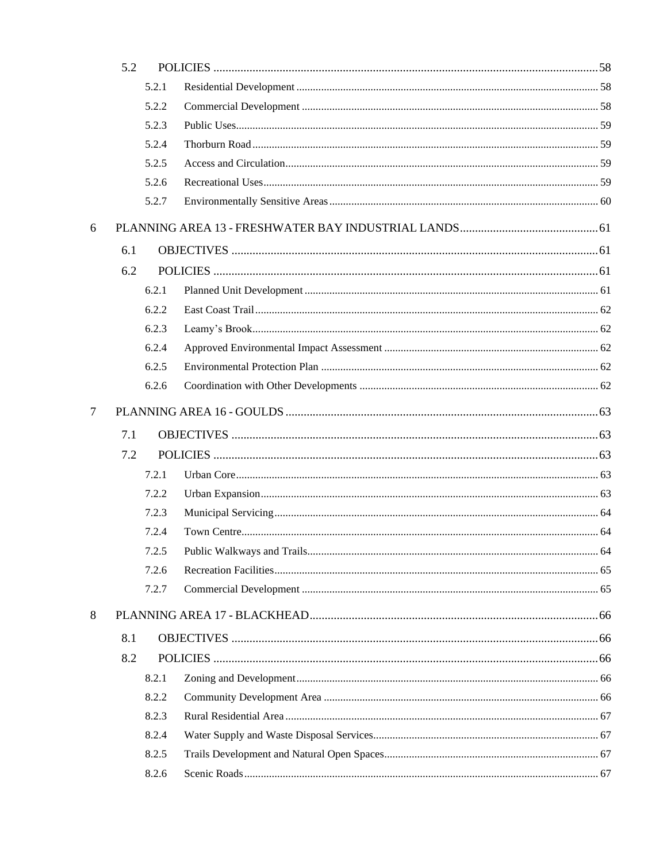|        | 5.2 |       |  |  |
|--------|-----|-------|--|--|
|        |     | 5.2.1 |  |  |
|        |     | 5.2.2 |  |  |
|        |     | 5.2.3 |  |  |
|        |     | 5.2.4 |  |  |
|        |     | 5.2.5 |  |  |
|        |     | 5.2.6 |  |  |
|        |     | 5.2.7 |  |  |
| 6      |     |       |  |  |
|        | 6.1 |       |  |  |
|        | 6.2 |       |  |  |
|        |     | 6.2.1 |  |  |
|        |     | 6.2.2 |  |  |
|        |     | 6.2.3 |  |  |
|        |     | 6.2.4 |  |  |
|        |     | 6.2.5 |  |  |
|        |     | 6.2.6 |  |  |
| $\tau$ |     |       |  |  |
|        | 7.1 |       |  |  |
|        | 7.2 |       |  |  |
|        |     | 7.2.1 |  |  |
|        |     | 7.2.2 |  |  |
|        |     | 7.2.3 |  |  |
|        |     | 7.2.4 |  |  |
|        |     | 7.2.5 |  |  |
|        |     | 7.2.6 |  |  |
|        |     | 7.2.7 |  |  |
| 8      |     |       |  |  |
|        | 8.1 |       |  |  |
|        | 8.2 |       |  |  |
|        |     | 8.2.1 |  |  |
|        |     | 8.2.2 |  |  |
|        |     | 8.2.3 |  |  |
|        |     | 8.2.4 |  |  |
|        |     | 8.2.5 |  |  |
|        |     | 8.2.6 |  |  |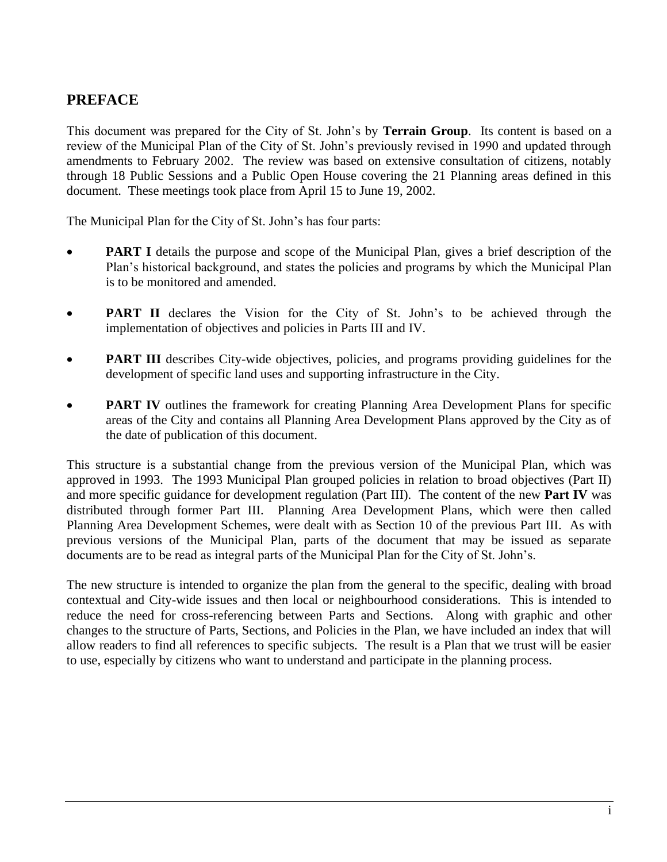# **PREFACE**

This document was prepared for the City of St. John's by **Terrain Group**. Its content is based on a review of the Municipal Plan of the City of St. John's previously revised in 1990 and updated through amendments to February 2002. The review was based on extensive consultation of citizens, notably through 18 Public Sessions and a Public Open House covering the 21 Planning areas defined in this document. These meetings took place from April 15 to June 19, 2002.

The Municipal Plan for the City of St. John's has four parts:

- **PART I** details the purpose and scope of the Municipal Plan, gives a brief description of the Plan's historical background, and states the policies and programs by which the Municipal Plan is to be monitored and amended.
- **PART II** declares the Vision for the City of St. John's to be achieved through the implementation of objectives and policies in Parts III and IV.
- **PART III** describes City-wide objectives, policies, and programs providing guidelines for the development of specific land uses and supporting infrastructure in the City.
- **PART IV** outlines the framework for creating Planning Area Development Plans for specific areas of the City and contains all Planning Area Development Plans approved by the City as of the date of publication of this document.

This structure is a substantial change from the previous version of the Municipal Plan, which was approved in 1993. The 1993 Municipal Plan grouped policies in relation to broad objectives (Part II) and more specific guidance for development regulation (Part III). The content of the new **Part IV** was distributed through former Part III. Planning Area Development Plans, which were then called Planning Area Development Schemes, were dealt with as Section 10 of the previous Part III. As with previous versions of the Municipal Plan, parts of the document that may be issued as separate documents are to be read as integral parts of the Municipal Plan for the City of St. John's.

The new structure is intended to organize the plan from the general to the specific, dealing with broad contextual and City-wide issues and then local or neighbourhood considerations. This is intended to reduce the need for cross-referencing between Parts and Sections. Along with graphic and other changes to the structure of Parts, Sections, and Policies in the Plan, we have included an index that will allow readers to find all references to specific subjects. The result is a Plan that we trust will be easier to use, especially by citizens who want to understand and participate in the planning process.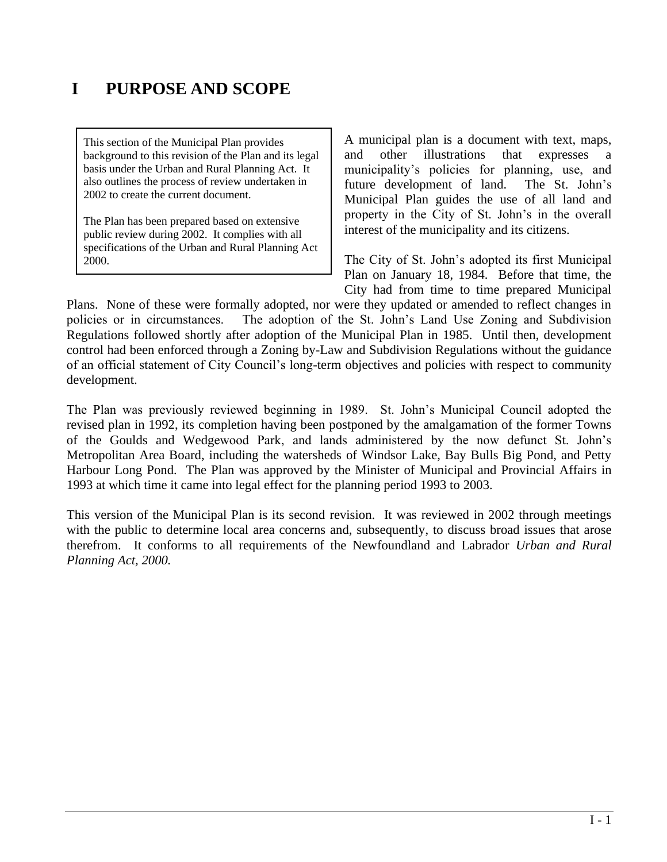# <span id="page-8-0"></span>**I PURPOSE AND SCOPE**

This section of the Municipal Plan provides background to this revision of the Plan and its legal basis under the Urban and Rural Planning Act. It also outlines the process of review undertaken in 2002 to create the current document.

The Plan has been prepared based on extensive public review during 2002. It complies with all specifications of the Urban and Rural Planning Act 2000.

A municipal plan is a document with text, maps, and other illustrations that expresses a municipality's policies for planning, use, and future development of land. The St. John's Municipal Plan guides the use of all land and property in the City of St. John's in the overall interest of the municipality and its citizens.

The City of St. John's adopted its first Municipal Plan on January 18, 1984. Before that time, the City had from time to time prepared Municipal

Plans. None of these were formally adopted, nor were they updated or amended to reflect changes in policies or in circumstances. The adoption of the St. John's Land Use Zoning and Subdivision Regulations followed shortly after adoption of the Municipal Plan in 1985. Until then, development control had been enforced through a Zoning by-Law and Subdivision Regulations without the guidance of an official statement of City Council's long-term objectives and policies with respect to community development.

The Plan was previously reviewed beginning in 1989. St. John's Municipal Council adopted the revised plan in 1992, its completion having been postponed by the amalgamation of the former Towns of the Goulds and Wedgewood Park, and lands administered by the now defunct St. John's Metropolitan Area Board, including the watersheds of Windsor Lake, Bay Bulls Big Pond, and Petty Harbour Long Pond. The Plan was approved by the Minister of Municipal and Provincial Affairs in 1993 at which time it came into legal effect for the planning period 1993 to 2003.

This version of the Municipal Plan is its second revision. It was reviewed in 2002 through meetings with the public to determine local area concerns and, subsequently, to discuss broad issues that arose therefrom. It conforms to all requirements of the Newfoundland and Labrador *Urban and Rural Planning Act, 2000.*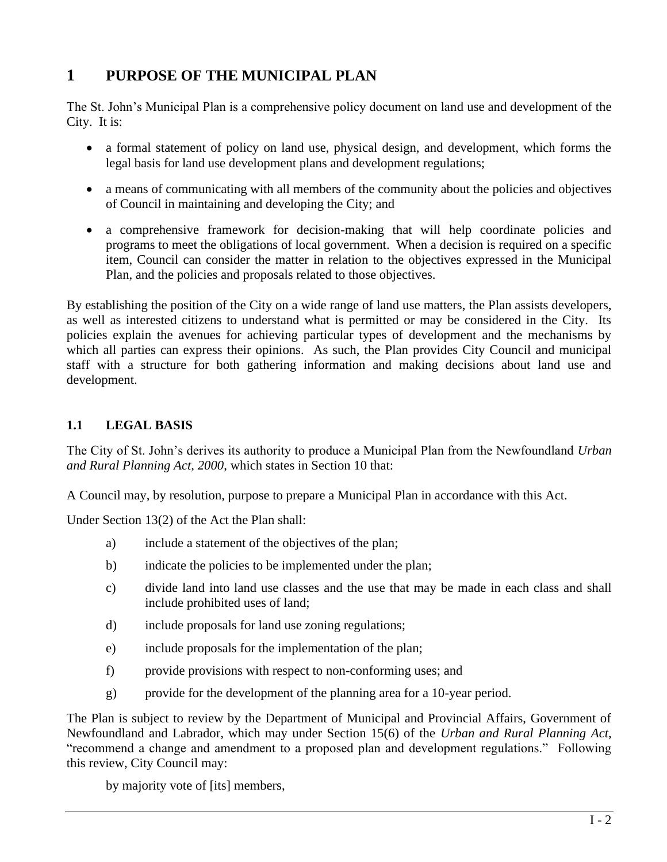# <span id="page-9-0"></span>**1 PURPOSE OF THE MUNICIPAL PLAN**

The St. John's Municipal Plan is a comprehensive policy document on land use and development of the City. It is:

- a formal statement of policy on land use, physical design, and development, which forms the legal basis for land use development plans and development regulations;
- a means of communicating with all members of the community about the policies and objectives of Council in maintaining and developing the City; and
- a comprehensive framework for decision-making that will help coordinate policies and programs to meet the obligations of local government. When a decision is required on a specific item, Council can consider the matter in relation to the objectives expressed in the Municipal Plan, and the policies and proposals related to those objectives.

By establishing the position of the City on a wide range of land use matters, the Plan assists developers, as well as interested citizens to understand what is permitted or may be considered in the City. Its policies explain the avenues for achieving particular types of development and the mechanisms by which all parties can express their opinions. As such, the Plan provides City Council and municipal staff with a structure for both gathering information and making decisions about land use and development.

# <span id="page-9-1"></span>**1.1 LEGAL BASIS**

The City of St. John's derives its authority to produce a Municipal Plan from the Newfoundland *Urban and Rural Planning Act, 2000*, which states in Section 10 that:

A Council may, by resolution, purpose to prepare a Municipal Plan in accordance with this Act.

Under Section 13(2) of the Act the Plan shall:

- a) include a statement of the objectives of the plan;
- b) indicate the policies to be implemented under the plan;
- c) divide land into land use classes and the use that may be made in each class and shall include prohibited uses of land;
- d) include proposals for land use zoning regulations;
- e) include proposals for the implementation of the plan;
- f) provide provisions with respect to non-conforming uses; and
- g) provide for the development of the planning area for a 10-year period.

The Plan is subject to review by the Department of Municipal and Provincial Affairs, Government of Newfoundland and Labrador, which may under Section 15(6) of the *Urban and Rural Planning Act*, "recommend a change and amendment to a proposed plan and development regulations." Following this review, City Council may:

by majority vote of [its] members,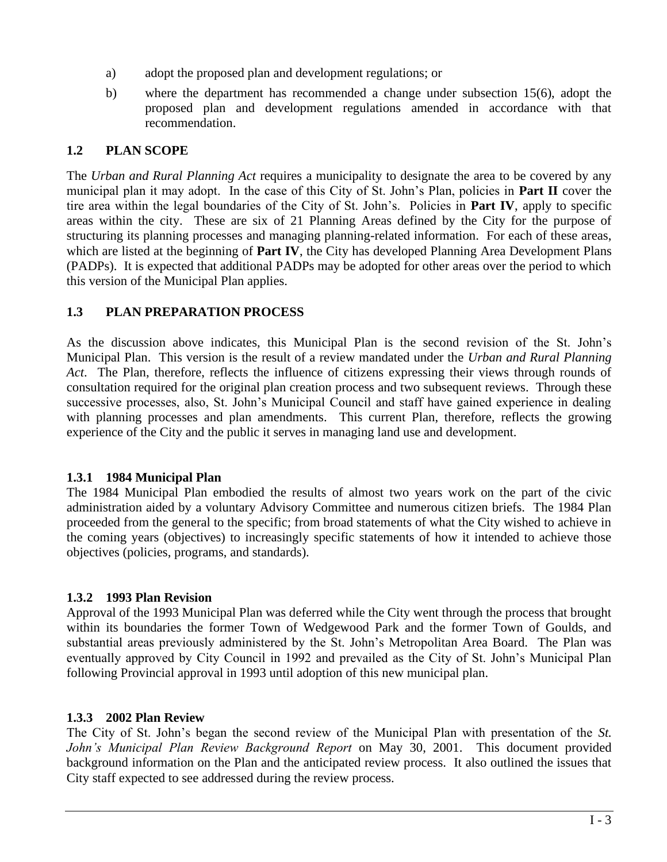- a) adopt the proposed plan and development regulations; or
- b) where the department has recommended a change under subsection 15(6), adopt the proposed plan and development regulations amended in accordance with that recommendation.

# <span id="page-10-0"></span>**1.2 PLAN SCOPE**

The *Urban and Rural Planning Act* requires a municipality to designate the area to be covered by any municipal plan it may adopt. In the case of this City of St. John's Plan, policies in **Part II** cover the tire area within the legal boundaries of the City of St. John's. Policies in **Part IV**, apply to specific areas within the city. These are six of 21 Planning Areas defined by the City for the purpose of structuring its planning processes and managing planning-related information. For each of these areas, which are listed at the beginning of **Part IV**, the City has developed Planning Area Development Plans (PADPs). It is expected that additional PADPs may be adopted for other areas over the period to which this version of the Municipal Plan applies.

# <span id="page-10-1"></span>**1.3 PLAN PREPARATION PROCESS**

As the discussion above indicates, this Municipal Plan is the second revision of the St. John's Municipal Plan. This version is the result of a review mandated under the *Urban and Rural Planning Act*. The Plan, therefore, reflects the influence of citizens expressing their views through rounds of consultation required for the original plan creation process and two subsequent reviews. Through these successive processes, also, St. John's Municipal Council and staff have gained experience in dealing with planning processes and plan amendments. This current Plan, therefore, reflects the growing experience of the City and the public it serves in managing land use and development.

# <span id="page-10-2"></span>**1.3.1 1984 Municipal Plan**

The 1984 Municipal Plan embodied the results of almost two years work on the part of the civic administration aided by a voluntary Advisory Committee and numerous citizen briefs. The 1984 Plan proceeded from the general to the specific; from broad statements of what the City wished to achieve in the coming years (objectives) to increasingly specific statements of how it intended to achieve those objectives (policies, programs, and standards).

# <span id="page-10-3"></span>**1.3.2 1993 Plan Revision**

Approval of the 1993 Municipal Plan was deferred while the City went through the process that brought within its boundaries the former Town of Wedgewood Park and the former Town of Goulds, and substantial areas previously administered by the St. John's Metropolitan Area Board. The Plan was eventually approved by City Council in 1992 and prevailed as the City of St. John's Municipal Plan following Provincial approval in 1993 until adoption of this new municipal plan.

# <span id="page-10-4"></span>**1.3.3 2002 Plan Review**

The City of St. John's began the second review of the Municipal Plan with presentation of the *St. John's Municipal Plan Review Background Report* on May 30, 2001. This document provided background information on the Plan and the anticipated review process. It also outlined the issues that City staff expected to see addressed during the review process.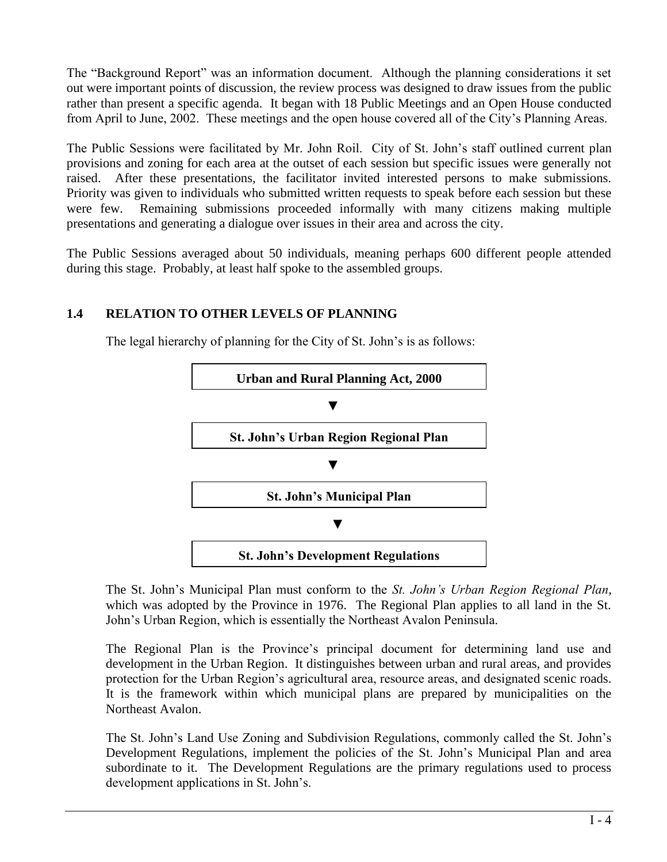The "Background Report" was an information document. Although the planning considerations it set out were important points of discussion, the review process was designed to draw issues from the public rather than present a specific agenda. It began with 18 Public Meetings and an Open House conducted from April to June, 2002. These meetings and the open house covered all of the City's Planning Areas.

The Public Sessions were facilitated by Mr. John Roil. City of St. John's staff outlined current plan provisions and zoning for each area at the outset of each session but specific issues were generally not raised. After these presentations, the facilitator invited interested persons to make submissions. Priority was given to individuals who submitted written requests to speak before each session but these were few. Remaining submissions proceeded informally with many citizens making multiple presentations and generating a dialogue over issues in their area and across the city.

The Public Sessions averaged about 50 individuals, meaning perhaps 600 different people attended during this stage. Probably, at least half spoke to the assembled groups.

# <span id="page-11-0"></span>**1.4 RELATION TO OTHER LEVELS OF PLANNING**

The legal hierarchy of planning for the City of St. John's is as follows:



The St. John's Municipal Plan must conform to the *St. John's Urban Region Regional Plan*, which was adopted by the Province in 1976. The Regional Plan applies to all land in the St. John's Urban Region, which is essentially the Northeast Avalon Peninsula.

The Regional Plan is the Province's principal document for determining land use and development in the Urban Region. It distinguishes between urban and rural areas, and provides protection for the Urban Region's agricultural area, resource areas, and designated scenic roads. It is the framework within which municipal plans are prepared by municipalities on the Northeast Avalon.

The St. John's Land Use Zoning and Subdivision Regulations, commonly called the St. John's Development Regulations, implement the policies of the St. John's Municipal Plan and area subordinate to it. The Development Regulations are the primary regulations used to process development applications in St. John's.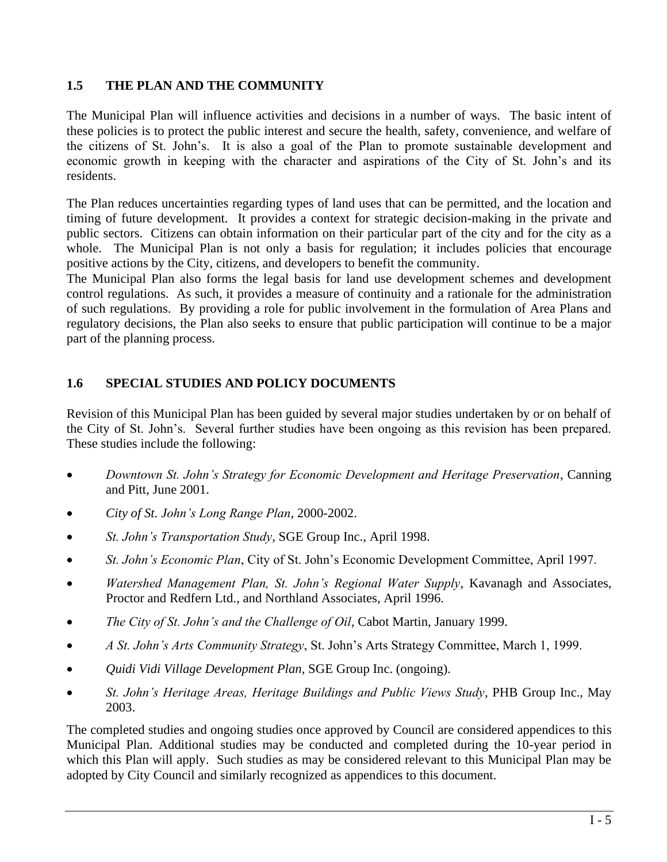# <span id="page-12-0"></span>**1.5 THE PLAN AND THE COMMUNITY**

The Municipal Plan will influence activities and decisions in a number of ways. The basic intent of these policies is to protect the public interest and secure the health, safety, convenience, and welfare of the citizens of St. John's. It is also a goal of the Plan to promote sustainable development and economic growth in keeping with the character and aspirations of the City of St. John's and its residents.

The Plan reduces uncertainties regarding types of land uses that can be permitted, and the location and timing of future development. It provides a context for strategic decision-making in the private and public sectors. Citizens can obtain information on their particular part of the city and for the city as a whole. The Municipal Plan is not only a basis for regulation; it includes policies that encourage positive actions by the City, citizens, and developers to benefit the community.

The Municipal Plan also forms the legal basis for land use development schemes and development control regulations. As such, it provides a measure of continuity and a rationale for the administration of such regulations. By providing a role for public involvement in the formulation of Area Plans and regulatory decisions, the Plan also seeks to ensure that public participation will continue to be a major part of the planning process.

# <span id="page-12-1"></span>**1.6 SPECIAL STUDIES AND POLICY DOCUMENTS**

Revision of this Municipal Plan has been guided by several major studies undertaken by or on behalf of the City of St. John's. Several further studies have been ongoing as this revision has been prepared. These studies include the following:

- *Downtown St. John's Strategy for Economic Development and Heritage Preservation*, Canning and Pitt, June 2001.
- *City of St. John's Long Range Plan*, 2000-2002.
- *St. John's Transportation Study*, SGE Group Inc., April 1998.
- *St. John's Economic Plan*, City of St. John's Economic Development Committee, April 1997.
- *Watershed Management Plan, St. John's Regional Water Supply*, Kavanagh and Associates, Proctor and Redfern Ltd., and Northland Associates, April 1996.
- *The City of St. John's and the Challenge of Oil*, Cabot Martin, January 1999.
- *A St. John's Arts Community Strategy*, St. John's Arts Strategy Committee, March 1, 1999.
- *Quidi Vidi Village Development Plan*, SGE Group Inc. (ongoing).
- *St. John's Heritage Areas, Heritage Buildings and Public Views Study*, PHB Group Inc., May 2003.

The completed studies and ongoing studies once approved by Council are considered appendices to this Municipal Plan. Additional studies may be conducted and completed during the 10-year period in which this Plan will apply. Such studies as may be considered relevant to this Municipal Plan may be adopted by City Council and similarly recognized as appendices to this document.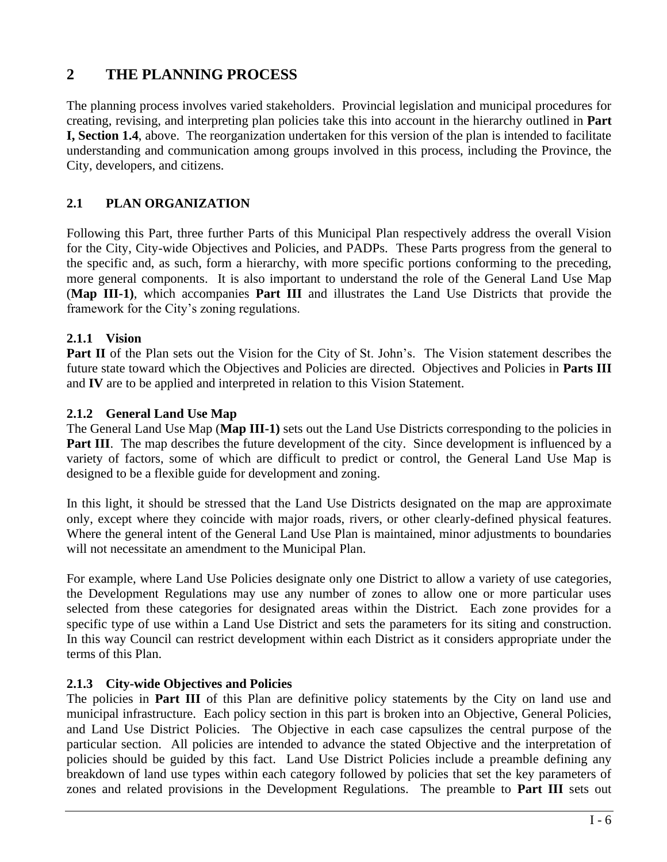# <span id="page-13-0"></span>**2 THE PLANNING PROCESS**

The planning process involves varied stakeholders. Provincial legislation and municipal procedures for creating, revising, and interpreting plan policies take this into account in the hierarchy outlined in **Part I, Section 1.4**, above. The reorganization undertaken for this version of the plan is intended to facilitate understanding and communication among groups involved in this process, including the Province, the City, developers, and citizens.

# <span id="page-13-1"></span>**2.1 PLAN ORGANIZATION**

Following this Part, three further Parts of this Municipal Plan respectively address the overall Vision for the City, City-wide Objectives and Policies, and PADPs. These Parts progress from the general to the specific and, as such, form a hierarchy, with more specific portions conforming to the preceding, more general components. It is also important to understand the role of the General Land Use Map (**Map III-1)**, which accompanies **Part III** and illustrates the Land Use Districts that provide the framework for the City's zoning regulations.

# <span id="page-13-2"></span>**2.1.1 Vision**

Part II of the Plan sets out the Vision for the City of St. John's. The Vision statement describes the future state toward which the Objectives and Policies are directed. Objectives and Policies in **Parts III**  and **IV** are to be applied and interpreted in relation to this Vision Statement.

# <span id="page-13-3"></span>**2.1.2 General Land Use Map**

The General Land Use Map (**Map III-1)** sets out the Land Use Districts corresponding to the policies in **Part III**. The map describes the future development of the city. Since development is influenced by a variety of factors, some of which are difficult to predict or control, the General Land Use Map is designed to be a flexible guide for development and zoning.

In this light, it should be stressed that the Land Use Districts designated on the map are approximate only, except where they coincide with major roads, rivers, or other clearly-defined physical features. Where the general intent of the General Land Use Plan is maintained, minor adjustments to boundaries will not necessitate an amendment to the Municipal Plan.

For example, where Land Use Policies designate only one District to allow a variety of use categories, the Development Regulations may use any number of zones to allow one or more particular uses selected from these categories for designated areas within the District. Each zone provides for a specific type of use within a Land Use District and sets the parameters for its siting and construction. In this way Council can restrict development within each District as it considers appropriate under the terms of this Plan.

# <span id="page-13-4"></span>**2.1.3 City-wide Objectives and Policies**

The policies in **Part III** of this Plan are definitive policy statements by the City on land use and municipal infrastructure. Each policy section in this part is broken into an Objective, General Policies, and Land Use District Policies. The Objective in each case capsulizes the central purpose of the particular section. All policies are intended to advance the stated Objective and the interpretation of policies should be guided by this fact. Land Use District Policies include a preamble defining any breakdown of land use types within each category followed by policies that set the key parameters of zones and related provisions in the Development Regulations. The preamble to **Part III** sets out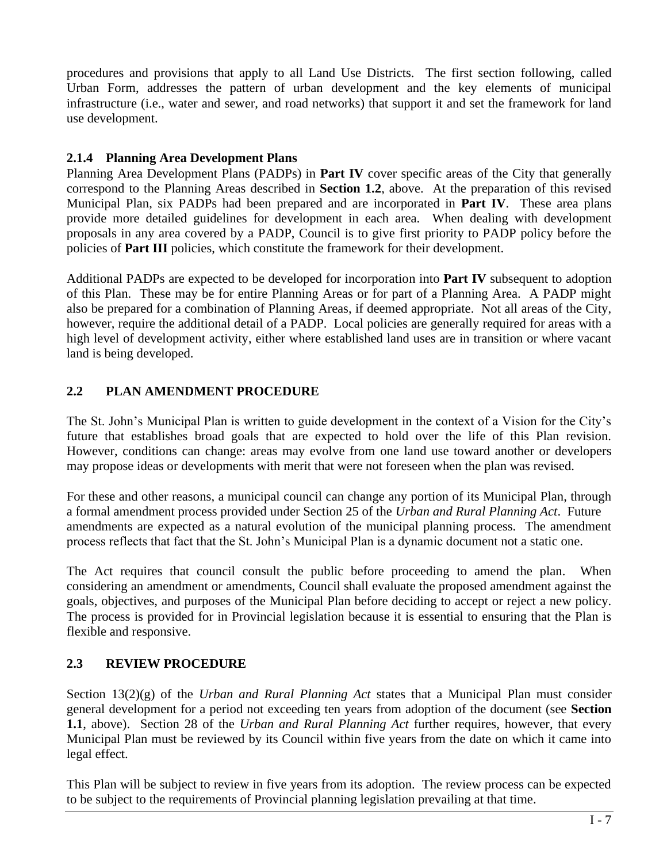procedures and provisions that apply to all Land Use Districts. The first section following, called Urban Form, addresses the pattern of urban development and the key elements of municipal infrastructure (i.e., water and sewer, and road networks) that support it and set the framework for land use development.

# <span id="page-14-0"></span>**2.1.4 Planning Area Development Plans**

Planning Area Development Plans (PADPs) in **Part IV** cover specific areas of the City that generally correspond to the Planning Areas described in **Section 1.2**, above. At the preparation of this revised Municipal Plan, six PADPs had been prepared and are incorporated in **Part IV**. These area plans provide more detailed guidelines for development in each area. When dealing with development proposals in any area covered by a PADP, Council is to give first priority to PADP policy before the policies of **Part III** policies, which constitute the framework for their development.

Additional PADPs are expected to be developed for incorporation into **Part IV** subsequent to adoption of this Plan. These may be for entire Planning Areas or for part of a Planning Area. A PADP might also be prepared for a combination of Planning Areas, if deemed appropriate. Not all areas of the City, however, require the additional detail of a PADP. Local policies are generally required for areas with a high level of development activity, either where established land uses are in transition or where vacant land is being developed.

# <span id="page-14-1"></span>**2.2 PLAN AMENDMENT PROCEDURE**

The St. John's Municipal Plan is written to guide development in the context of a Vision for the City's future that establishes broad goals that are expected to hold over the life of this Plan revision. However, conditions can change: areas may evolve from one land use toward another or developers may propose ideas or developments with merit that were not foreseen when the plan was revised.

For these and other reasons, a municipal council can change any portion of its Municipal Plan, through a formal amendment process provided under Section 25 of the *Urban and Rural Planning Act*. Future amendments are expected as a natural evolution of the municipal planning process. The amendment process reflects that fact that the St. John's Municipal Plan is a dynamic document not a static one.

The Act requires that council consult the public before proceeding to amend the plan. When considering an amendment or amendments, Council shall evaluate the proposed amendment against the goals, objectives, and purposes of the Municipal Plan before deciding to accept or reject a new policy. The process is provided for in Provincial legislation because it is essential to ensuring that the Plan is flexible and responsive.

# <span id="page-14-2"></span>**2.3 REVIEW PROCEDURE**

Section 13(2)(g) of the *Urban and Rural Planning Act* states that a Municipal Plan must consider general development for a period not exceeding ten years from adoption of the document (see **Section 1.1**, above). Section 28 of the *Urban and Rural Planning Act* further requires, however, that every Municipal Plan must be reviewed by its Council within five years from the date on which it came into legal effect.

This Plan will be subject to review in five years from its adoption. The review process can be expected to be subject to the requirements of Provincial planning legislation prevailing at that time.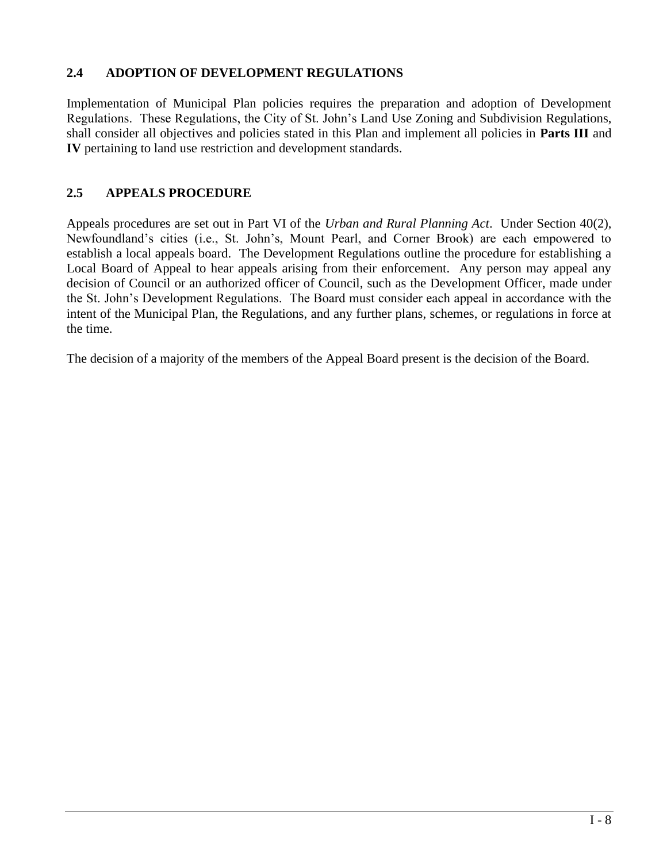# <span id="page-15-0"></span>**2.4 ADOPTION OF DEVELOPMENT REGULATIONS**

Implementation of Municipal Plan policies requires the preparation and adoption of Development Regulations. These Regulations, the City of St. John's Land Use Zoning and Subdivision Regulations, shall consider all objectives and policies stated in this Plan and implement all policies in **Parts III** and **IV** pertaining to land use restriction and development standards.

# <span id="page-15-1"></span>**2.5 APPEALS PROCEDURE**

Appeals procedures are set out in Part VI of the *Urban and Rural Planning Act*. Under Section 40(2), Newfoundland's cities (i.e., St. John's, Mount Pearl, and Corner Brook) are each empowered to establish a local appeals board. The Development Regulations outline the procedure for establishing a Local Board of Appeal to hear appeals arising from their enforcement. Any person may appeal any decision of Council or an authorized officer of Council, such as the Development Officer, made under the St. John's Development Regulations. The Board must consider each appeal in accordance with the intent of the Municipal Plan, the Regulations, and any further plans, schemes, or regulations in force at the time.

The decision of a majority of the members of the Appeal Board present is the decision of the Board.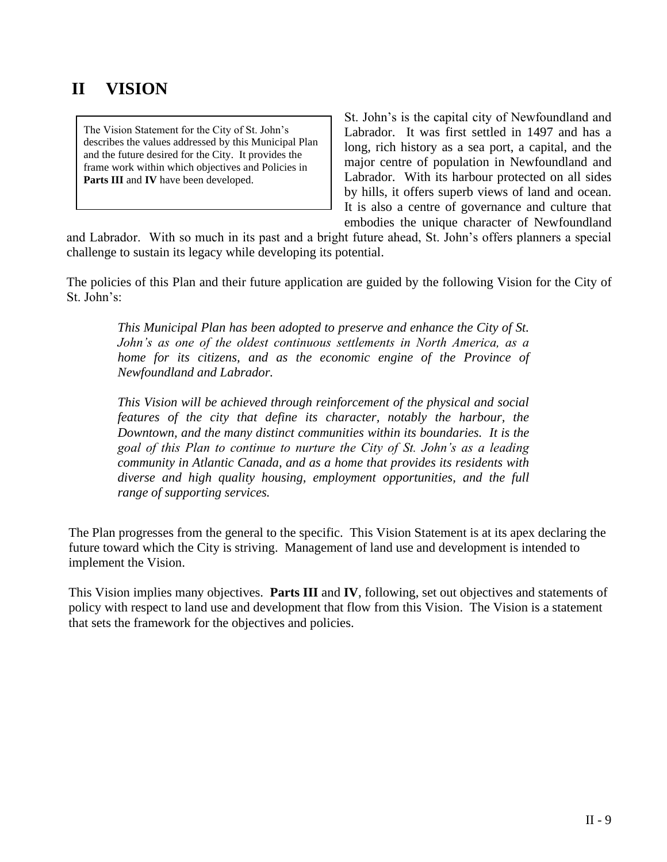# <span id="page-16-0"></span>**II VISION**

The Vision Statement for the City of St. John's describes the values addressed by this Municipal Plan and the future desired for the City. It provides the frame work within which objectives and Policies in **Parts III** and **IV** have been developed.

St. John's is the capital city of Newfoundland and Labrador. It was first settled in 1497 and has a long, rich history as a sea port, a capital, and the major centre of population in Newfoundland and Labrador. With its harbour protected on all sides by hills, it offers superb views of land and ocean. It is also a centre of governance and culture that embodies the unique character of Newfoundland

and Labrador. With so much in its past and a bright future ahead, St. John's offers planners a special challenge to sustain its legacy while developing its potential.

The policies of this Plan and their future application are guided by the following Vision for the City of St. John's:

*This Municipal Plan has been adopted to preserve and enhance the City of St. John's as one of the oldest continuous settlements in North America, as a home for its citizens, and as the economic engine of the Province of Newfoundland and Labrador.*

*This Vision will be achieved through reinforcement of the physical and social features of the city that define its character, notably the harbour, the Downtown, and the many distinct communities within its boundaries. It is the goal of this Plan to continue to nurture the City of St. John's as a leading community in Atlantic Canada, and as a home that provides its residents with diverse and high quality housing, employment opportunities, and the full range of supporting services.*

The Plan progresses from the general to the specific. This Vision Statement is at its apex declaring the future toward which the City is striving. Management of land use and development is intended to implement the Vision.

This Vision implies many objectives. **Parts III** and **IV**, following, set out objectives and statements of policy with respect to land use and development that flow from this Vision. The Vision is a statement that sets the framework for the objectives and policies.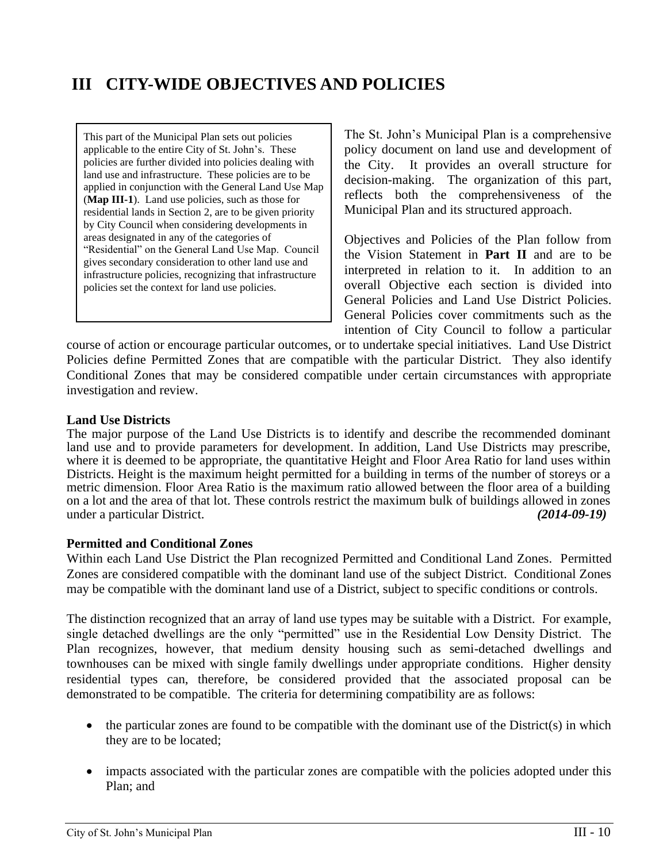# <span id="page-17-0"></span>**III CITY-WIDE OBJECTIVES AND POLICIES**

This part of the Municipal Plan sets out policies applicable to the entire City of St. John's. These policies are further divided into policies dealing with land use and infrastructure. These policies are to be applied in conjunction with the General Land Use Map (**Map III-1**). Land use policies, such as those for residential lands in Section 2, are to be given priority by City Council when considering developments in areas designated in any of the categories of "Residential" on the General Land Use Map. Council gives secondary consideration to other land use and infrastructure policies, recognizing that infrastructure policies set the context for land use policies.

The St. John's Municipal Plan is a comprehensive policy document on land use and development of the City. It provides an overall structure for decision-making. The organization of this part, reflects both the comprehensiveness of the Municipal Plan and its structured approach.

Objectives and Policies of the Plan follow from the Vision Statement in **Part II** and are to be interpreted in relation to it. In addition to an overall Objective each section is divided into General Policies and Land Use District Policies. General Policies cover commitments such as the intention of City Council to follow a particular

course of action or encourage particular outcomes, or to undertake special initiatives. Land Use District Policies define Permitted Zones that are compatible with the particular District. They also identify Conditional Zones that may be considered compatible under certain circumstances with appropriate investigation and review.

#### **Land Use Districts**

The major purpose of the Land Use Districts is to identify and describe the recommended dominant land use and to provide parameters for development. In addition, Land Use Districts may prescribe, where it is deemed to be appropriate, the quantitative Height and Floor Area Ratio for land uses within Districts. Height is the maximum height permitted for a building in terms of the number of storeys or a metric dimension. Floor Area Ratio is the maximum ratio allowed between the floor area of a building on a lot and the area of that lot. These controls restrict the maximum bulk of buildings allowed in zones under a particular District. *(2014-09-19)*

#### **Permitted and Conditional Zones**

Within each Land Use District the Plan recognized Permitted and Conditional Land Zones. Permitted Zones are considered compatible with the dominant land use of the subject District. Conditional Zones may be compatible with the dominant land use of a District, subject to specific conditions or controls.

The distinction recognized that an array of land use types may be suitable with a District. For example, single detached dwellings are the only "permitted" use in the Residential Low Density District. The Plan recognizes, however, that medium density housing such as semi-detached dwellings and townhouses can be mixed with single family dwellings under appropriate conditions. Higher density residential types can, therefore, be considered provided that the associated proposal can be demonstrated to be compatible. The criteria for determining compatibility are as follows:

- the particular zones are found to be compatible with the dominant use of the District(s) in which they are to be located;
- impacts associated with the particular zones are compatible with the policies adopted under this Plan; and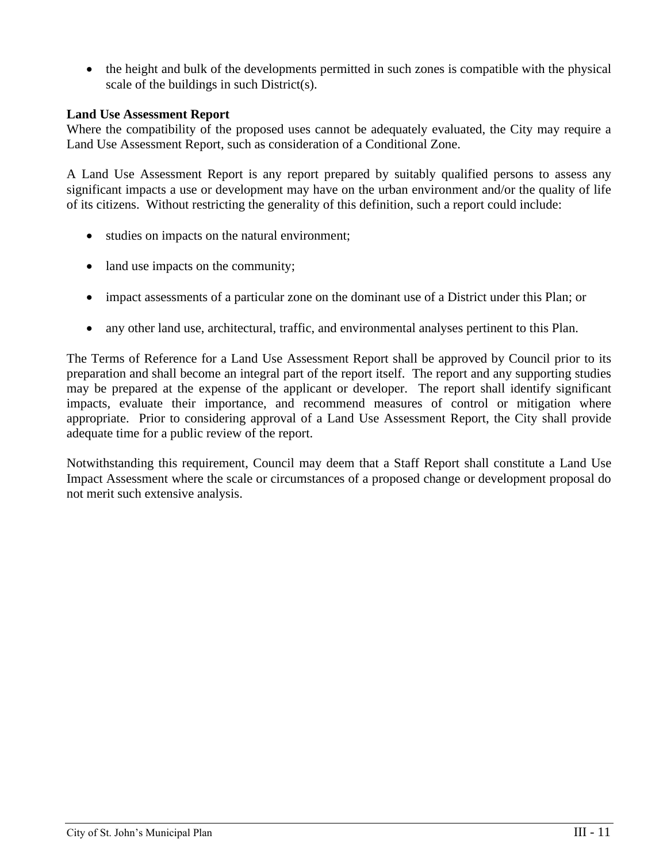• the height and bulk of the developments permitted in such zones is compatible with the physical scale of the buildings in such District(s).

### **Land Use Assessment Report**

Where the compatibility of the proposed uses cannot be adequately evaluated, the City may require a Land Use Assessment Report, such as consideration of a Conditional Zone.

A Land Use Assessment Report is any report prepared by suitably qualified persons to assess any significant impacts a use or development may have on the urban environment and/or the quality of life of its citizens. Without restricting the generality of this definition, such a report could include:

- studies on impacts on the natural environment;
- land use impacts on the community;
- impact assessments of a particular zone on the dominant use of a District under this Plan; or
- any other land use, architectural, traffic, and environmental analyses pertinent to this Plan.

The Terms of Reference for a Land Use Assessment Report shall be approved by Council prior to its preparation and shall become an integral part of the report itself. The report and any supporting studies may be prepared at the expense of the applicant or developer. The report shall identify significant impacts, evaluate their importance, and recommend measures of control or mitigation where appropriate. Prior to considering approval of a Land Use Assessment Report, the City shall provide adequate time for a public review of the report.

Notwithstanding this requirement, Council may deem that a Staff Report shall constitute a Land Use Impact Assessment where the scale or circumstances of a proposed change or development proposal do not merit such extensive analysis.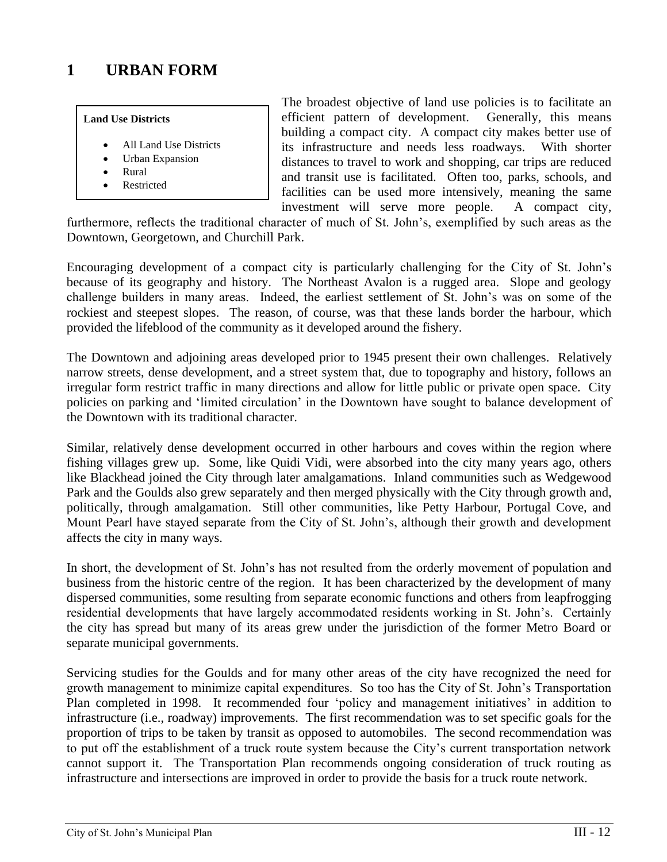# <span id="page-19-0"></span>**1 URBAN FORM**

#### **Land Use Districts**

- All Land Use Districts
- Urban Expansion
- Rural
- **Restricted**

The broadest objective of land use policies is to facilitate an efficient pattern of development. Generally, this means building a compact city. A compact city makes better use of its infrastructure and needs less roadways. With shorter distances to travel to work and shopping, car trips are reduced and transit use is facilitated. Often too, parks, schools, and facilities can be used more intensively, meaning the same investment will serve more people. A compact city,

furthermore, reflects the traditional character of much of St. John's, exemplified by such areas as the Downtown, Georgetown, and Churchill Park.

Encouraging development of a compact city is particularly challenging for the City of St. John's because of its geography and history. The Northeast Avalon is a rugged area. Slope and geology challenge builders in many areas. Indeed, the earliest settlement of St. John's was on some of the rockiest and steepest slopes. The reason, of course, was that these lands border the harbour, which provided the lifeblood of the community as it developed around the fishery.

The Downtown and adjoining areas developed prior to 1945 present their own challenges. Relatively narrow streets, dense development, and a street system that, due to topography and history, follows an irregular form restrict traffic in many directions and allow for little public or private open space. City policies on parking and 'limited circulation' in the Downtown have sought to balance development of the Downtown with its traditional character.

Similar, relatively dense development occurred in other harbours and coves within the region where fishing villages grew up. Some, like Quidi Vidi, were absorbed into the city many years ago, others like Blackhead joined the City through later amalgamations. Inland communities such as Wedgewood Park and the Goulds also grew separately and then merged physically with the City through growth and, politically, through amalgamation. Still other communities, like Petty Harbour, Portugal Cove, and Mount Pearl have stayed separate from the City of St. John's, although their growth and development affects the city in many ways.

In short, the development of St. John's has not resulted from the orderly movement of population and business from the historic centre of the region. It has been characterized by the development of many dispersed communities, some resulting from separate economic functions and others from leapfrogging residential developments that have largely accommodated residents working in St. John's. Certainly the city has spread but many of its areas grew under the jurisdiction of the former Metro Board or separate municipal governments.

Servicing studies for the Goulds and for many other areas of the city have recognized the need for growth management to minimize capital expenditures. So too has the City of St. John's Transportation Plan completed in 1998. It recommended four 'policy and management initiatives' in addition to infrastructure (i.e., roadway) improvements. The first recommendation was to set specific goals for the proportion of trips to be taken by transit as opposed to automobiles. The second recommendation was to put off the establishment of a truck route system because the City's current transportation network cannot support it. The Transportation Plan recommends ongoing consideration of truck routing as infrastructure and intersections are improved in order to provide the basis for a truck route network.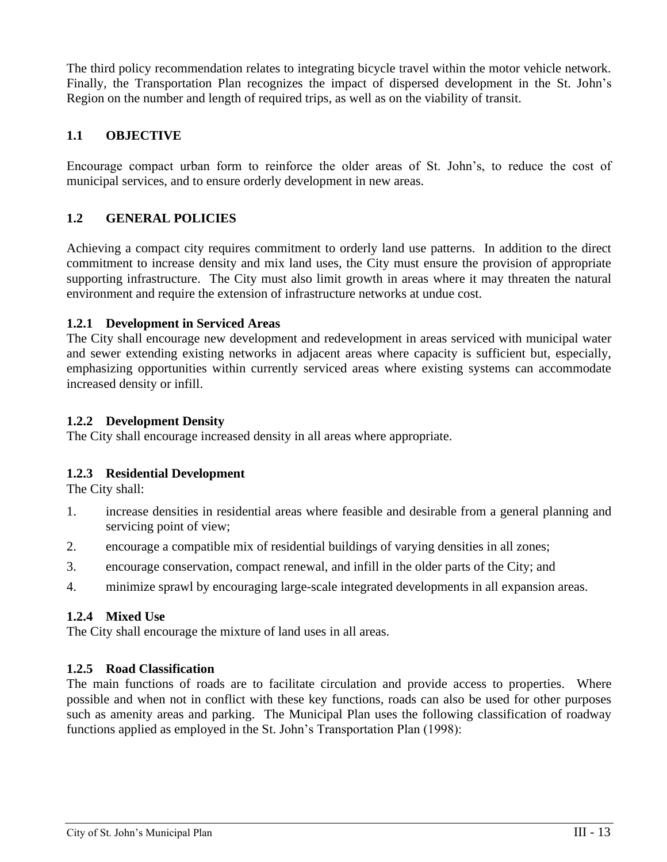The third policy recommendation relates to integrating bicycle travel within the motor vehicle network. Finally, the Transportation Plan recognizes the impact of dispersed development in the St. John's Region on the number and length of required trips, as well as on the viability of transit.

# <span id="page-20-0"></span>**1.1 OBJECTIVE**

Encourage compact urban form to reinforce the older areas of St. John's, to reduce the cost of municipal services, and to ensure orderly development in new areas.

# <span id="page-20-1"></span>**1.2 GENERAL POLICIES**

Achieving a compact city requires commitment to orderly land use patterns. In addition to the direct commitment to increase density and mix land uses, the City must ensure the provision of appropriate supporting infrastructure. The City must also limit growth in areas where it may threaten the natural environment and require the extension of infrastructure networks at undue cost.

#### <span id="page-20-2"></span>**1.2.1 Development in Serviced Areas**

The City shall encourage new development and redevelopment in areas serviced with municipal water and sewer extending existing networks in adjacent areas where capacity is sufficient but, especially, emphasizing opportunities within currently serviced areas where existing systems can accommodate increased density or infill.

#### <span id="page-20-3"></span>**1.2.2 Development Density**

The City shall encourage increased density in all areas where appropriate.

# <span id="page-20-4"></span>**1.2.3 Residential Development**

The City shall:

- 1. increase densities in residential areas where feasible and desirable from a general planning and servicing point of view;
- 2. encourage a compatible mix of residential buildings of varying densities in all zones;
- 3. encourage conservation, compact renewal, and infill in the older parts of the City; and
- 4. minimize sprawl by encouraging large-scale integrated developments in all expansion areas.

# <span id="page-20-5"></span>**1.2.4 Mixed Use**

The City shall encourage the mixture of land uses in all areas.

# <span id="page-20-6"></span>**1.2.5 Road Classification**

The main functions of roads are to facilitate circulation and provide access to properties. Where possible and when not in conflict with these key functions, roads can also be used for other purposes such as amenity areas and parking. The Municipal Plan uses the following classification of roadway functions applied as employed in the St. John's Transportation Plan (1998):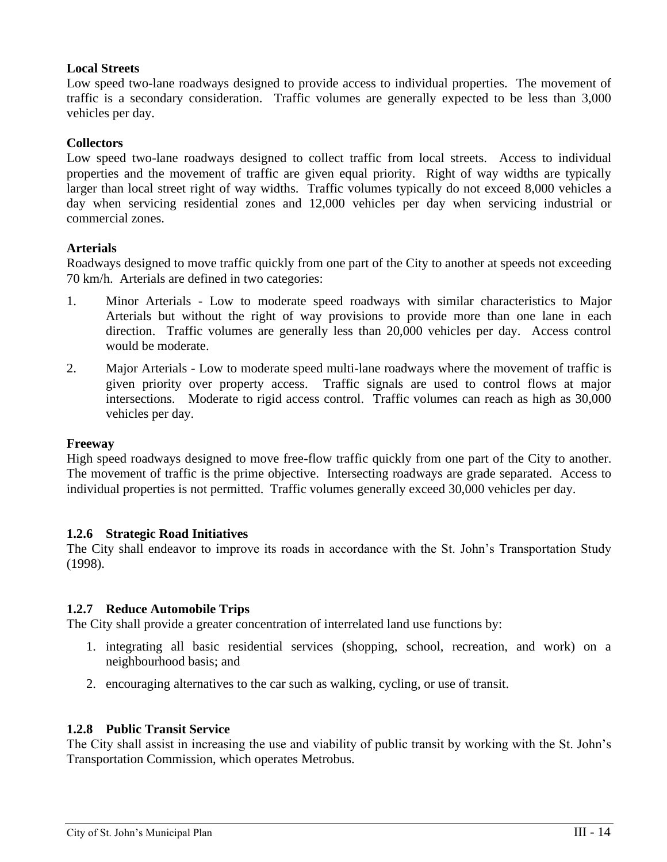# **Local Streets**

Low speed two-lane roadways designed to provide access to individual properties. The movement of traffic is a secondary consideration. Traffic volumes are generally expected to be less than 3,000 vehicles per day.

### **Collectors**

Low speed two-lane roadways designed to collect traffic from local streets. Access to individual properties and the movement of traffic are given equal priority. Right of way widths are typically larger than local street right of way widths. Traffic volumes typically do not exceed 8,000 vehicles a day when servicing residential zones and 12,000 vehicles per day when servicing industrial or commercial zones.

# **Arterials**

Roadways designed to move traffic quickly from one part of the City to another at speeds not exceeding 70 km/h. Arterials are defined in two categories:

- 1. Minor Arterials Low to moderate speed roadways with similar characteristics to Major Arterials but without the right of way provisions to provide more than one lane in each direction. Traffic volumes are generally less than 20,000 vehicles per day. Access control would be moderate.
- 2. Major Arterials Low to moderate speed multi-lane roadways where the movement of traffic is given priority over property access. Traffic signals are used to control flows at major intersections. Moderate to rigid access control. Traffic volumes can reach as high as 30,000 vehicles per day.

#### **Freeway**

High speed roadways designed to move free-flow traffic quickly from one part of the City to another. The movement of traffic is the prime objective. Intersecting roadways are grade separated. Access to individual properties is not permitted. Traffic volumes generally exceed 30,000 vehicles per day.

# <span id="page-21-0"></span>**1.2.6 Strategic Road Initiatives**

The City shall endeavor to improve its roads in accordance with the St. John's Transportation Study (1998).

# <span id="page-21-1"></span>**1.2.7 Reduce Automobile Trips**

The City shall provide a greater concentration of interrelated land use functions by:

- 1. integrating all basic residential services (shopping, school, recreation, and work) on a neighbourhood basis; and
- 2. encouraging alternatives to the car such as walking, cycling, or use of transit.

#### <span id="page-21-2"></span>**1.2.8 Public Transit Service**

The City shall assist in increasing the use and viability of public transit by working with the St. John's Transportation Commission, which operates Metrobus.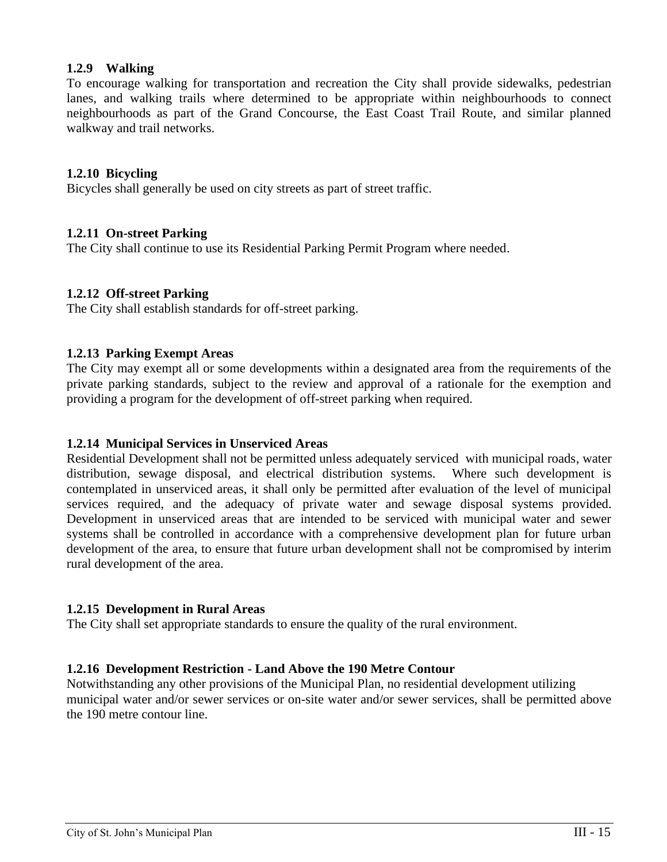### <span id="page-22-0"></span>**1.2.9 Walking**

To encourage walking for transportation and recreation the City shall provide sidewalks, pedestrian lanes, and walking trails where determined to be appropriate within neighbourhoods to connect neighbourhoods as part of the Grand Concourse, the East Coast Trail Route, and similar planned walkway and trail networks.

#### <span id="page-22-1"></span>**1.2.10 Bicycling**

Bicycles shall generally be used on city streets as part of street traffic.

#### <span id="page-22-2"></span>**1.2.11 On-street Parking**

The City shall continue to use its Residential Parking Permit Program where needed.

#### <span id="page-22-3"></span>**1.2.12 Off-street Parking**

The City shall establish standards for off-street parking.

#### <span id="page-22-4"></span>**1.2.13 Parking Exempt Areas**

The City may exempt all or some developments within a designated area from the requirements of the private parking standards, subject to the review and approval of a rationale for the exemption and providing a program for the development of off-street parking when required.

#### <span id="page-22-5"></span>**1.2.14 Municipal Services in Unserviced Areas**

Residential Development shall not be permitted unless adequately serviced with municipal roads, water distribution, sewage disposal, and electrical distribution systems. Where such development is contemplated in unserviced areas, it shall only be permitted after evaluation of the level of municipal services required, and the adequacy of private water and sewage disposal systems provided. Development in unserviced areas that are intended to be serviced with municipal water and sewer systems shall be controlled in accordance with a comprehensive development plan for future urban development of the area, to ensure that future urban development shall not be compromised by interim rural development of the area.

#### <span id="page-22-6"></span>**1.2.15 Development in Rural Areas**

The City shall set appropriate standards to ensure the quality of the rural environment.

#### <span id="page-22-7"></span>**1.2.16 Development Restriction - Land Above the 190 Metre Contour**

Notwithstanding any other provisions of the Municipal Plan, no residential development utilizing municipal water and/or sewer services or on-site water and/or sewer services, shall be permitted above the 190 metre contour line.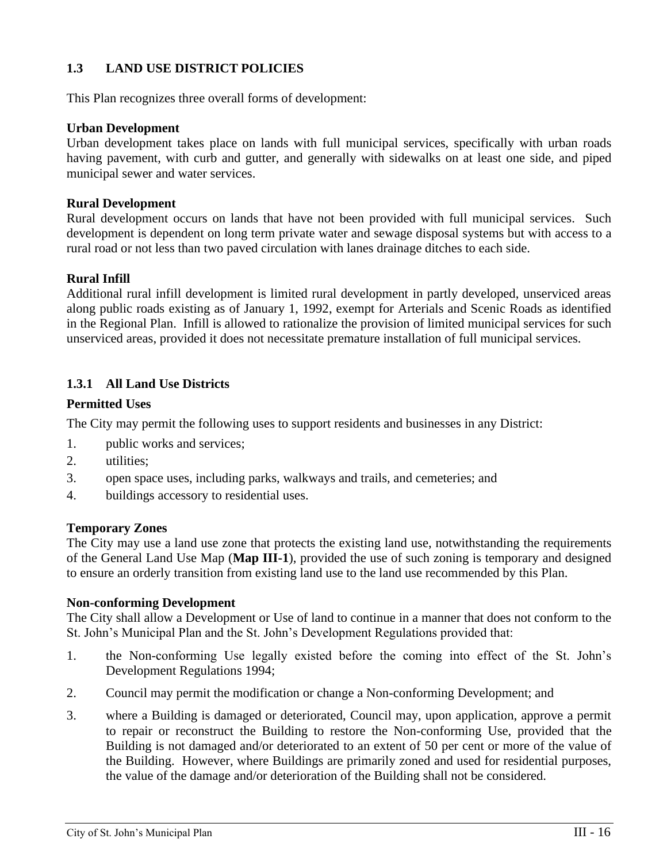# <span id="page-23-0"></span>**1.3 LAND USE DISTRICT POLICIES**

This Plan recognizes three overall forms of development:

#### **Urban Development**

Urban development takes place on lands with full municipal services, specifically with urban roads having pavement, with curb and gutter, and generally with sidewalks on at least one side, and piped municipal sewer and water services.

### **Rural Development**

Rural development occurs on lands that have not been provided with full municipal services. Such development is dependent on long term private water and sewage disposal systems but with access to a rural road or not less than two paved circulation with lanes drainage ditches to each side.

# **Rural Infill**

Additional rural infill development is limited rural development in partly developed, unserviced areas along public roads existing as of January 1, 1992, exempt for Arterials and Scenic Roads as identified in the Regional Plan. Infill is allowed to rationalize the provision of limited municipal services for such unserviced areas, provided it does not necessitate premature installation of full municipal services.

# <span id="page-23-1"></span>**1.3.1 All Land Use Districts**

# **Permitted Uses**

The City may permit the following uses to support residents and businesses in any District:

- 1. public works and services;
- 2. utilities;
- 3. open space uses, including parks, walkways and trails, and cemeteries; and
- 4. buildings accessory to residential uses.

#### **Temporary Zones**

The City may use a land use zone that protects the existing land use, notwithstanding the requirements of the General Land Use Map (**Map III-1**), provided the use of such zoning is temporary and designed to ensure an orderly transition from existing land use to the land use recommended by this Plan.

#### **Non-conforming Development**

The City shall allow a Development or Use of land to continue in a manner that does not conform to the St. John's Municipal Plan and the St. John's Development Regulations provided that:

- 1. the Non-conforming Use legally existed before the coming into effect of the St. John's Development Regulations 1994;
- 2. Council may permit the modification or change a Non-conforming Development; and
- 3. where a Building is damaged or deteriorated, Council may, upon application, approve a permit to repair or reconstruct the Building to restore the Non-conforming Use, provided that the Building is not damaged and/or deteriorated to an extent of 50 per cent or more of the value of the Building. However, where Buildings are primarily zoned and used for residential purposes, the value of the damage and/or deterioration of the Building shall not be considered.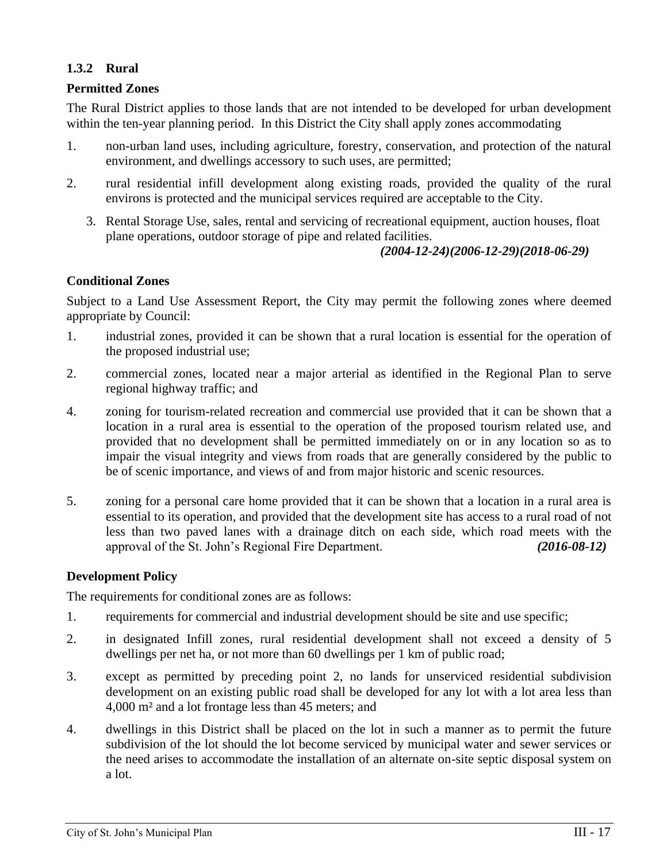# <span id="page-24-0"></span>**1.3.2 Rural**

#### **Permitted Zones**

The Rural District applies to those lands that are not intended to be developed for urban development within the ten-year planning period. In this District the City shall apply zones accommodating

- 1. non-urban land uses, including agriculture, forestry, conservation, and protection of the natural environment, and dwellings accessory to such uses, are permitted;
- 2. rural residential infill development along existing roads, provided the quality of the rural environs is protected and the municipal services required are acceptable to the City.
	- 3. Rental Storage Use, sales, rental and servicing of recreational equipment, auction houses, float plane operations, outdoor storage of pipe and related facilities.

#### *(2004-12-24)(2006-12-29)(2018-06-29)*

# **Conditional Zones**

Subject to a Land Use Assessment Report, the City may permit the following zones where deemed appropriate by Council:

- 1. industrial zones, provided it can be shown that a rural location is essential for the operation of the proposed industrial use;
- 2. commercial zones, located near a major arterial as identified in the Regional Plan to serve regional highway traffic; and
- 4. zoning for tourism-related recreation and commercial use provided that it can be shown that a location in a rural area is essential to the operation of the proposed tourism related use, and provided that no development shall be permitted immediately on or in any location so as to impair the visual integrity and views from roads that are generally considered by the public to be of scenic importance, and views of and from major historic and scenic resources.
- 5. zoning for a personal care home provided that it can be shown that a location in a rural area is essential to its operation, and provided that the development site has access to a rural road of not less than two paved lanes with a drainage ditch on each side, which road meets with the approval of the St. John's Regional Fire Department. *(2016-08-12)*

# **Development Policy**

The requirements for conditional zones are as follows:

- 1. requirements for commercial and industrial development should be site and use specific;
- 2. in designated Infill zones, rural residential development shall not exceed a density of 5 dwellings per net ha, or not more than 60 dwellings per 1 km of public road;
- 3. except as permitted by preceding point 2, no lands for unserviced residential subdivision development on an existing public road shall be developed for any lot with a lot area less than 4,000 m² and a lot frontage less than 45 meters; and
- 4. dwellings in this District shall be placed on the lot in such a manner as to permit the future subdivision of the lot should the lot become serviced by municipal water and sewer services or the need arises to accommodate the installation of an alternate on-site septic disposal system on a lot.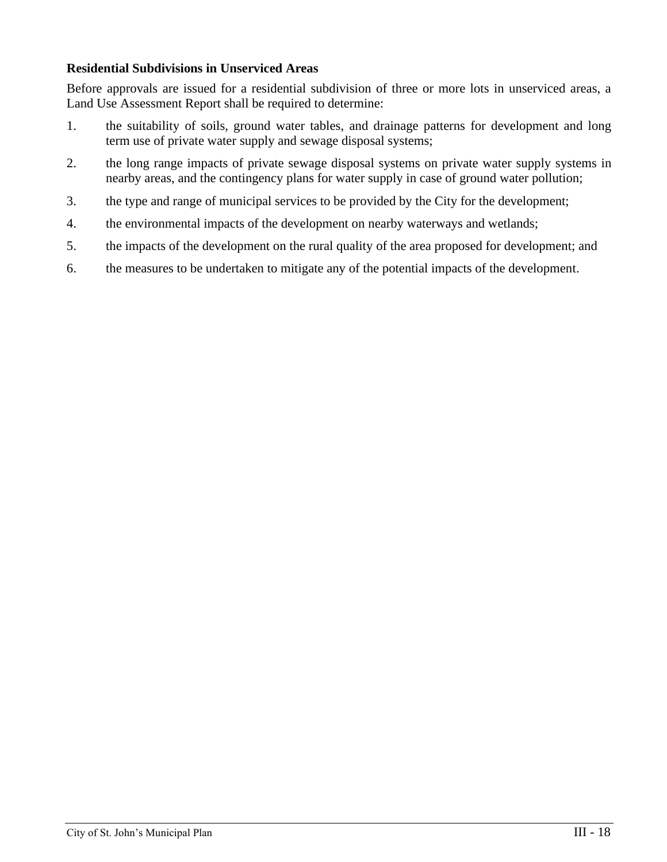# **Residential Subdivisions in Unserviced Areas**

Before approvals are issued for a residential subdivision of three or more lots in unserviced areas, a Land Use Assessment Report shall be required to determine:

- 1. the suitability of soils, ground water tables, and drainage patterns for development and long term use of private water supply and sewage disposal systems;
- 2. the long range impacts of private sewage disposal systems on private water supply systems in nearby areas, and the contingency plans for water supply in case of ground water pollution;
- 3. the type and range of municipal services to be provided by the City for the development;
- 4. the environmental impacts of the development on nearby waterways and wetlands;
- 5. the impacts of the development on the rural quality of the area proposed for development; and
- 6. the measures to be undertaken to mitigate any of the potential impacts of the development.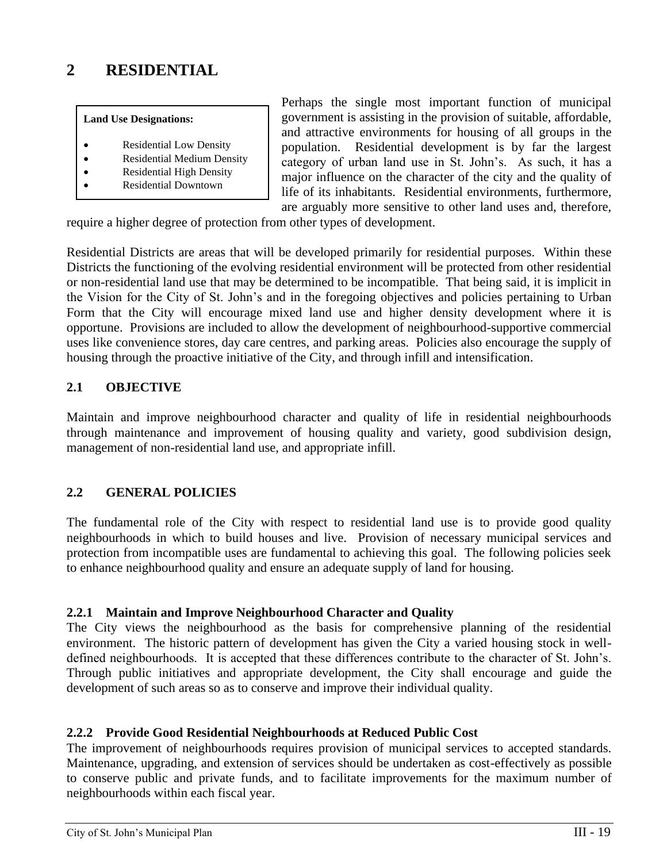# <span id="page-26-0"></span>**2 RESIDENTIAL**

#### **Land Use Designations:**

- Residential Low Density
- Residential Medium Density
- Residential High Density
- Residential Downtown

Perhaps the single most important function of municipal government is assisting in the provision of suitable, affordable, and attractive environments for housing of all groups in the population. Residential development is by far the largest category of urban land use in St. John's. As such, it has a major influence on the character of the city and the quality of life of its inhabitants. Residential environments, furthermore, are arguably more sensitive to other land uses and, therefore,

require a higher degree of protection from other types of development.

Residential Districts are areas that will be developed primarily for residential purposes. Within these Districts the functioning of the evolving residential environment will be protected from other residential or non-residential land use that may be determined to be incompatible. That being said, it is implicit in the Vision for the City of St. John's and in the foregoing objectives and policies pertaining to Urban Form that the City will encourage mixed land use and higher density development where it is opportune. Provisions are included to allow the development of neighbourhood-supportive commercial uses like convenience stores, day care centres, and parking areas. Policies also encourage the supply of housing through the proactive initiative of the City, and through infill and intensification.

# <span id="page-26-1"></span>**2.1 OBJECTIVE**

Maintain and improve neighbourhood character and quality of life in residential neighbourhoods through maintenance and improvement of housing quality and variety, good subdivision design, management of non-residential land use, and appropriate infill.

# <span id="page-26-2"></span>**2.2 GENERAL POLICIES**

The fundamental role of the City with respect to residential land use is to provide good quality neighbourhoods in which to build houses and live. Provision of necessary municipal services and protection from incompatible uses are fundamental to achieving this goal. The following policies seek to enhance neighbourhood quality and ensure an adequate supply of land for housing.

#### <span id="page-26-3"></span>**2.2.1 Maintain and Improve Neighbourhood Character and Quality**

The City views the neighbourhood as the basis for comprehensive planning of the residential environment. The historic pattern of development has given the City a varied housing stock in welldefined neighbourhoods. It is accepted that these differences contribute to the character of St. John's. Through public initiatives and appropriate development, the City shall encourage and guide the development of such areas so as to conserve and improve their individual quality.

#### <span id="page-26-4"></span>**2.2.2 Provide Good Residential Neighbourhoods at Reduced Public Cost**

The improvement of neighbourhoods requires provision of municipal services to accepted standards. Maintenance, upgrading, and extension of services should be undertaken as cost-effectively as possible to conserve public and private funds, and to facilitate improvements for the maximum number of neighbourhoods within each fiscal year.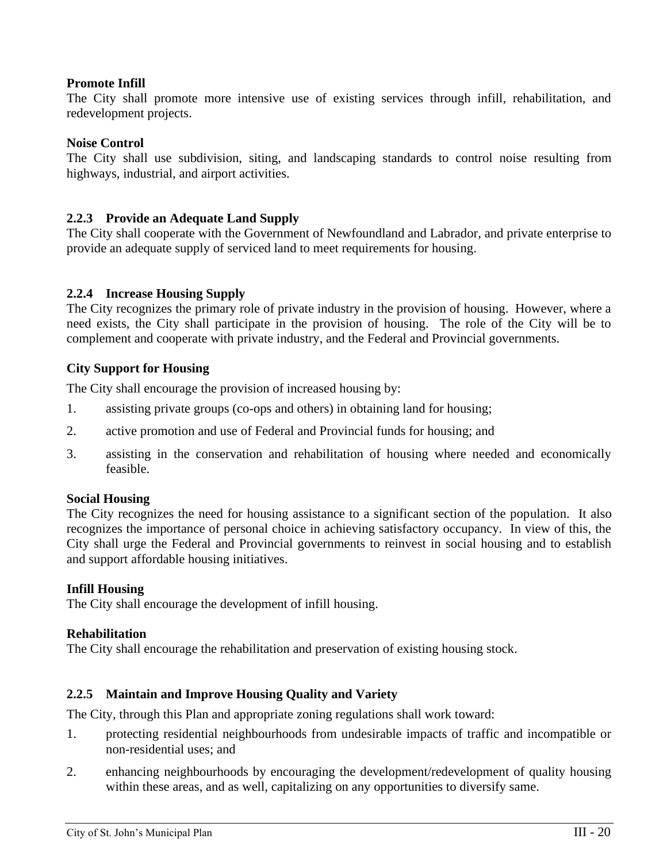# **Promote Infill**

The City shall promote more intensive use of existing services through infill, rehabilitation, and redevelopment projects.

#### **Noise Control**

The City shall use subdivision, siting, and landscaping standards to control noise resulting from highways, industrial, and airport activities.

# <span id="page-27-0"></span>**2.2.3 Provide an Adequate Land Supply**

The City shall cooperate with the Government of Newfoundland and Labrador, and private enterprise to provide an adequate supply of serviced land to meet requirements for housing.

# <span id="page-27-1"></span>**2.2.4 Increase Housing Supply**

The City recognizes the primary role of private industry in the provision of housing. However, where a need exists, the City shall participate in the provision of housing. The role of the City will be to complement and cooperate with private industry, and the Federal and Provincial governments.

#### **City Support for Housing**

The City shall encourage the provision of increased housing by:

- 1. assisting private groups (co-ops and others) in obtaining land for housing;
- 2. active promotion and use of Federal and Provincial funds for housing; and
- 3. assisting in the conservation and rehabilitation of housing where needed and economically feasible.

#### **Social Housing**

The City recognizes the need for housing assistance to a significant section of the population. It also recognizes the importance of personal choice in achieving satisfactory occupancy. In view of this, the City shall urge the Federal and Provincial governments to reinvest in social housing and to establish and support affordable housing initiatives.

#### **Infill Housing**

The City shall encourage the development of infill housing.

#### **Rehabilitation**

The City shall encourage the rehabilitation and preservation of existing housing stock.

# <span id="page-27-2"></span>**2.2.5 Maintain and Improve Housing Quality and Variety**

The City, through this Plan and appropriate zoning regulations shall work toward:

- 1. protecting residential neighbourhoods from undesirable impacts of traffic and incompatible or non-residential uses; and
- 2. enhancing neighbourhoods by encouraging the development/redevelopment of quality housing within these areas, and as well, capitalizing on any opportunities to diversify same.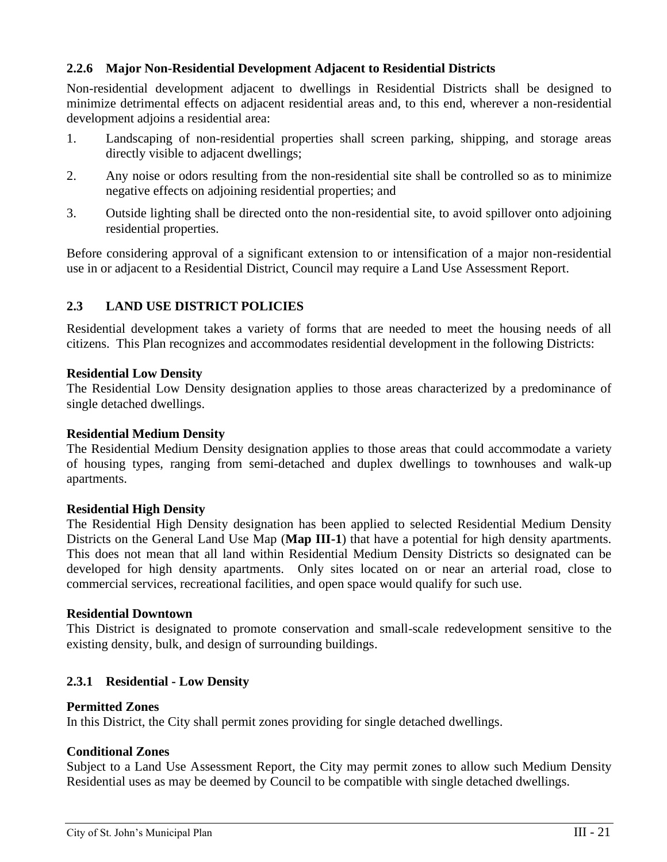# <span id="page-28-0"></span>**2.2.6 Major Non-Residential Development Adjacent to Residential Districts**

Non-residential development adjacent to dwellings in Residential Districts shall be designed to minimize detrimental effects on adjacent residential areas and, to this end, wherever a non-residential development adjoins a residential area:

- 1. Landscaping of non-residential properties shall screen parking, shipping, and storage areas directly visible to adjacent dwellings;
- 2. Any noise or odors resulting from the non-residential site shall be controlled so as to minimize negative effects on adjoining residential properties; and
- 3. Outside lighting shall be directed onto the non-residential site, to avoid spillover onto adjoining residential properties.

Before considering approval of a significant extension to or intensification of a major non-residential use in or adjacent to a Residential District, Council may require a Land Use Assessment Report.

# <span id="page-28-1"></span>**2.3 LAND USE DISTRICT POLICIES**

Residential development takes a variety of forms that are needed to meet the housing needs of all citizens. This Plan recognizes and accommodates residential development in the following Districts:

#### **Residential Low Density**

The Residential Low Density designation applies to those areas characterized by a predominance of single detached dwellings.

#### **Residential Medium Density**

The Residential Medium Density designation applies to those areas that could accommodate a variety of housing types, ranging from semi-detached and duplex dwellings to townhouses and walk-up apartments.

#### **Residential High Density**

The Residential High Density designation has been applied to selected Residential Medium Density Districts on the General Land Use Map (**Map III-1**) that have a potential for high density apartments. This does not mean that all land within Residential Medium Density Districts so designated can be developed for high density apartments. Only sites located on or near an arterial road, close to commercial services, recreational facilities, and open space would qualify for such use.

#### **Residential Downtown**

This District is designated to promote conservation and small-scale redevelopment sensitive to the existing density, bulk, and design of surrounding buildings.

# <span id="page-28-2"></span>**2.3.1 Residential - Low Density**

#### **Permitted Zones**

In this District, the City shall permit zones providing for single detached dwellings.

# **Conditional Zones**

Subject to a Land Use Assessment Report, the City may permit zones to allow such Medium Density Residential uses as may be deemed by Council to be compatible with single detached dwellings.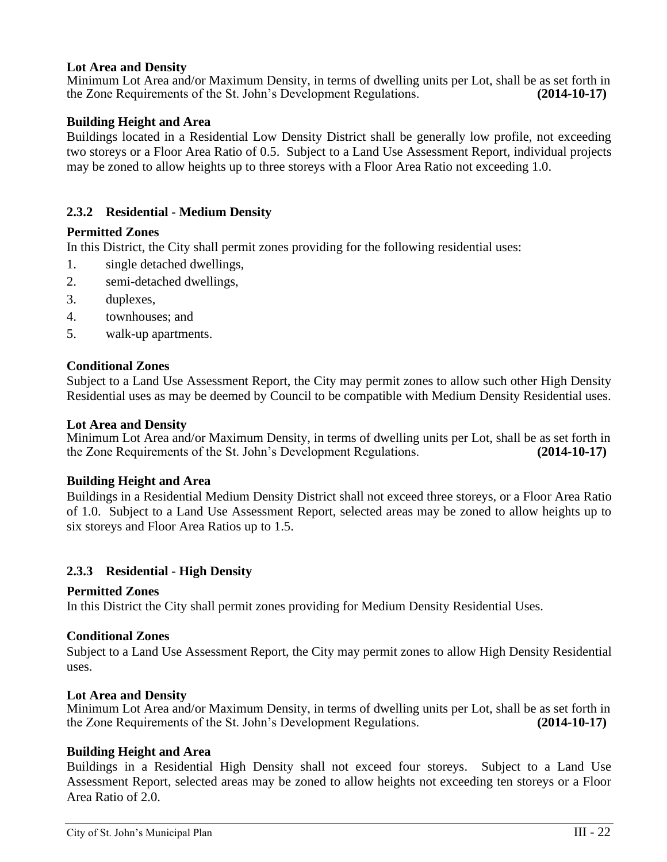#### **Lot Area and Density**

Minimum Lot Area and/or Maximum Density, in terms of dwelling units per Lot, shall be as set forth in the Zone Requirements of the St. John's Development Regulations. **(2014-10-17)**

#### **Building Height and Area**

Buildings located in a Residential Low Density District shall be generally low profile, not exceeding two storeys or a Floor Area Ratio of 0.5. Subject to a Land Use Assessment Report, individual projects may be zoned to allow heights up to three storeys with a Floor Area Ratio not exceeding 1.0.

#### <span id="page-29-0"></span>**2.3.2 Residential - Medium Density**

#### **Permitted Zones**

In this District, the City shall permit zones providing for the following residential uses:

- 1. single detached dwellings,
- 2. semi-detached dwellings,
- 3. duplexes,
- 4. townhouses; and
- 5. walk-up apartments.

#### **Conditional Zones**

Subject to a Land Use Assessment Report, the City may permit zones to allow such other High Density Residential uses as may be deemed by Council to be compatible with Medium Density Residential uses.

#### **Lot Area and Density**

Minimum Lot Area and/or Maximum Density, in terms of dwelling units per Lot, shall be as set forth in the Zone Requirements of the St. John's Development Regulations. **(2014-10-17)**

#### **Building Height and Area**

Buildings in a Residential Medium Density District shall not exceed three storeys, or a Floor Area Ratio of 1.0. Subject to a Land Use Assessment Report, selected areas may be zoned to allow heights up to six storeys and Floor Area Ratios up to 1.5.

#### <span id="page-29-1"></span>**2.3.3 Residential - High Density**

#### **Permitted Zones**

In this District the City shall permit zones providing for Medium Density Residential Uses.

#### **Conditional Zones**

Subject to a Land Use Assessment Report, the City may permit zones to allow High Density Residential uses.

#### **Lot Area and Density**

Minimum Lot Area and/or Maximum Density, in terms of dwelling units per Lot, shall be as set forth in the Zone Requirements of the St. John's Development Regulations. **(2014-10-17)**

#### **Building Height and Area**

Buildings in a Residential High Density shall not exceed four storeys. Subject to a Land Use Assessment Report, selected areas may be zoned to allow heights not exceeding ten storeys or a Floor Area Ratio of 2.0.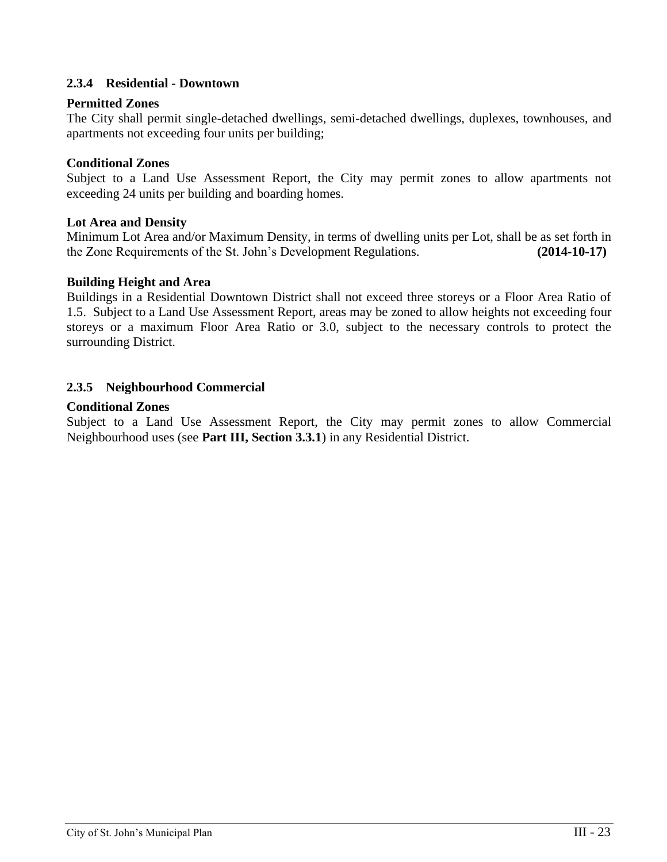# <span id="page-30-0"></span>**2.3.4 Residential - Downtown**

#### **Permitted Zones**

The City shall permit single-detached dwellings, semi-detached dwellings, duplexes, townhouses, and apartments not exceeding four units per building;

### **Conditional Zones**

Subject to a Land Use Assessment Report, the City may permit zones to allow apartments not exceeding 24 units per building and boarding homes.

#### **Lot Area and Density**

Minimum Lot Area and/or Maximum Density, in terms of dwelling units per Lot, shall be as set forth in the Zone Requirements of the St. John's Development Regulations. **(2014-10-17)**

#### **Building Height and Area**

Buildings in a Residential Downtown District shall not exceed three storeys or a Floor Area Ratio of 1.5. Subject to a Land Use Assessment Report, areas may be zoned to allow heights not exceeding four storeys or a maximum Floor Area Ratio or 3.0, subject to the necessary controls to protect the surrounding District.

# <span id="page-30-1"></span>**2.3.5 Neighbourhood Commercial**

#### **Conditional Zones**

Subject to a Land Use Assessment Report, the City may permit zones to allow Commercial Neighbourhood uses (see **Part III, Section 3.3.1**) in any Residential District.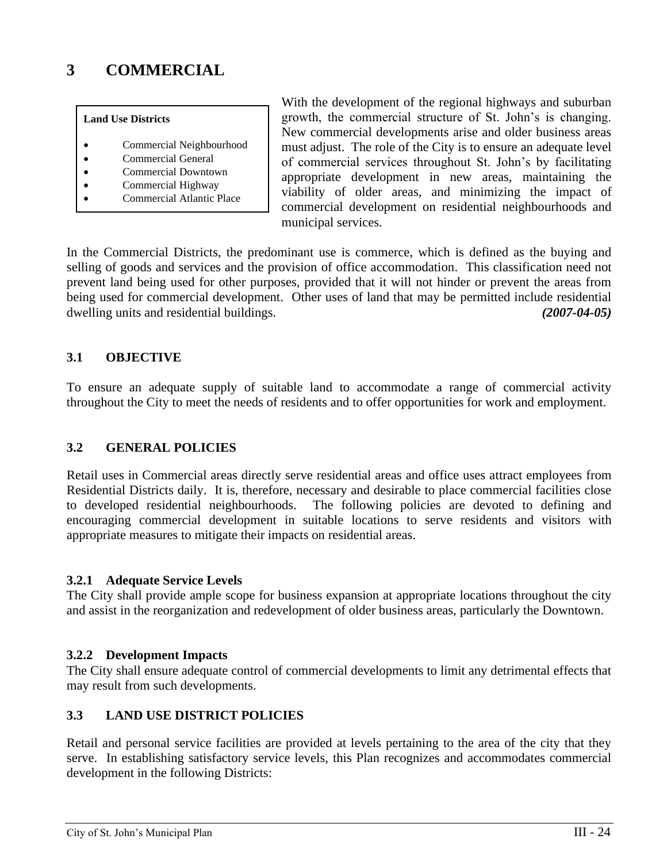# <span id="page-31-0"></span>**3 COMMERCIAL**

#### **Land Use Districts**

- Commercial Neighbourhood
- Commercial General
- Commercial Downtown
- Commercial Highway
- Commercial Atlantic Place

With the development of the regional highways and suburban growth, the commercial structure of St. John's is changing. New commercial developments arise and older business areas must adjust. The role of the City is to ensure an adequate level of commercial services throughout St. John's by facilitating appropriate development in new areas, maintaining the viability of older areas, and minimizing the impact of commercial development on residential neighbourhoods and municipal services.

In the Commercial Districts, the predominant use is commerce, which is defined as the buying and selling of goods and services and the provision of office accommodation. This classification need not prevent land being used for other purposes, provided that it will not hinder or prevent the areas from being used for commercial development. Other uses of land that may be permitted include residential dwelling units and residential buildings. *(2007-04-05)*

# <span id="page-31-1"></span>**3.1 OBJECTIVE**

To ensure an adequate supply of suitable land to accommodate a range of commercial activity throughout the City to meet the needs of residents and to offer opportunities for work and employment.

# <span id="page-31-2"></span>**3.2 GENERAL POLICIES**

Retail uses in Commercial areas directly serve residential areas and office uses attract employees from Residential Districts daily. It is, therefore, necessary and desirable to place commercial facilities close to developed residential neighbourhoods. The following policies are devoted to defining and encouraging commercial development in suitable locations to serve residents and visitors with appropriate measures to mitigate their impacts on residential areas.

# <span id="page-31-3"></span>**3.2.1 Adequate Service Levels**

The City shall provide ample scope for business expansion at appropriate locations throughout the city and assist in the reorganization and redevelopment of older business areas, particularly the Downtown.

# <span id="page-31-4"></span>**3.2.2 Development Impacts**

The City shall ensure adequate control of commercial developments to limit any detrimental effects that may result from such developments.

# <span id="page-31-5"></span>**3.3 LAND USE DISTRICT POLICIES**

Retail and personal service facilities are provided at levels pertaining to the area of the city that they serve. In establishing satisfactory service levels, this Plan recognizes and accommodates commercial development in the following Districts: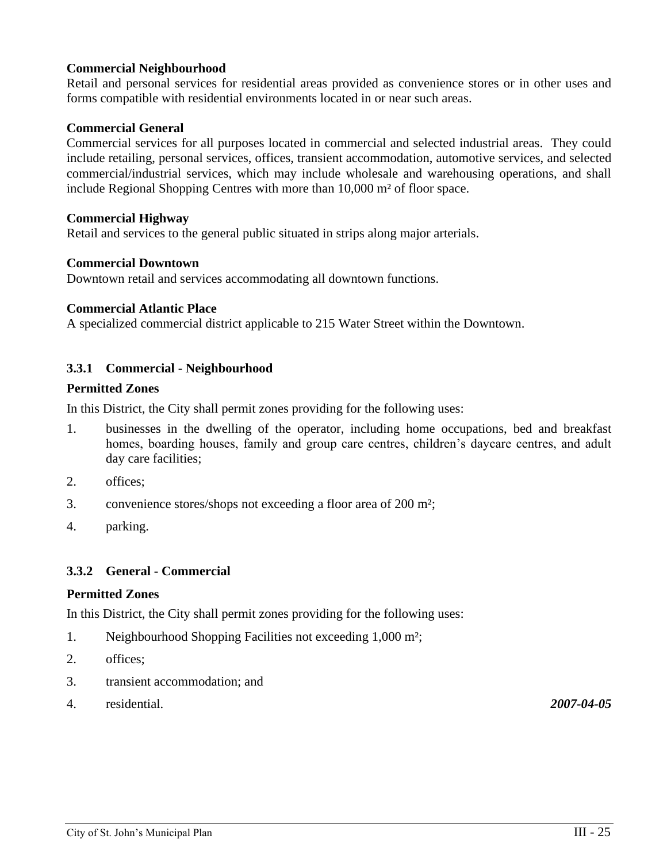# **Commercial Neighbourhood**

Retail and personal services for residential areas provided as convenience stores or in other uses and forms compatible with residential environments located in or near such areas.

#### **Commercial General**

Commercial services for all purposes located in commercial and selected industrial areas. They could include retailing, personal services, offices, transient accommodation, automotive services, and selected commercial/industrial services, which may include wholesale and warehousing operations, and shall include Regional Shopping Centres with more than 10,000 m² of floor space.

#### **Commercial Highway**

Retail and services to the general public situated in strips along major arterials.

#### **Commercial Downtown**

Downtown retail and services accommodating all downtown functions.

#### **Commercial Atlantic Place**

A specialized commercial district applicable to 215 Water Street within the Downtown.

#### <span id="page-32-0"></span>**3.3.1 Commercial - Neighbourhood**

#### **Permitted Zones**

In this District, the City shall permit zones providing for the following uses:

- 1. businesses in the dwelling of the operator, including home occupations, bed and breakfast homes, boarding houses, family and group care centres, children's daycare centres, and adult day care facilities;
- 2. offices;
- 3. convenience stores/shops not exceeding a floor area of 200 m²;
- 4. parking.

#### <span id="page-32-1"></span>**3.3.2 General - Commercial**

#### **Permitted Zones**

In this District, the City shall permit zones providing for the following uses:

- 1. Neighbourhood Shopping Facilities not exceeding 1,000 m²;
- 2. offices;
- 3. transient accommodation; and
- 4. residential. *2007-04-05*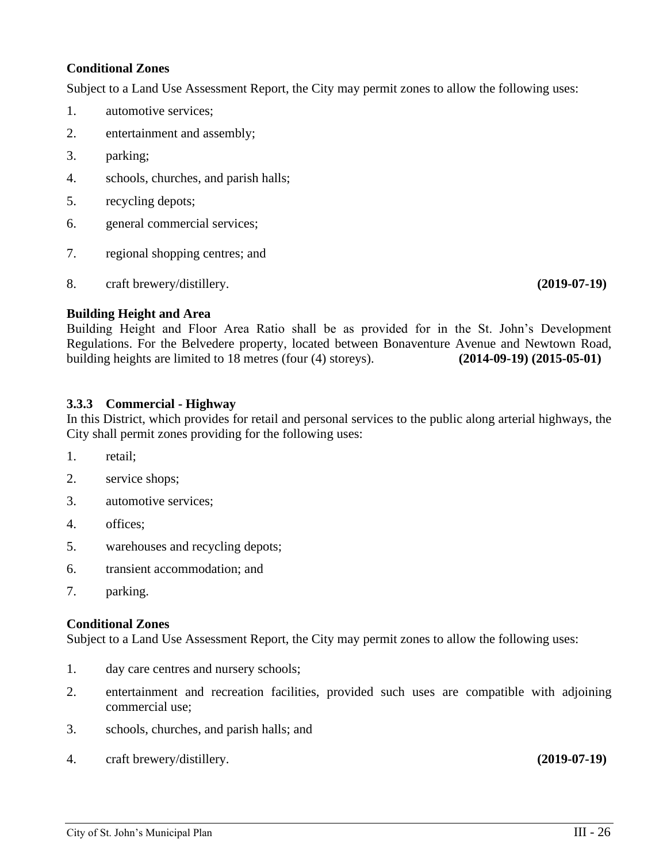# **Conditional Zones**

Subject to a Land Use Assessment Report, the City may permit zones to allow the following uses:

- 1. automotive services;
- 2. entertainment and assembly;
- 3. parking;
- 4. schools, churches, and parish halls;
- 5. recycling depots;
- 6. general commercial services;
- 7. regional shopping centres; and
- 8. craft brewery/distillery. **(2019-07-19)**

#### **Building Height and Area**

Building Height and Floor Area Ratio shall be as provided for in the St. John's Development Regulations. For the Belvedere property, located between Bonaventure Avenue and Newtown Road, building heights are limited to 18 metres (four (4) storeys). **(2014-09-19) (2015-05-01)**

#### <span id="page-33-0"></span>**3.3.3 Commercial - Highway**

In this District, which provides for retail and personal services to the public along arterial highways, the City shall permit zones providing for the following uses:

- 1. retail;
- 2. service shops;
- 3. automotive services;
- 4. offices;
- 5. warehouses and recycling depots;
- 6. transient accommodation; and
- 7. parking.

#### **Conditional Zones**

Subject to a Land Use Assessment Report, the City may permit zones to allow the following uses:

- 1. day care centres and nursery schools;
- 2. entertainment and recreation facilities, provided such uses are compatible with adjoining commercial use;
- 3. schools, churches, and parish halls; and
- 4. craft brewery/distillery. **(2019-07-19)**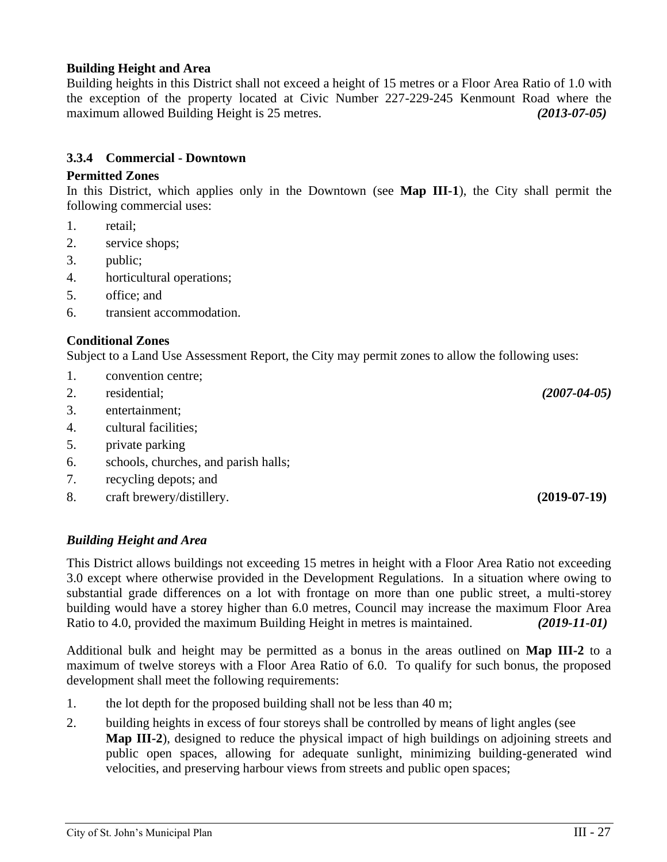# **Building Height and Area**

Building heights in this District shall not exceed a height of 15 metres or a Floor Area Ratio of 1.0 with the exception of the property located at Civic Number 227-229-245 Kenmount Road where the maximum allowed Building Height is 25 metres. *(2013-07-05)*

# **3.3.4 Commercial - Downtown**

#### **Permitted Zones**

In this District, which applies only in the Downtown (see **Map III-1**), the City shall permit the following commercial uses:

- 1. retail;
- 2. service shops;
- 3. public;
- 4. horticultural operations;
- 5. office; and
- 6. transient accommodation.

# **Conditional Zones**

Subject to a Land Use Assessment Report, the City may permit zones to allow the following uses:

- 1. convention centre;
- 2. residential; *(2007-04-05)*
- 3. entertainment;
- 4. cultural facilities;
- 5. private parking
- 6. schools, churches, and parish halls;
- 7. recycling depots; and
- 8. craft brewery/distillery. **(2019-07-19)**

# *Building Height and Area*

This District allows buildings not exceeding 15 metres in height with a Floor Area Ratio not exceeding 3.0 except where otherwise provided in the Development Regulations. In a situation where owing to substantial grade differences on a lot with frontage on more than one public street, a multi-storey building would have a storey higher than 6.0 metres, Council may increase the maximum Floor Area Ratio to 4.0, provided the maximum Building Height in metres is maintained. *(2019-11-01)*

Additional bulk and height may be permitted as a bonus in the areas outlined on **Map III-2** to a maximum of twelve storeys with a Floor Area Ratio of 6.0. To qualify for such bonus, the proposed development shall meet the following requirements:

- 1. the lot depth for the proposed building shall not be less than 40 m;
- 2. building heights in excess of four storeys shall be controlled by means of light angles (see **Map III-2**), designed to reduce the physical impact of high buildings on adjoining streets and public open spaces, allowing for adequate sunlight, minimizing building-generated wind velocities, and preserving harbour views from streets and public open spaces;

<span id="page-34-0"></span>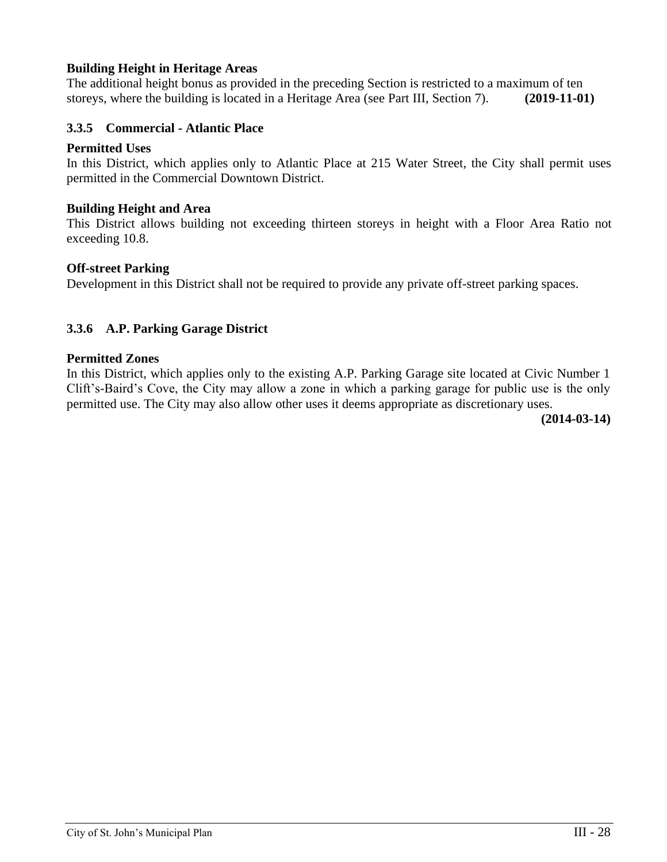# **Building Height in Heritage Areas**

The additional height bonus as provided in the preceding Section is restricted to a maximum of ten storeys, where the building is located in a Heritage Area (see Part III, Section 7). **(2019-11-01)**

#### <span id="page-35-0"></span>**3.3.5 Commercial - Atlantic Place**

#### **Permitted Uses**

In this District, which applies only to Atlantic Place at 215 Water Street, the City shall permit uses permitted in the Commercial Downtown District.

#### **Building Height and Area**

This District allows building not exceeding thirteen storeys in height with a Floor Area Ratio not exceeding 10.8.

#### **Off-street Parking**

Development in this District shall not be required to provide any private off-street parking spaces.

#### <span id="page-35-1"></span>**3.3.6 A.P. Parking Garage District**

#### **Permitted Zones**

In this District, which applies only to the existing A.P. Parking Garage site located at Civic Number 1 Clift's-Baird's Cove, the City may allow a zone in which a parking garage for public use is the only permitted use. The City may also allow other uses it deems appropriate as discretionary uses.

**(2014-03-14)**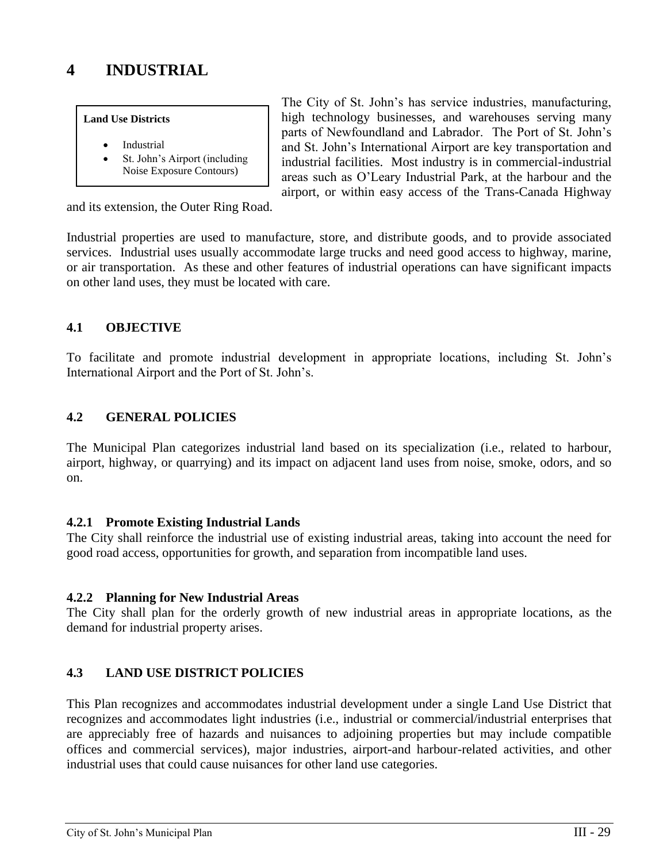#### **Land Use Districts**

- **Industrial**
- St. John's Airport (including Noise Exposure Contours)

The City of St. John's has service industries, manufacturing, high technology businesses, and warehouses serving many parts of Newfoundland and Labrador. The Port of St. John's and St. John's International Airport are key transportation and industrial facilities. Most industry is in commercial-industrial areas such as O'Leary Industrial Park, at the harbour and the airport, or within easy access of the Trans-Canada Highway

and its extension, the Outer Ring Road.

Industrial properties are used to manufacture, store, and distribute goods, and to provide associated services. Industrial uses usually accommodate large trucks and need good access to highway, marine, or air transportation. As these and other features of industrial operations can have significant impacts on other land uses, they must be located with care.

# **4.1 OBJECTIVE**

To facilitate and promote industrial development in appropriate locations, including St. John's International Airport and the Port of St. John's.

# **4.2 GENERAL POLICIES**

The Municipal Plan categorizes industrial land based on its specialization (i.e., related to harbour, airport, highway, or quarrying) and its impact on adjacent land uses from noise, smoke, odors, and so on.

# **4.2.1 Promote Existing Industrial Lands**

The City shall reinforce the industrial use of existing industrial areas, taking into account the need for good road access, opportunities for growth, and separation from incompatible land uses.

# **4.2.2 Planning for New Industrial Areas**

The City shall plan for the orderly growth of new industrial areas in appropriate locations, as the demand for industrial property arises.

# **4.3 LAND USE DISTRICT POLICIES**

This Plan recognizes and accommodates industrial development under a single Land Use District that recognizes and accommodates light industries (i.e., industrial or commercial/industrial enterprises that are appreciably free of hazards and nuisances to adjoining properties but may include compatible offices and commercial services), major industries, airport-and harbour-related activities, and other industrial uses that could cause nuisances for other land use categories.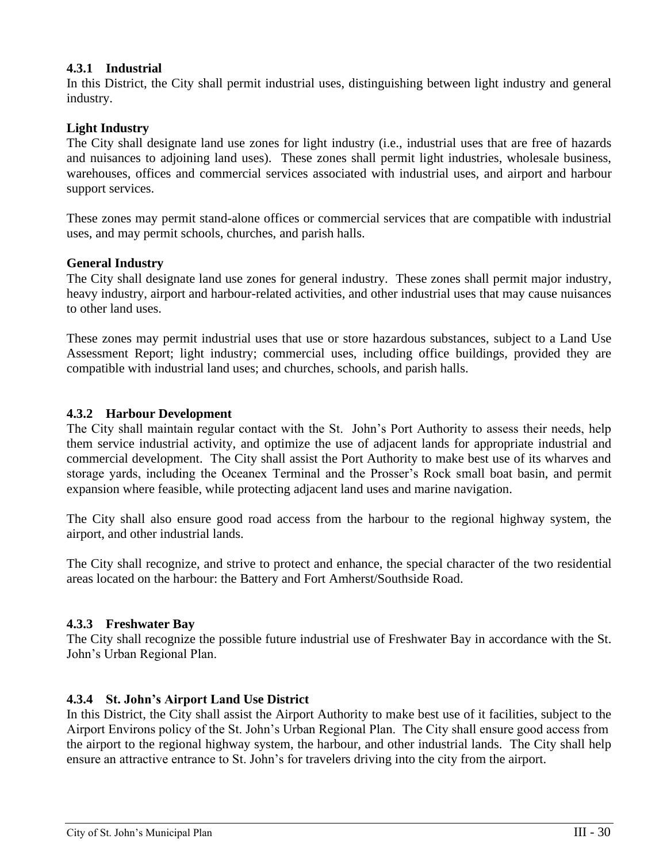# **4.3.1 Industrial**

In this District, the City shall permit industrial uses, distinguishing between light industry and general industry.

# **Light Industry**

The City shall designate land use zones for light industry (i.e., industrial uses that are free of hazards and nuisances to adjoining land uses). These zones shall permit light industries, wholesale business, warehouses, offices and commercial services associated with industrial uses, and airport and harbour support services.

These zones may permit stand-alone offices or commercial services that are compatible with industrial uses, and may permit schools, churches, and parish halls.

### **General Industry**

The City shall designate land use zones for general industry. These zones shall permit major industry, heavy industry, airport and harbour-related activities, and other industrial uses that may cause nuisances to other land uses.

These zones may permit industrial uses that use or store hazardous substances, subject to a Land Use Assessment Report; light industry; commercial uses, including office buildings, provided they are compatible with industrial land uses; and churches, schools, and parish halls.

### **4.3.2 Harbour Development**

The City shall maintain regular contact with the St. John's Port Authority to assess their needs, help them service industrial activity, and optimize the use of adjacent lands for appropriate industrial and commercial development. The City shall assist the Port Authority to make best use of its wharves and storage yards, including the Oceanex Terminal and the Prosser's Rock small boat basin, and permit expansion where feasible, while protecting adjacent land uses and marine navigation.

The City shall also ensure good road access from the harbour to the regional highway system, the airport, and other industrial lands.

The City shall recognize, and strive to protect and enhance, the special character of the two residential areas located on the harbour: the Battery and Fort Amherst/Southside Road.

#### **4.3.3 Freshwater Bay**

The City shall recognize the possible future industrial use of Freshwater Bay in accordance with the St. John's Urban Regional Plan.

# **4.3.4 St. John's Airport Land Use District**

In this District, the City shall assist the Airport Authority to make best use of it facilities, subject to the Airport Environs policy of the St. John's Urban Regional Plan. The City shall ensure good access from the airport to the regional highway system, the harbour, and other industrial lands. The City shall help ensure an attractive entrance to St. John's for travelers driving into the city from the airport.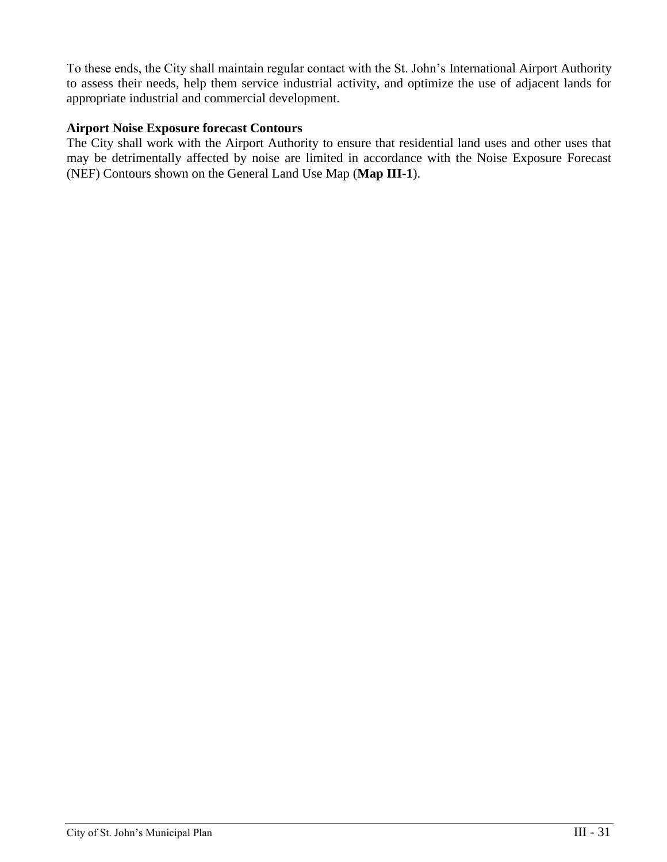To these ends, the City shall maintain regular contact with the St. John's International Airport Authority to assess their needs, help them service industrial activity, and optimize the use of adjacent lands for appropriate industrial and commercial development.

## **Airport Noise Exposure forecast Contours**

The City shall work with the Airport Authority to ensure that residential land uses and other uses that may be detrimentally affected by noise are limited in accordance with the Noise Exposure Forecast (NEF) Contours shown on the General Land Use Map (**Map III-1**).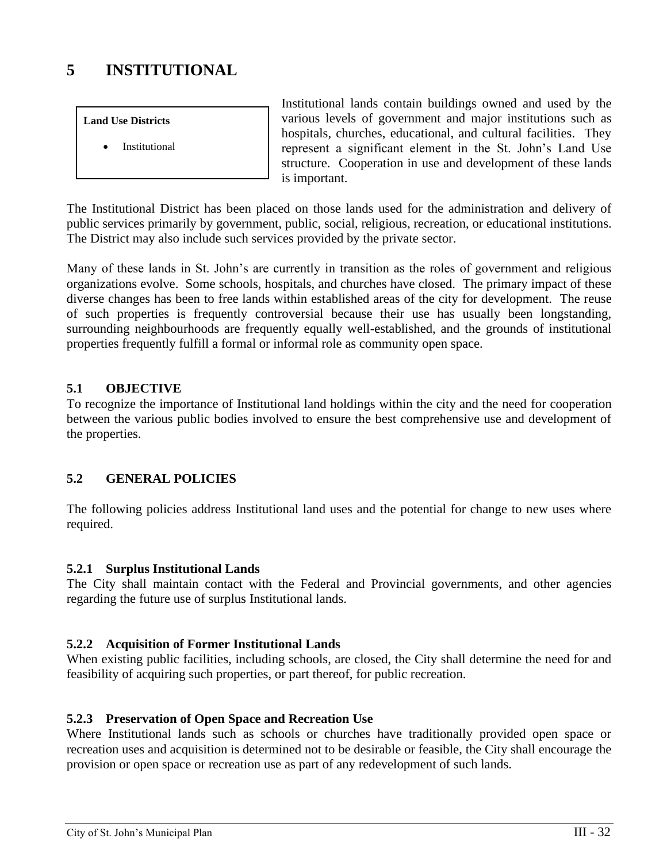# **5 INSTITUTIONAL**

#### **Land Use Districts**

**Institutional** 

Institutional lands contain buildings owned and used by the various levels of government and major institutions such as hospitals, churches, educational, and cultural facilities. They represent a significant element in the St. John's Land Use structure. Cooperation in use and development of these lands is important.

The Institutional District has been placed on those lands used for the administration and delivery of public services primarily by government, public, social, religious, recreation, or educational institutions. The District may also include such services provided by the private sector.

Many of these lands in St. John's are currently in transition as the roles of government and religious organizations evolve. Some schools, hospitals, and churches have closed. The primary impact of these diverse changes has been to free lands within established areas of the city for development. The reuse of such properties is frequently controversial because their use has usually been longstanding, surrounding neighbourhoods are frequently equally well-established, and the grounds of institutional properties frequently fulfill a formal or informal role as community open space.

# **5.1 OBJECTIVE**

To recognize the importance of Institutional land holdings within the city and the need for cooperation between the various public bodies involved to ensure the best comprehensive use and development of the properties.

# **5.2 GENERAL POLICIES**

The following policies address Institutional land uses and the potential for change to new uses where required.

# **5.2.1 Surplus Institutional Lands**

The City shall maintain contact with the Federal and Provincial governments, and other agencies regarding the future use of surplus Institutional lands.

# **5.2.2 Acquisition of Former Institutional Lands**

When existing public facilities, including schools, are closed, the City shall determine the need for and feasibility of acquiring such properties, or part thereof, for public recreation.

# **5.2.3 Preservation of Open Space and Recreation Use**

Where Institutional lands such as schools or churches have traditionally provided open space or recreation uses and acquisition is determined not to be desirable or feasible, the City shall encourage the provision or open space or recreation use as part of any redevelopment of such lands.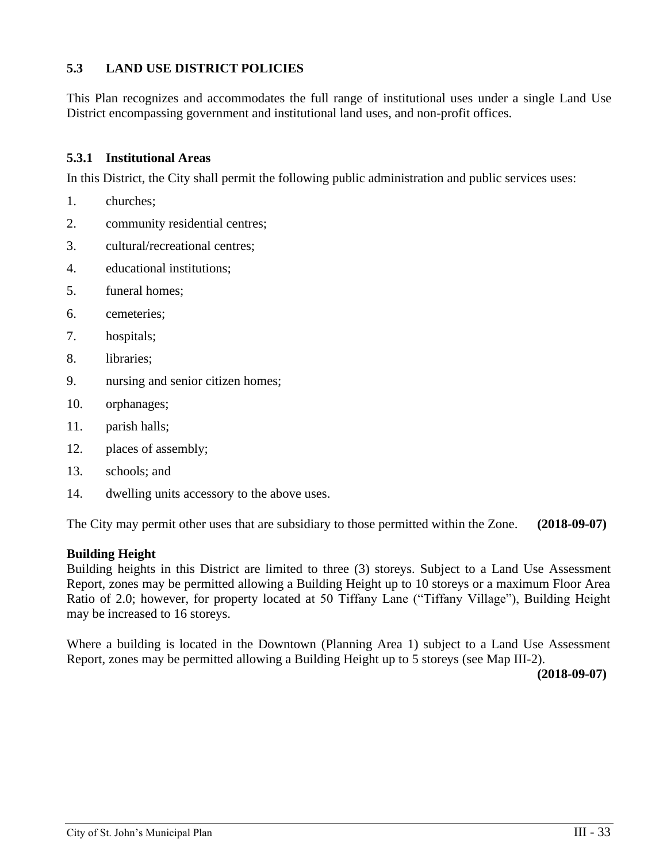# **5.3 LAND USE DISTRICT POLICIES**

This Plan recognizes and accommodates the full range of institutional uses under a single Land Use District encompassing government and institutional land uses, and non-profit offices.

#### **5.3.1 Institutional Areas**

In this District, the City shall permit the following public administration and public services uses:

- 1. churches;
- 2. community residential centres;
- 3. cultural/recreational centres;
- 4. educational institutions;
- 5. funeral homes;
- 6. cemeteries;
- 7. hospitals;
- 8. libraries;
- 9. nursing and senior citizen homes;
- 10. orphanages;
- 11. parish halls;
- 12. places of assembly;
- 13. schools; and
- 14. dwelling units accessory to the above uses.

The City may permit other uses that are subsidiary to those permitted within the Zone. **(2018-09-07)**

# **Building Height**

Building heights in this District are limited to three (3) storeys. Subject to a Land Use Assessment Report, zones may be permitted allowing a Building Height up to 10 storeys or a maximum Floor Area Ratio of 2.0; however, for property located at 50 Tiffany Lane ("Tiffany Village"), Building Height may be increased to 16 storeys.

Where a building is located in the Downtown (Planning Area 1) subject to a Land Use Assessment Report, zones may be permitted allowing a Building Height up to 5 storeys (see Map III-2).

**(2018-09-07)**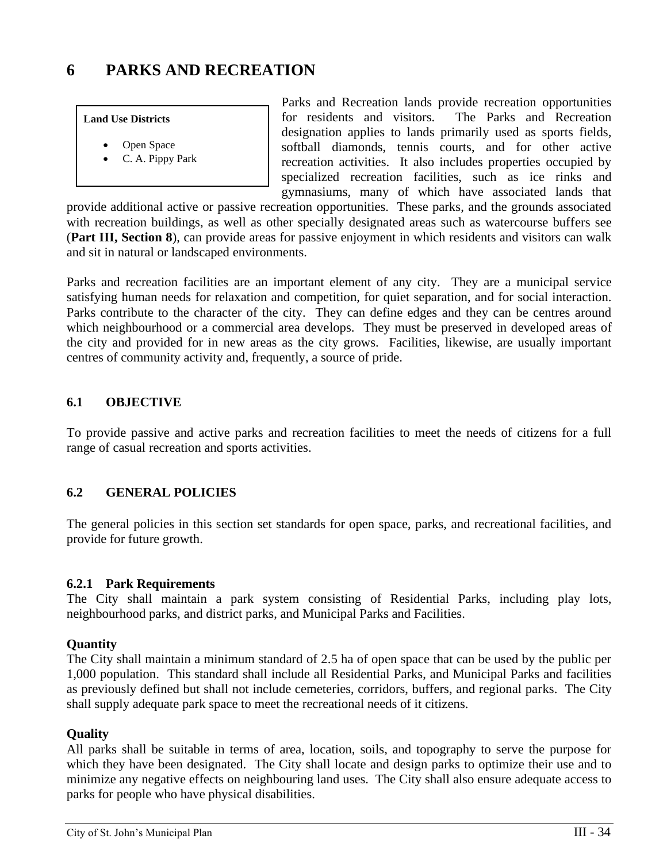# **6 PARKS AND RECREATION**

#### **Land Use Districts**

- Open Space
- C. A. Pippy Park

Parks and Recreation lands provide recreation opportunities for residents and visitors. The Parks and Recreation designation applies to lands primarily used as sports fields, softball diamonds, tennis courts, and for other active recreation activities. It also includes properties occupied by specialized recreation facilities, such as ice rinks and gymnasiums, many of which have associated lands that

provide additional active or passive recreation opportunities. These parks, and the grounds associated with recreation buildings, as well as other specially designated areas such as watercourse buffers see (**Part III, Section 8**), can provide areas for passive enjoyment in which residents and visitors can walk and sit in natural or landscaped environments.

Parks and recreation facilities are an important element of any city. They are a municipal service satisfying human needs for relaxation and competition, for quiet separation, and for social interaction. Parks contribute to the character of the city. They can define edges and they can be centres around which neighbourhood or a commercial area develops. They must be preserved in developed areas of the city and provided for in new areas as the city grows. Facilities, likewise, are usually important centres of community activity and, frequently, a source of pride.

# **6.1 OBJECTIVE**

To provide passive and active parks and recreation facilities to meet the needs of citizens for a full range of casual recreation and sports activities.

# **6.2 GENERAL POLICIES**

The general policies in this section set standards for open space, parks, and recreational facilities, and provide for future growth.

#### **6.2.1 Park Requirements**

The City shall maintain a park system consisting of Residential Parks, including play lots, neighbourhood parks, and district parks, and Municipal Parks and Facilities.

#### **Quantity**

The City shall maintain a minimum standard of 2.5 ha of open space that can be used by the public per 1,000 population. This standard shall include all Residential Parks, and Municipal Parks and facilities as previously defined but shall not include cemeteries, corridors, buffers, and regional parks. The City shall supply adequate park space to meet the recreational needs of it citizens.

#### **Quality**

All parks shall be suitable in terms of area, location, soils, and topography to serve the purpose for which they have been designated. The City shall locate and design parks to optimize their use and to minimize any negative effects on neighbouring land uses. The City shall also ensure adequate access to parks for people who have physical disabilities.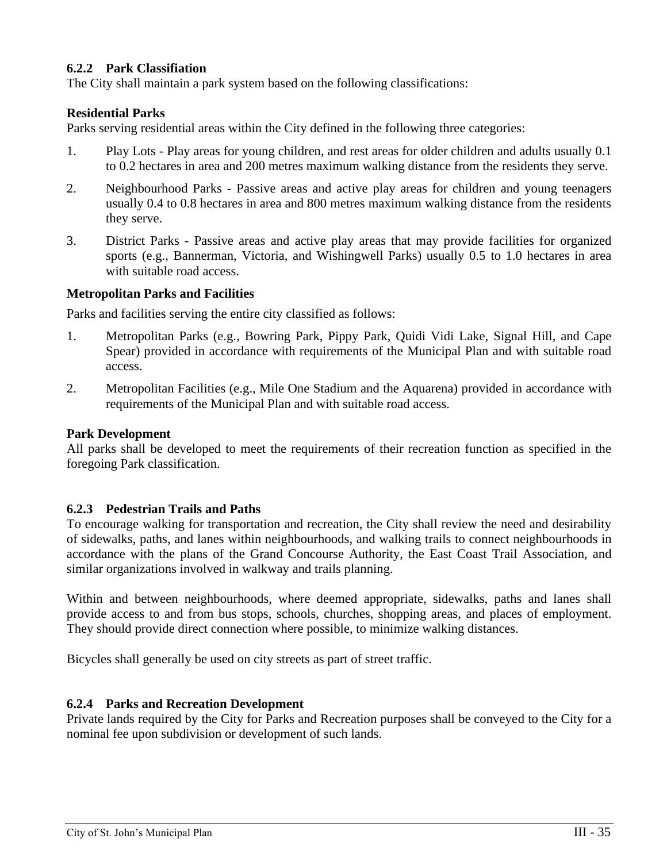# **6.2.2 Park Classifiation**

The City shall maintain a park system based on the following classifications:

# **Residential Parks**

Parks serving residential areas within the City defined in the following three categories:

- 1. Play Lots Play areas for young children, and rest areas for older children and adults usually 0.1 to 0.2 hectares in area and 200 metres maximum walking distance from the residents they serve.
- 2. Neighbourhood Parks Passive areas and active play areas for children and young teenagers usually 0.4 to 0.8 hectares in area and 800 metres maximum walking distance from the residents they serve.
- 3. District Parks Passive areas and active play areas that may provide facilities for organized sports (e.g., Bannerman, Victoria, and Wishingwell Parks) usually 0.5 to 1.0 hectares in area with suitable road access.

# **Metropolitan Parks and Facilities**

Parks and facilities serving the entire city classified as follows:

- 1. Metropolitan Parks (e.g., Bowring Park, Pippy Park, Quidi Vidi Lake, Signal Hill, and Cape Spear) provided in accordance with requirements of the Municipal Plan and with suitable road access.
- 2. Metropolitan Facilities (e.g., Mile One Stadium and the Aquarena) provided in accordance with requirements of the Municipal Plan and with suitable road access.

# **Park Development**

All parks shall be developed to meet the requirements of their recreation function as specified in the foregoing Park classification.

# **6.2.3 Pedestrian Trails and Paths**

To encourage walking for transportation and recreation, the City shall review the need and desirability of sidewalks, paths, and lanes within neighbourhoods, and walking trails to connect neighbourhoods in accordance with the plans of the Grand Concourse Authority, the East Coast Trail Association, and similar organizations involved in walkway and trails planning.

Within and between neighbourhoods, where deemed appropriate, sidewalks, paths and lanes shall provide access to and from bus stops, schools, churches, shopping areas, and places of employment. They should provide direct connection where possible, to minimize walking distances.

Bicycles shall generally be used on city streets as part of street traffic.

# **6.2.4 Parks and Recreation Development**

Private lands required by the City for Parks and Recreation purposes shall be conveyed to the City for a nominal fee upon subdivision or development of such lands.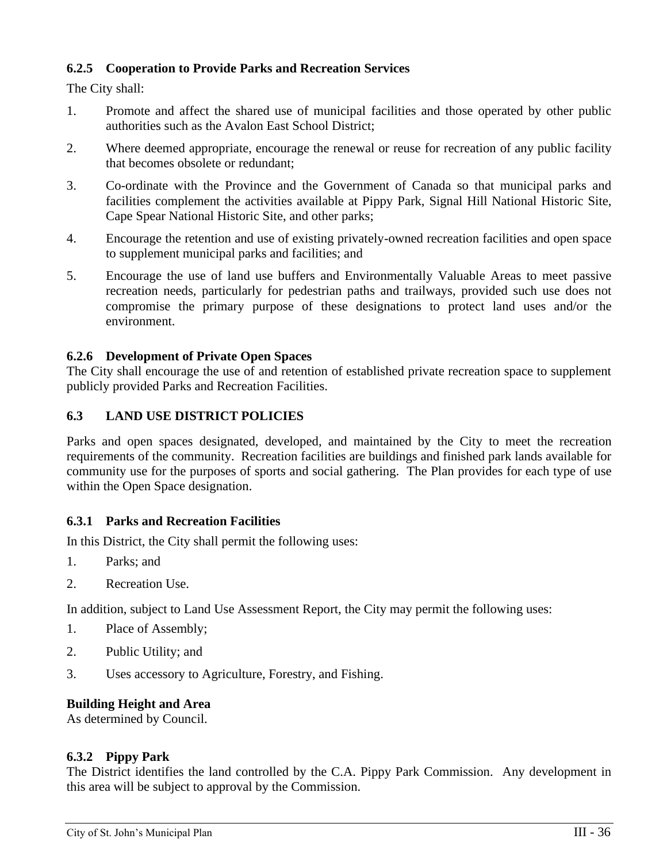# **6.2.5 Cooperation to Provide Parks and Recreation Services**

The City shall:

- 1. Promote and affect the shared use of municipal facilities and those operated by other public authorities such as the Avalon East School District;
- 2. Where deemed appropriate, encourage the renewal or reuse for recreation of any public facility that becomes obsolete or redundant;
- 3. Co-ordinate with the Province and the Government of Canada so that municipal parks and facilities complement the activities available at Pippy Park, Signal Hill National Historic Site, Cape Spear National Historic Site, and other parks;
- 4. Encourage the retention and use of existing privately-owned recreation facilities and open space to supplement municipal parks and facilities; and
- 5. Encourage the use of land use buffers and Environmentally Valuable Areas to meet passive recreation needs, particularly for pedestrian paths and trailways, provided such use does not compromise the primary purpose of these designations to protect land uses and/or the environment.

# **6.2.6 Development of Private Open Spaces**

The City shall encourage the use of and retention of established private recreation space to supplement publicly provided Parks and Recreation Facilities.

# **6.3 LAND USE DISTRICT POLICIES**

Parks and open spaces designated, developed, and maintained by the City to meet the recreation requirements of the community. Recreation facilities are buildings and finished park lands available for community use for the purposes of sports and social gathering. The Plan provides for each type of use within the Open Space designation.

# **6.3.1 Parks and Recreation Facilities**

In this District, the City shall permit the following uses:

- 1. Parks; and
- 2. Recreation Use.

In addition, subject to Land Use Assessment Report, the City may permit the following uses:

- 1. Place of Assembly;
- 2. Public Utility; and
- 3. Uses accessory to Agriculture, Forestry, and Fishing.

# **Building Height and Area**

As determined by Council.

# **6.3.2 Pippy Park**

The District identifies the land controlled by the C.A. Pippy Park Commission. Any development in this area will be subject to approval by the Commission.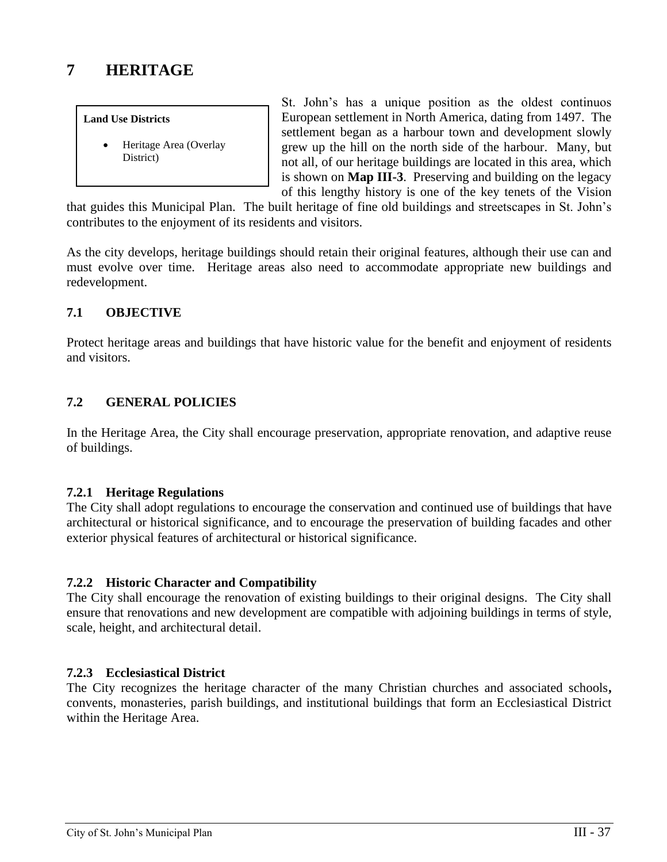# **7 HERITAGE**

#### **Land Use Districts**

• Heritage Area (Overlay District)

St. John's has a unique position as the oldest continuos European settlement in North America, dating from 1497. The settlement began as a harbour town and development slowly grew up the hill on the north side of the harbour. Many, but not all, of our heritage buildings are located in this area, which is shown on **Map III-3**. Preserving and building on the legacy of this lengthy history is one of the key tenets of the Vision

that guides this Municipal Plan. The built heritage of fine old buildings and streetscapes in St. John's contributes to the enjoyment of its residents and visitors.

As the city develops, heritage buildings should retain their original features, although their use can and must evolve over time. Heritage areas also need to accommodate appropriate new buildings and redevelopment.

# **7.1 OBJECTIVE**

Protect heritage areas and buildings that have historic value for the benefit and enjoyment of residents and visitors.

# **7.2 GENERAL POLICIES**

In the Heritage Area, the City shall encourage preservation, appropriate renovation, and adaptive reuse of buildings.

# **7.2.1 Heritage Regulations**

The City shall adopt regulations to encourage the conservation and continued use of buildings that have architectural or historical significance, and to encourage the preservation of building facades and other exterior physical features of architectural or historical significance.

# **7.2.2 Historic Character and Compatibility**

The City shall encourage the renovation of existing buildings to their original designs. The City shall ensure that renovations and new development are compatible with adjoining buildings in terms of style, scale, height, and architectural detail.

# **7.2.3 Ecclesiastical District**

The City recognizes the heritage character of the many Christian churches and associated schools**,**  convents, monasteries, parish buildings, and institutional buildings that form an Ecclesiastical District within the Heritage Area.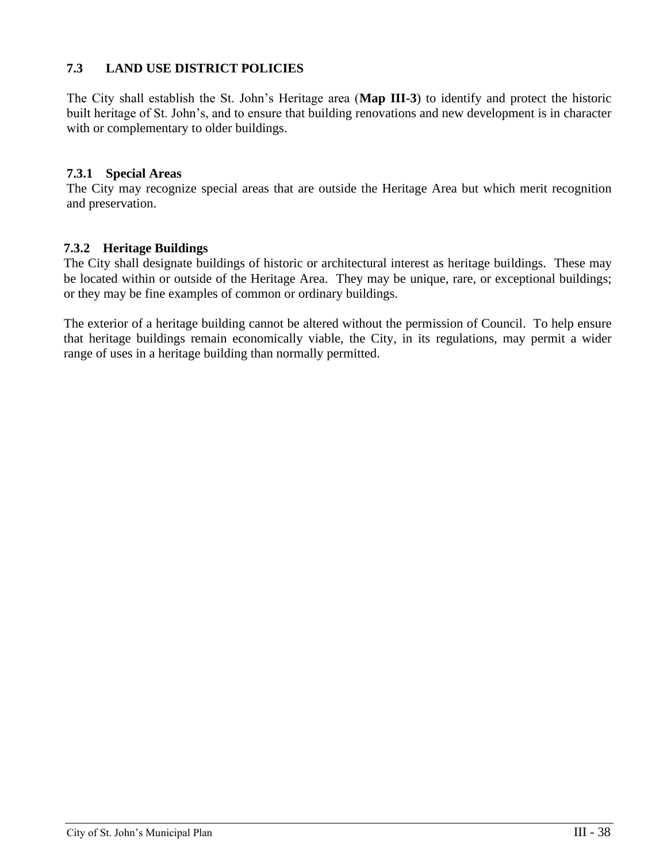# **7.3 LAND USE DISTRICT POLICIES**

The City shall establish the St. John's Heritage area (**Map III-3**) to identify and protect the historic built heritage of St. John's, and to ensure that building renovations and new development is in character with or complementary to older buildings.

#### **7.3.1 Special Areas**

The City may recognize special areas that are outside the Heritage Area but which merit recognition and preservation.

### **7.3.2 Heritage Buildings**

The City shall designate buildings of historic or architectural interest as heritage buildings. These may be located within or outside of the Heritage Area. They may be unique, rare, or exceptional buildings; or they may be fine examples of common or ordinary buildings.

The exterior of a heritage building cannot be altered without the permission of Council. To help ensure that heritage buildings remain economically viable, the City, in its regulations, may permit a wider range of uses in a heritage building than normally permitted.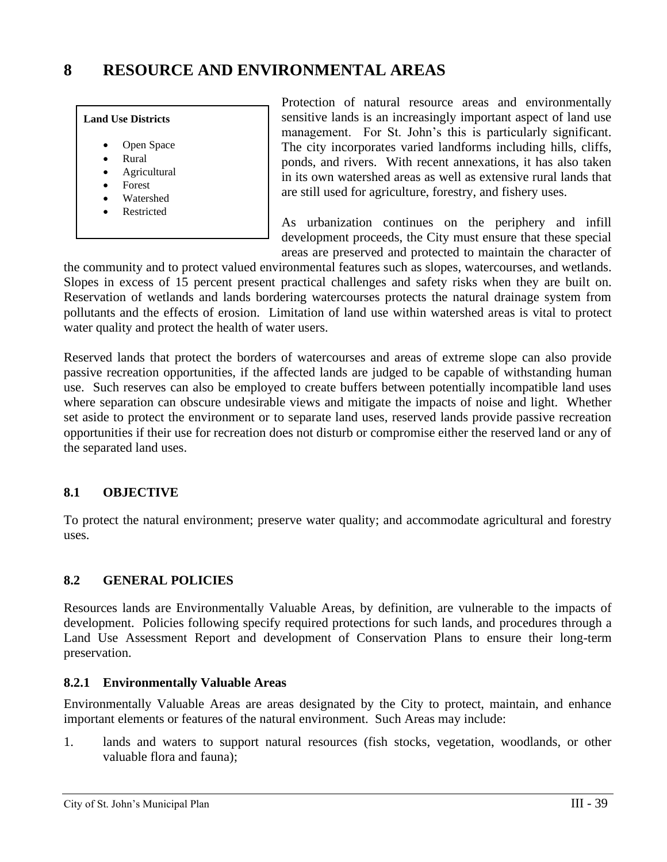# **8 RESOURCE AND ENVIRONMENTAL AREAS**

#### **Land Use Districts**

- Open Space
- Rural
- Agricultural
- Forest
- Watershed
- **Restricted**

Protection of natural resource areas and environmentally sensitive lands is an increasingly important aspect of land use management. For St. John's this is particularly significant. The city incorporates varied landforms including hills, cliffs, ponds, and rivers. With recent annexations, it has also taken in its own watershed areas as well as extensive rural lands that are still used for agriculture, forestry, and fishery uses.

As urbanization continues on the periphery and infill development proceeds, the City must ensure that these special areas are preserved and protected to maintain the character of

the community and to protect valued environmental features such as slopes, watercourses, and wetlands. Slopes in excess of 15 percent present practical challenges and safety risks when they are built on. Reservation of wetlands and lands bordering watercourses protects the natural drainage system from pollutants and the effects of erosion. Limitation of land use within watershed areas is vital to protect water quality and protect the health of water users.

Reserved lands that protect the borders of watercourses and areas of extreme slope can also provide passive recreation opportunities, if the affected lands are judged to be capable of withstanding human use. Such reserves can also be employed to create buffers between potentially incompatible land uses where separation can obscure undesirable views and mitigate the impacts of noise and light. Whether set aside to protect the environment or to separate land uses, reserved lands provide passive recreation opportunities if their use for recreation does not disturb or compromise either the reserved land or any of the separated land uses.

# **8.1 OBJECTIVE**

To protect the natural environment; preserve water quality; and accommodate agricultural and forestry uses.

# **8.2 GENERAL POLICIES**

Resources lands are Environmentally Valuable Areas, by definition, are vulnerable to the impacts of development. Policies following specify required protections for such lands, and procedures through a Land Use Assessment Report and development of Conservation Plans to ensure their long-term preservation.

# **8.2.1 Environmentally Valuable Areas**

Environmentally Valuable Areas are areas designated by the City to protect, maintain, and enhance important elements or features of the natural environment. Such Areas may include:

1. lands and waters to support natural resources (fish stocks, vegetation, woodlands, or other valuable flora and fauna);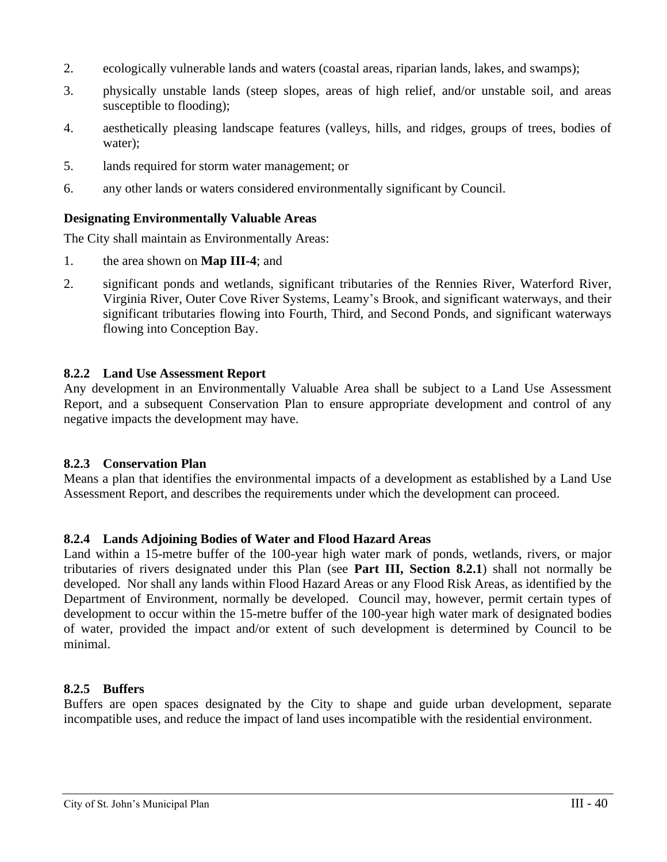- 2. ecologically vulnerable lands and waters (coastal areas, riparian lands, lakes, and swamps);
- 3. physically unstable lands (steep slopes, areas of high relief, and/or unstable soil, and areas susceptible to flooding);
- 4. aesthetically pleasing landscape features (valleys, hills, and ridges, groups of trees, bodies of water);
- 5. lands required for storm water management; or
- 6. any other lands or waters considered environmentally significant by Council.

# **Designating Environmentally Valuable Areas**

The City shall maintain as Environmentally Areas:

- 1. the area shown on **Map III-4**; and
- 2. significant ponds and wetlands, significant tributaries of the Rennies River, Waterford River, Virginia River, Outer Cove River Systems, Leamy's Brook, and significant waterways, and their significant tributaries flowing into Fourth, Third, and Second Ponds, and significant waterways flowing into Conception Bay.

### **8.2.2 Land Use Assessment Report**

Any development in an Environmentally Valuable Area shall be subject to a Land Use Assessment Report, and a subsequent Conservation Plan to ensure appropriate development and control of any negative impacts the development may have.

#### **8.2.3 Conservation Plan**

Means a plan that identifies the environmental impacts of a development as established by a Land Use Assessment Report, and describes the requirements under which the development can proceed.

#### **8.2.4 Lands Adjoining Bodies of Water and Flood Hazard Areas**

Land within a 15-metre buffer of the 100-year high water mark of ponds, wetlands, rivers, or major tributaries of rivers designated under this Plan (see **Part III, Section 8.2.1**) shall not normally be developed. Nor shall any lands within Flood Hazard Areas or any Flood Risk Areas, as identified by the Department of Environment, normally be developed. Council may, however, permit certain types of development to occur within the 15-metre buffer of the 100-year high water mark of designated bodies of water, provided the impact and/or extent of such development is determined by Council to be minimal.

#### **8.2.5 Buffers**

Buffers are open spaces designated by the City to shape and guide urban development, separate incompatible uses, and reduce the impact of land uses incompatible with the residential environment.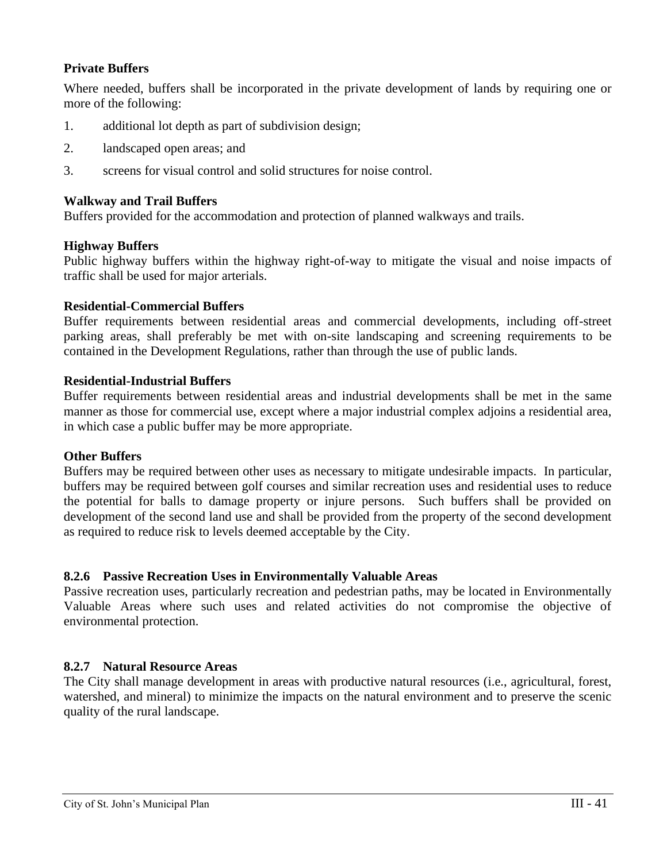# **Private Buffers**

Where needed, buffers shall be incorporated in the private development of lands by requiring one or more of the following:

- 1. additional lot depth as part of subdivision design;
- 2. landscaped open areas; and
- 3. screens for visual control and solid structures for noise control.

### **Walkway and Trail Buffers**

Buffers provided for the accommodation and protection of planned walkways and trails.

### **Highway Buffers**

Public highway buffers within the highway right-of-way to mitigate the visual and noise impacts of traffic shall be used for major arterials.

### **Residential-Commercial Buffers**

Buffer requirements between residential areas and commercial developments, including off-street parking areas, shall preferably be met with on-site landscaping and screening requirements to be contained in the Development Regulations, rather than through the use of public lands.

### **Residential-Industrial Buffers**

Buffer requirements between residential areas and industrial developments shall be met in the same manner as those for commercial use, except where a major industrial complex adjoins a residential area, in which case a public buffer may be more appropriate.

#### **Other Buffers**

Buffers may be required between other uses as necessary to mitigate undesirable impacts. In particular, buffers may be required between golf courses and similar recreation uses and residential uses to reduce the potential for balls to damage property or injure persons. Such buffers shall be provided on development of the second land use and shall be provided from the property of the second development as required to reduce risk to levels deemed acceptable by the City.

# **8.2.6 Passive Recreation Uses in Environmentally Valuable Areas**

Passive recreation uses, particularly recreation and pedestrian paths, may be located in Environmentally Valuable Areas where such uses and related activities do not compromise the objective of environmental protection.

# **8.2.7 Natural Resource Areas**

The City shall manage development in areas with productive natural resources (i.e., agricultural, forest, watershed, and mineral) to minimize the impacts on the natural environment and to preserve the scenic quality of the rural landscape.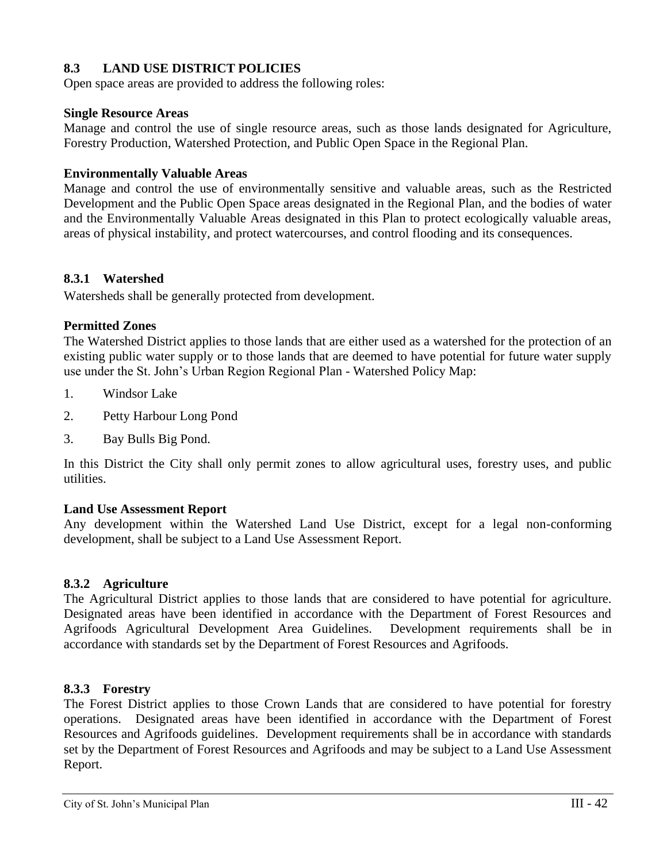# **8.3 LAND USE DISTRICT POLICIES**

Open space areas are provided to address the following roles:

### **Single Resource Areas**

Manage and control the use of single resource areas, such as those lands designated for Agriculture, Forestry Production, Watershed Protection, and Public Open Space in the Regional Plan.

### **Environmentally Valuable Areas**

Manage and control the use of environmentally sensitive and valuable areas, such as the Restricted Development and the Public Open Space areas designated in the Regional Plan, and the bodies of water and the Environmentally Valuable Areas designated in this Plan to protect ecologically valuable areas, areas of physical instability, and protect watercourses, and control flooding and its consequences.

# **8.3.1 Watershed**

Watersheds shall be generally protected from development.

### **Permitted Zones**

The Watershed District applies to those lands that are either used as a watershed for the protection of an existing public water supply or to those lands that are deemed to have potential for future water supply use under the St. John's Urban Region Regional Plan - Watershed Policy Map:

- 1. Windsor Lake
- 2. Petty Harbour Long Pond
- 3. Bay Bulls Big Pond.

In this District the City shall only permit zones to allow agricultural uses, forestry uses, and public utilities.

#### **Land Use Assessment Report**

Any development within the Watershed Land Use District, except for a legal non-conforming development, shall be subject to a Land Use Assessment Report.

# **8.3.2 Agriculture**

The Agricultural District applies to those lands that are considered to have potential for agriculture. Designated areas have been identified in accordance with the Department of Forest Resources and Agrifoods Agricultural Development Area Guidelines. Development requirements shall be in accordance with standards set by the Department of Forest Resources and Agrifoods.

# **8.3.3 Forestry**

The Forest District applies to those Crown Lands that are considered to have potential for forestry operations. Designated areas have been identified in accordance with the Department of Forest Resources and Agrifoods guidelines. Development requirements shall be in accordance with standards set by the Department of Forest Resources and Agrifoods and may be subject to a Land Use Assessment Report.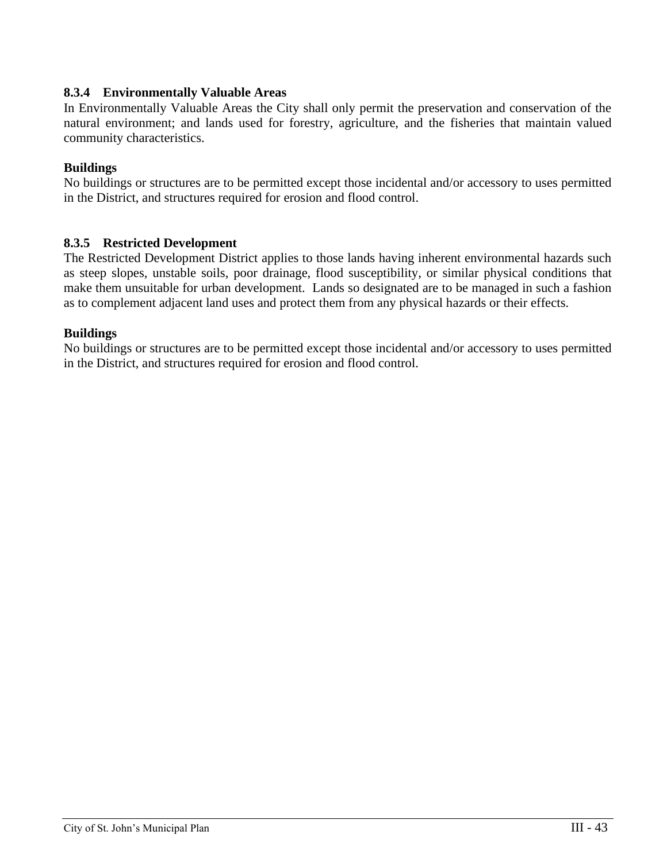# **8.3.4 Environmentally Valuable Areas**

In Environmentally Valuable Areas the City shall only permit the preservation and conservation of the natural environment; and lands used for forestry, agriculture, and the fisheries that maintain valued community characteristics.

# **Buildings**

No buildings or structures are to be permitted except those incidental and/or accessory to uses permitted in the District, and structures required for erosion and flood control.

# **8.3.5 Restricted Development**

The Restricted Development District applies to those lands having inherent environmental hazards such as steep slopes, unstable soils, poor drainage, flood susceptibility, or similar physical conditions that make them unsuitable for urban development. Lands so designated are to be managed in such a fashion as to complement adjacent land uses and protect them from any physical hazards or their effects.

# **Buildings**

No buildings or structures are to be permitted except those incidental and/or accessory to uses permitted in the District, and structures required for erosion and flood control.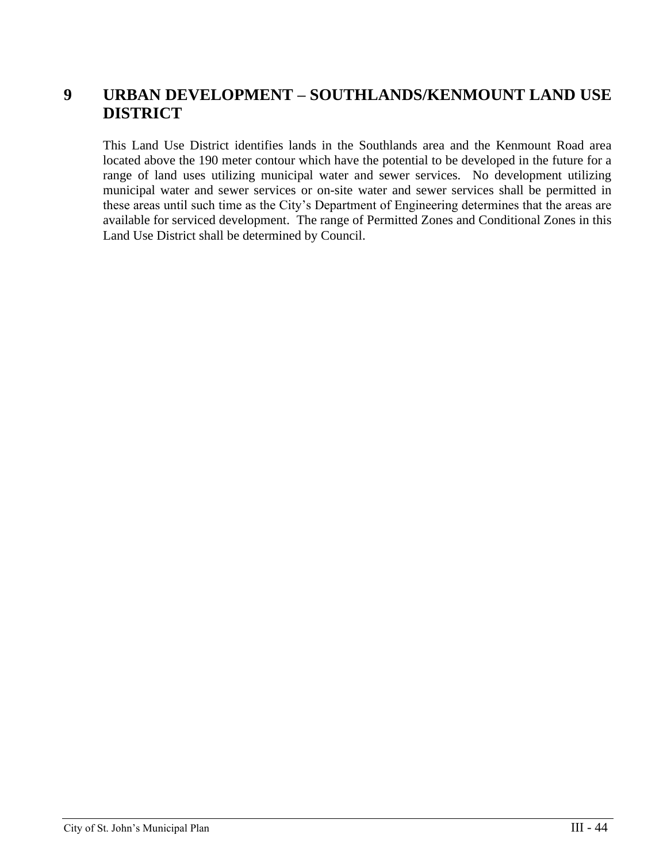# **9 URBAN DEVELOPMENT – SOUTHLANDS/KENMOUNT LAND USE DISTRICT**

This Land Use District identifies lands in the Southlands area and the Kenmount Road area located above the 190 meter contour which have the potential to be developed in the future for a range of land uses utilizing municipal water and sewer services. No development utilizing municipal water and sewer services or on-site water and sewer services shall be permitted in these areas until such time as the City's Department of Engineering determines that the areas are available for serviced development. The range of Permitted Zones and Conditional Zones in this Land Use District shall be determined by Council.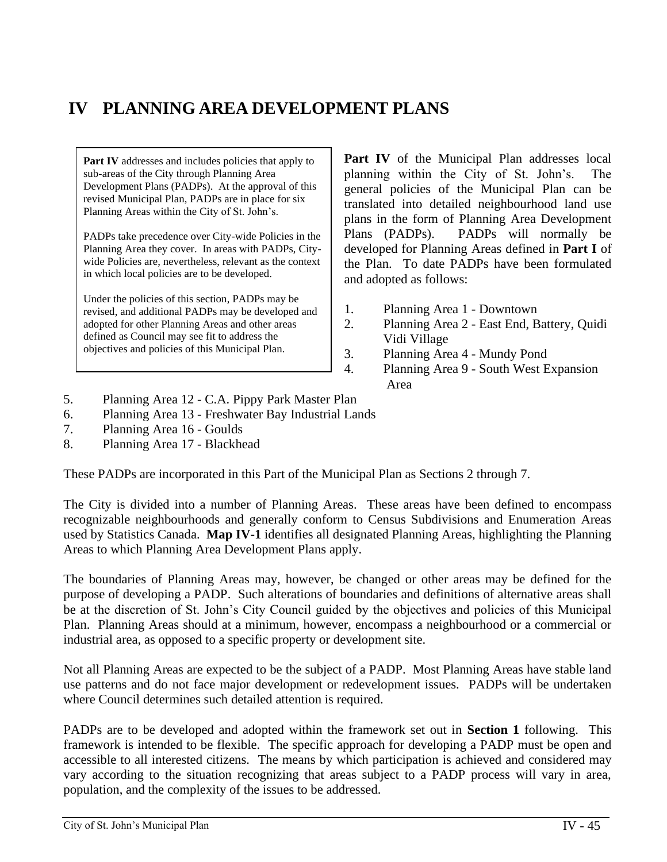# **IV PLANNING AREA DEVELOPMENT PLANS**

**Part IV** addresses and includes policies that apply to sub-areas of the City through Planning Area Development Plans (PADPs). At the approval of this revised Municipal Plan, PADPs are in place for six Planning Areas within the City of St. John's.

PADPs take precedence over City-wide Policies in the Planning Area they cover. In areas with PADPs, Citywide Policies are, nevertheless, relevant as the context in which local policies are to be developed.

Under the policies of this section, PADPs may be revised, and additional PADPs may be developed and adopted for other Planning Areas and other areas defined as Council may see fit to address the objectives and policies of this Municipal Plan.

Part IV of the Municipal Plan addresses local planning within the City of St. John's. The general policies of the Municipal Plan can be translated into detailed neighbourhood land use plans in the form of Planning Area Development Plans (PADPs). PADPs will normally be developed for Planning Areas defined in **Part I** of the Plan. To date PADPs have been formulated and adopted as follows:

- 1. Planning Area 1 Downtown
- 2. Planning Area 2 East End, Battery, Quidi Vidi Village
- 3. Planning Area 4 Mundy Pond
- 4. Planning Area 9 South West Expansion Area
- 5. Planning Area 12 C.A. Pippy Park Master Plan
- 6. Planning Area 13 Freshwater Bay Industrial Lands
- 7. Planning Area 16 Goulds
- 8. Planning Area 17 Blackhead

These PADPs are incorporated in this Part of the Municipal Plan as Sections 2 through 7.

The City is divided into a number of Planning Areas. These areas have been defined to encompass recognizable neighbourhoods and generally conform to Census Subdivisions and Enumeration Areas used by Statistics Canada. **Map IV-1** identifies all designated Planning Areas, highlighting the Planning Areas to which Planning Area Development Plans apply.

The boundaries of Planning Areas may, however, be changed or other areas may be defined for the purpose of developing a PADP. Such alterations of boundaries and definitions of alternative areas shall be at the discretion of St. John's City Council guided by the objectives and policies of this Municipal Plan. Planning Areas should at a minimum, however, encompass a neighbourhood or a commercial or industrial area, as opposed to a specific property or development site.

Not all Planning Areas are expected to be the subject of a PADP. Most Planning Areas have stable land use patterns and do not face major development or redevelopment issues. PADPs will be undertaken where Council determines such detailed attention is required.

PADPs are to be developed and adopted within the framework set out in **Section 1** following. This framework is intended to be flexible. The specific approach for developing a PADP must be open and accessible to all interested citizens. The means by which participation is achieved and considered may vary according to the situation recognizing that areas subject to a PADP process will vary in area, population, and the complexity of the issues to be addressed.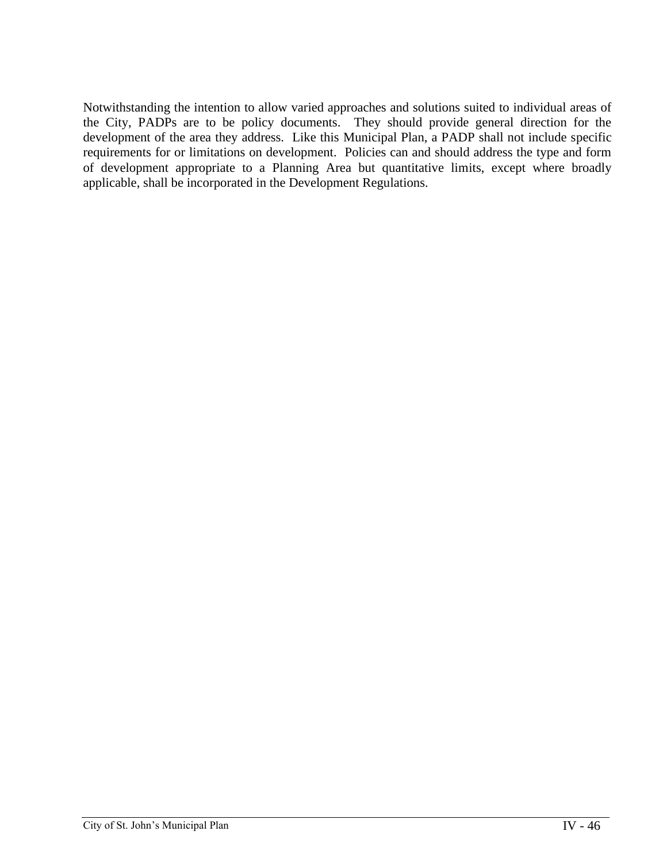Notwithstanding the intention to allow varied approaches and solutions suited to individual areas of the City, PADPs are to be policy documents. They should provide general direction for the development of the area they address. Like this Municipal Plan, a PADP shall not include specific requirements for or limitations on development. Policies can and should address the type and form of development appropriate to a Planning Area but quantitative limits, except where broadly applicable, shall be incorporated in the Development Regulations.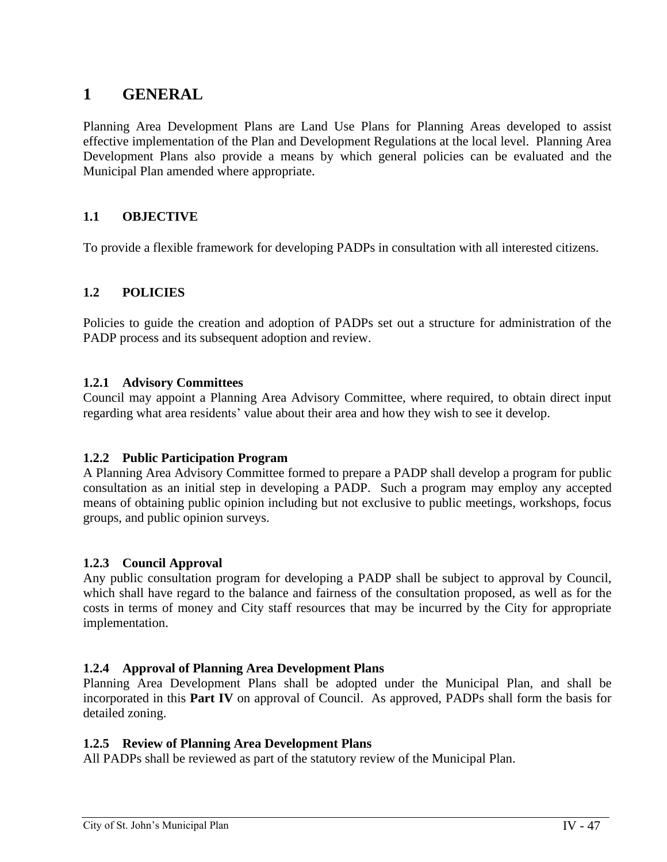# **1 GENERAL**

Planning Area Development Plans are Land Use Plans for Planning Areas developed to assist effective implementation of the Plan and Development Regulations at the local level. Planning Area Development Plans also provide a means by which general policies can be evaluated and the Municipal Plan amended where appropriate.

# **1.1 OBJECTIVE**

To provide a flexible framework for developing PADPs in consultation with all interested citizens.

# **1.2 POLICIES**

Policies to guide the creation and adoption of PADPs set out a structure for administration of the PADP process and its subsequent adoption and review.

# **1.2.1 Advisory Committees**

Council may appoint a Planning Area Advisory Committee, where required, to obtain direct input regarding what area residents' value about their area and how they wish to see it develop.

# **1.2.2 Public Participation Program**

A Planning Area Advisory Committee formed to prepare a PADP shall develop a program for public consultation as an initial step in developing a PADP. Such a program may employ any accepted means of obtaining public opinion including but not exclusive to public meetings, workshops, focus groups, and public opinion surveys.

# **1.2.3 Council Approval**

Any public consultation program for developing a PADP shall be subject to approval by Council, which shall have regard to the balance and fairness of the consultation proposed, as well as for the costs in terms of money and City staff resources that may be incurred by the City for appropriate implementation.

# **1.2.4 Approval of Planning Area Development Plans**

Planning Area Development Plans shall be adopted under the Municipal Plan, and shall be incorporated in this **Part IV** on approval of Council. As approved, PADPs shall form the basis for detailed zoning.

#### **1.2.5 Review of Planning Area Development Plans**

All PADPs shall be reviewed as part of the statutory review of the Municipal Plan.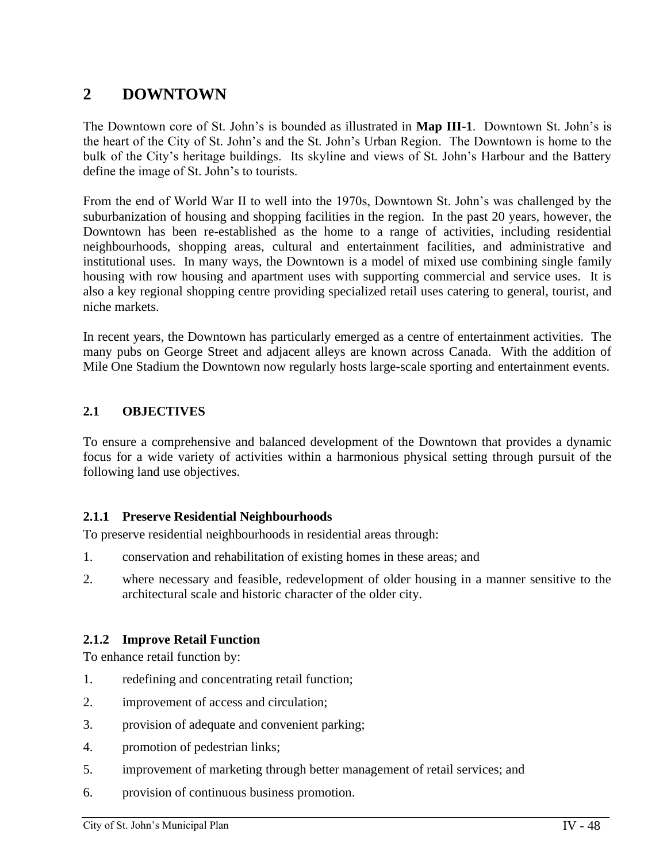# **2 DOWNTOWN**

The Downtown core of St. John's is bounded as illustrated in **Map III-1**. Downtown St. John's is the heart of the City of St. John's and the St. John's Urban Region. The Downtown is home to the bulk of the City's heritage buildings. Its skyline and views of St. John's Harbour and the Battery define the image of St. John's to tourists.

From the end of World War II to well into the 1970s, Downtown St. John's was challenged by the suburbanization of housing and shopping facilities in the region. In the past 20 years, however, the Downtown has been re-established as the home to a range of activities, including residential neighbourhoods, shopping areas, cultural and entertainment facilities, and administrative and institutional uses. In many ways, the Downtown is a model of mixed use combining single family housing with row housing and apartment uses with supporting commercial and service uses. It is also a key regional shopping centre providing specialized retail uses catering to general, tourist, and niche markets.

In recent years, the Downtown has particularly emerged as a centre of entertainment activities. The many pubs on George Street and adjacent alleys are known across Canada. With the addition of Mile One Stadium the Downtown now regularly hosts large-scale sporting and entertainment events.

# **2.1 OBJECTIVES**

To ensure a comprehensive and balanced development of the Downtown that provides a dynamic focus for a wide variety of activities within a harmonious physical setting through pursuit of the following land use objectives.

# **2.1.1 Preserve Residential Neighbourhoods**

To preserve residential neighbourhoods in residential areas through:

- 1. conservation and rehabilitation of existing homes in these areas; and
- 2. where necessary and feasible, redevelopment of older housing in a manner sensitive to the architectural scale and historic character of the older city.

# **2.1.2 Improve Retail Function**

To enhance retail function by:

- 1. redefining and concentrating retail function;
- 2. improvement of access and circulation;
- 3. provision of adequate and convenient parking;
- 4. promotion of pedestrian links;
- 5. improvement of marketing through better management of retail services; and
- 6. provision of continuous business promotion.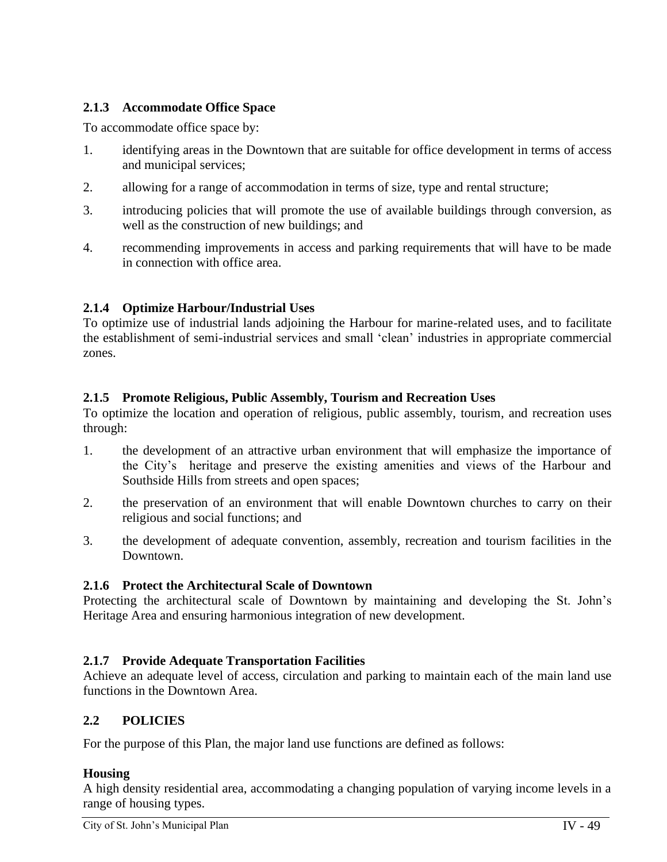# **2.1.3 Accommodate Office Space**

To accommodate office space by:

- 1. identifying areas in the Downtown that are suitable for office development in terms of access and municipal services;
- 2. allowing for a range of accommodation in terms of size, type and rental structure;
- 3. introducing policies that will promote the use of available buildings through conversion, as well as the construction of new buildings; and
- 4. recommending improvements in access and parking requirements that will have to be made in connection with office area.

# **2.1.4 Optimize Harbour/Industrial Uses**

To optimize use of industrial lands adjoining the Harbour for marine-related uses, and to facilitate the establishment of semi-industrial services and small 'clean' industries in appropriate commercial zones.

# **2.1.5 Promote Religious, Public Assembly, Tourism and Recreation Uses**

To optimize the location and operation of religious, public assembly, tourism, and recreation uses through:

- 1. the development of an attractive urban environment that will emphasize the importance of the City's heritage and preserve the existing amenities and views of the Harbour and Southside Hills from streets and open spaces;
- 2. the preservation of an environment that will enable Downtown churches to carry on their religious and social functions; and
- 3. the development of adequate convention, assembly, recreation and tourism facilities in the Downtown.

# **2.1.6 Protect the Architectural Scale of Downtown**

Protecting the architectural scale of Downtown by maintaining and developing the St. John's Heritage Area and ensuring harmonious integration of new development.

# **2.1.7 Provide Adequate Transportation Facilities**

Achieve an adequate level of access, circulation and parking to maintain each of the main land use functions in the Downtown Area.

# **2.2 POLICIES**

For the purpose of this Plan, the major land use functions are defined as follows:

# **Housing**

A high density residential area, accommodating a changing population of varying income levels in a range of housing types.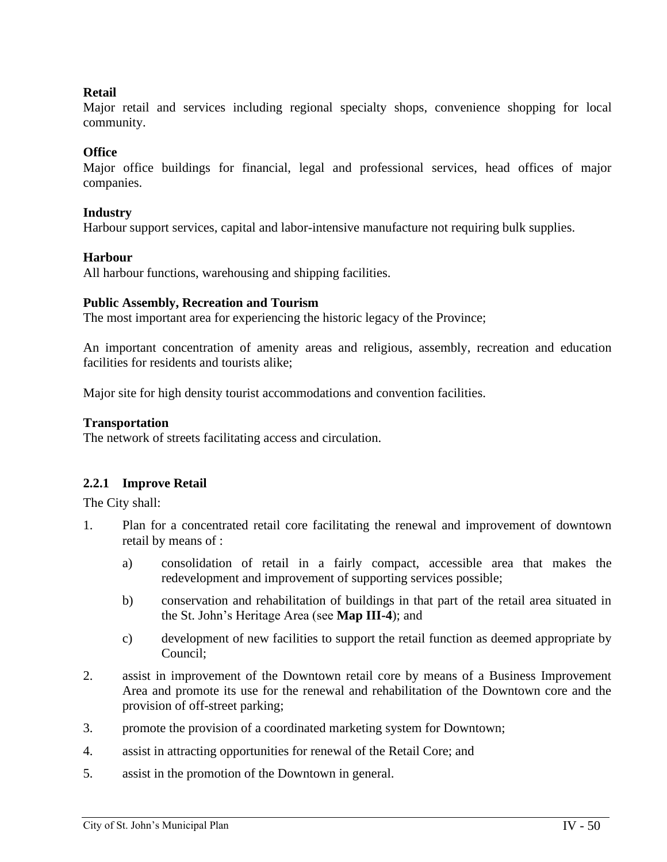# **Retail**

Major retail and services including regional specialty shops, convenience shopping for local community.

# **Office**

Major office buildings for financial, legal and professional services, head offices of major companies.

# **Industry**

Harbour support services, capital and labor-intensive manufacture not requiring bulk supplies.

# **Harbour**

All harbour functions, warehousing and shipping facilities.

### **Public Assembly, Recreation and Tourism**

The most important area for experiencing the historic legacy of the Province;

An important concentration of amenity areas and religious, assembly, recreation and education facilities for residents and tourists alike;

Major site for high density tourist accommodations and convention facilities.

### **Transportation**

The network of streets facilitating access and circulation.

# **2.2.1 Improve Retail**

The City shall:

- 1. Plan for a concentrated retail core facilitating the renewal and improvement of downtown retail by means of :
	- a) consolidation of retail in a fairly compact, accessible area that makes the redevelopment and improvement of supporting services possible;
	- b) conservation and rehabilitation of buildings in that part of the retail area situated in the St. John's Heritage Area (see **Map III-4**); and
	- c) development of new facilities to support the retail function as deemed appropriate by Council;
- 2. assist in improvement of the Downtown retail core by means of a Business Improvement Area and promote its use for the renewal and rehabilitation of the Downtown core and the provision of off-street parking;
- 3. promote the provision of a coordinated marketing system for Downtown;
- 4. assist in attracting opportunities for renewal of the Retail Core; and
- 5. assist in the promotion of the Downtown in general.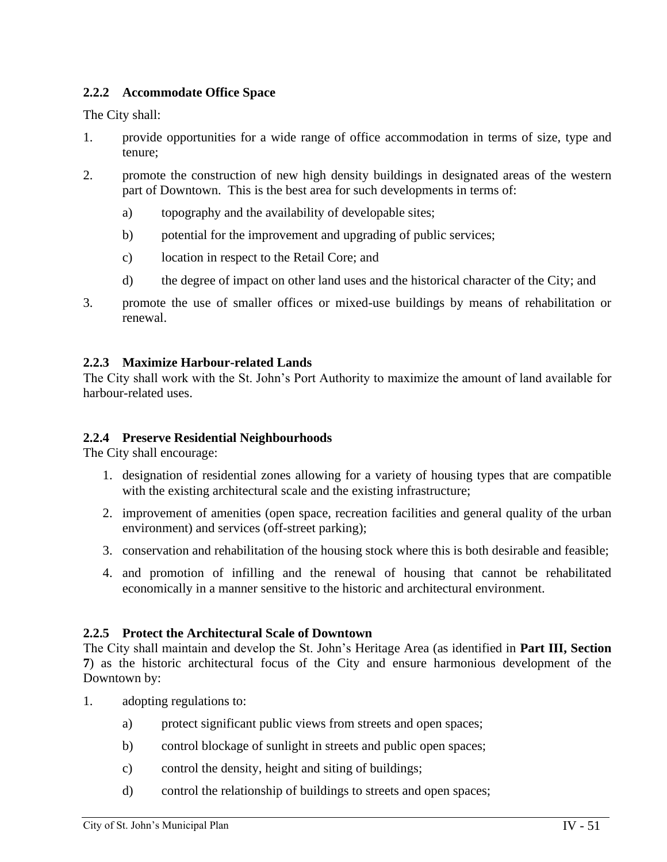# **2.2.2 Accommodate Office Space**

The City shall:

- 1. provide opportunities for a wide range of office accommodation in terms of size, type and tenure;
- 2. promote the construction of new high density buildings in designated areas of the western part of Downtown. This is the best area for such developments in terms of:
	- a) topography and the availability of developable sites;
	- b) potential for the improvement and upgrading of public services;
	- c) location in respect to the Retail Core; and
	- d) the degree of impact on other land uses and the historical character of the City; and
- 3. promote the use of smaller offices or mixed-use buildings by means of rehabilitation or renewal.

# **2.2.3 Maximize Harbour-related Lands**

The City shall work with the St. John's Port Authority to maximize the amount of land available for harbour-related uses.

# **2.2.4 Preserve Residential Neighbourhoods**

The City shall encourage:

- 1. designation of residential zones allowing for a variety of housing types that are compatible with the existing architectural scale and the existing infrastructure;
- 2. improvement of amenities (open space, recreation facilities and general quality of the urban environment) and services (off-street parking);
- 3. conservation and rehabilitation of the housing stock where this is both desirable and feasible;
- 4. and promotion of infilling and the renewal of housing that cannot be rehabilitated economically in a manner sensitive to the historic and architectural environment.

# **2.2.5 Protect the Architectural Scale of Downtown**

The City shall maintain and develop the St. John's Heritage Area (as identified in **Part III, Section 7**) as the historic architectural focus of the City and ensure harmonious development of the Downtown by:

- 1. adopting regulations to:
	- a) protect significant public views from streets and open spaces;
	- b) control blockage of sunlight in streets and public open spaces;
	- c) control the density, height and siting of buildings;
	- d) control the relationship of buildings to streets and open spaces;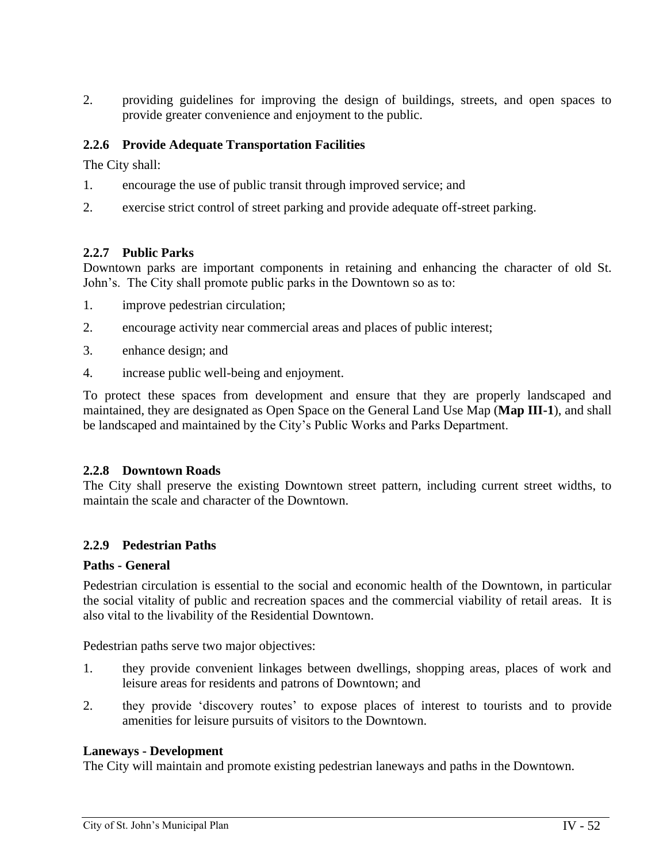2. providing guidelines for improving the design of buildings, streets, and open spaces to provide greater convenience and enjoyment to the public.

# **2.2.6 Provide Adequate Transportation Facilities**

The City shall:

- 1. encourage the use of public transit through improved service; and
- 2. exercise strict control of street parking and provide adequate off-street parking.

# **2.2.7 Public Parks**

Downtown parks are important components in retaining and enhancing the character of old St. John's. The City shall promote public parks in the Downtown so as to:

- 1. improve pedestrian circulation;
- 2. encourage activity near commercial areas and places of public interest;
- 3. enhance design; and
- 4. increase public well-being and enjoyment.

To protect these spaces from development and ensure that they are properly landscaped and maintained, they are designated as Open Space on the General Land Use Map (**Map III-1**), and shall be landscaped and maintained by the City's Public Works and Parks Department.

# **2.2.8 Downtown Roads**

The City shall preserve the existing Downtown street pattern, including current street widths, to maintain the scale and character of the Downtown.

# **2.2.9 Pedestrian Paths**

# **Paths - General**

Pedestrian circulation is essential to the social and economic health of the Downtown, in particular the social vitality of public and recreation spaces and the commercial viability of retail areas. It is also vital to the livability of the Residential Downtown.

Pedestrian paths serve two major objectives:

- 1. they provide convenient linkages between dwellings, shopping areas, places of work and leisure areas for residents and patrons of Downtown; and
- 2. they provide 'discovery routes' to expose places of interest to tourists and to provide amenities for leisure pursuits of visitors to the Downtown.

# **Laneways - Development**

The City will maintain and promote existing pedestrian laneways and paths in the Downtown.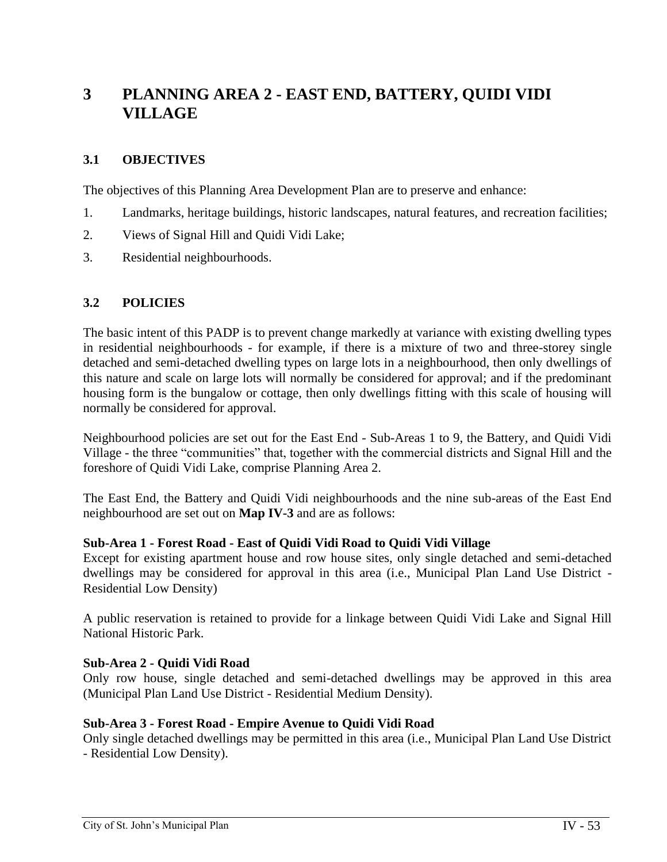# **3 PLANNING AREA 2 - EAST END, BATTERY, QUIDI VIDI VILLAGE**

# **3.1 OBJECTIVES**

The objectives of this Planning Area Development Plan are to preserve and enhance:

- 1. Landmarks, heritage buildings, historic landscapes, natural features, and recreation facilities;
- 2. Views of Signal Hill and Quidi Vidi Lake;
- 3. Residential neighbourhoods.

# **3.2 POLICIES**

The basic intent of this PADP is to prevent change markedly at variance with existing dwelling types in residential neighbourhoods - for example, if there is a mixture of two and three-storey single detached and semi-detached dwelling types on large lots in a neighbourhood, then only dwellings of this nature and scale on large lots will normally be considered for approval; and if the predominant housing form is the bungalow or cottage, then only dwellings fitting with this scale of housing will normally be considered for approval.

Neighbourhood policies are set out for the East End - Sub-Areas 1 to 9, the Battery, and Quidi Vidi Village - the three "communities" that, together with the commercial districts and Signal Hill and the foreshore of Quidi Vidi Lake, comprise Planning Area 2.

The East End, the Battery and Quidi Vidi neighbourhoods and the nine sub-areas of the East End neighbourhood are set out on **Map IV-3** and are as follows:

#### **Sub-Area 1 - Forest Road - East of Quidi Vidi Road to Quidi Vidi Village**

Except for existing apartment house and row house sites, only single detached and semi-detached dwellings may be considered for approval in this area (i.e., Municipal Plan Land Use District - Residential Low Density)

A public reservation is retained to provide for a linkage between Quidi Vidi Lake and Signal Hill National Historic Park.

# **Sub-Area 2 - Quidi Vidi Road**

Only row house, single detached and semi-detached dwellings may be approved in this area (Municipal Plan Land Use District - Residential Medium Density).

# **Sub-Area 3 - Forest Road - Empire Avenue to Quidi Vidi Road**

Only single detached dwellings may be permitted in this area (i.e., Municipal Plan Land Use District - Residential Low Density).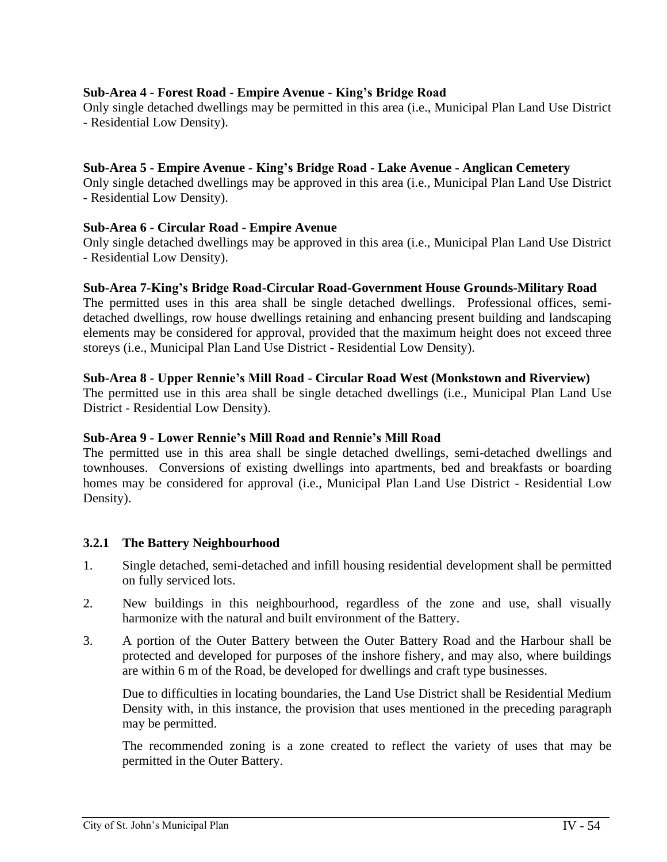# **Sub-Area 4 - Forest Road - Empire Avenue - King's Bridge Road**

Only single detached dwellings may be permitted in this area (i.e., Municipal Plan Land Use District - Residential Low Density).

### **Sub-Area 5 - Empire Avenue - King's Bridge Road - Lake Avenue - Anglican Cemetery**

Only single detached dwellings may be approved in this area (i.e., Municipal Plan Land Use District - Residential Low Density).

#### **Sub-Area 6 - Circular Road - Empire Avenue**

Only single detached dwellings may be approved in this area (i.e., Municipal Plan Land Use District - Residential Low Density).

#### **Sub-Area 7-King's Bridge Road-Circular Road-Government House Grounds-Military Road**

The permitted uses in this area shall be single detached dwellings. Professional offices, semidetached dwellings, row house dwellings retaining and enhancing present building and landscaping elements may be considered for approval, provided that the maximum height does not exceed three storeys (i.e., Municipal Plan Land Use District - Residential Low Density).

#### **Sub-Area 8 - Upper Rennie's Mill Road - Circular Road West (Monkstown and Riverview)**

The permitted use in this area shall be single detached dwellings (i.e., Municipal Plan Land Use District - Residential Low Density).

#### **Sub-Area 9 - Lower Rennie's Mill Road and Rennie's Mill Road**

The permitted use in this area shall be single detached dwellings, semi-detached dwellings and townhouses. Conversions of existing dwellings into apartments, bed and breakfasts or boarding homes may be considered for approval (i.e., Municipal Plan Land Use District - Residential Low Density).

#### **3.2.1 The Battery Neighbourhood**

- 1. Single detached, semi-detached and infill housing residential development shall be permitted on fully serviced lots.
- 2. New buildings in this neighbourhood, regardless of the zone and use, shall visually harmonize with the natural and built environment of the Battery.
- 3. A portion of the Outer Battery between the Outer Battery Road and the Harbour shall be protected and developed for purposes of the inshore fishery, and may also, where buildings are within 6 m of the Road, be developed for dwellings and craft type businesses.

Due to difficulties in locating boundaries, the Land Use District shall be Residential Medium Density with, in this instance, the provision that uses mentioned in the preceding paragraph may be permitted.

The recommended zoning is a zone created to reflect the variety of uses that may be permitted in the Outer Battery.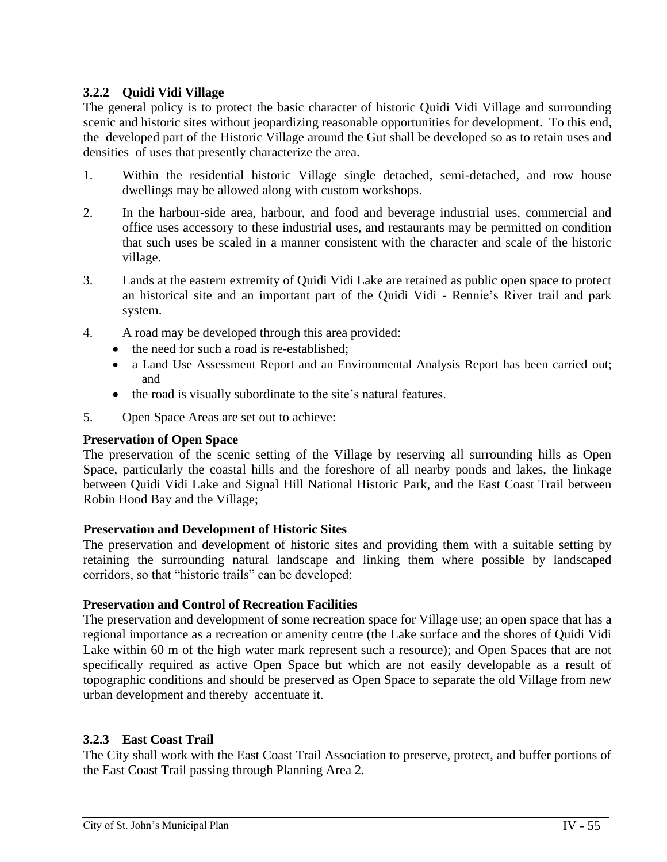# **3.2.2 Quidi Vidi Village**

The general policy is to protect the basic character of historic Quidi Vidi Village and surrounding scenic and historic sites without jeopardizing reasonable opportunities for development. To this end, the developed part of the Historic Village around the Gut shall be developed so as to retain uses and densities of uses that presently characterize the area.

- 1. Within the residential historic Village single detached, semi-detached, and row house dwellings may be allowed along with custom workshops.
- 2. In the harbour-side area, harbour, and food and beverage industrial uses, commercial and office uses accessory to these industrial uses, and restaurants may be permitted on condition that such uses be scaled in a manner consistent with the character and scale of the historic village.
- 3. Lands at the eastern extremity of Quidi Vidi Lake are retained as public open space to protect an historical site and an important part of the Quidi Vidi - Rennie's River trail and park system.
- 4. A road may be developed through this area provided:
	- the need for such a road is re-established;
	- a Land Use Assessment Report and an Environmental Analysis Report has been carried out; and
	- the road is visually subordinate to the site's natural features.
- 5. Open Space Areas are set out to achieve:

# **Preservation of Open Space**

The preservation of the scenic setting of the Village by reserving all surrounding hills as Open Space, particularly the coastal hills and the foreshore of all nearby ponds and lakes, the linkage between Quidi Vidi Lake and Signal Hill National Historic Park, and the East Coast Trail between Robin Hood Bay and the Village;

# **Preservation and Development of Historic Sites**

The preservation and development of historic sites and providing them with a suitable setting by retaining the surrounding natural landscape and linking them where possible by landscaped corridors, so that "historic trails" can be developed;

# **Preservation and Control of Recreation Facilities**

The preservation and development of some recreation space for Village use; an open space that has a regional importance as a recreation or amenity centre (the Lake surface and the shores of Quidi Vidi Lake within 60 m of the high water mark represent such a resource); and Open Spaces that are not specifically required as active Open Space but which are not easily developable as a result of topographic conditions and should be preserved as Open Space to separate the old Village from new urban development and thereby accentuate it.

# **3.2.3 East Coast Trail**

The City shall work with the East Coast Trail Association to preserve, protect, and buffer portions of the East Coast Trail passing through Planning Area 2.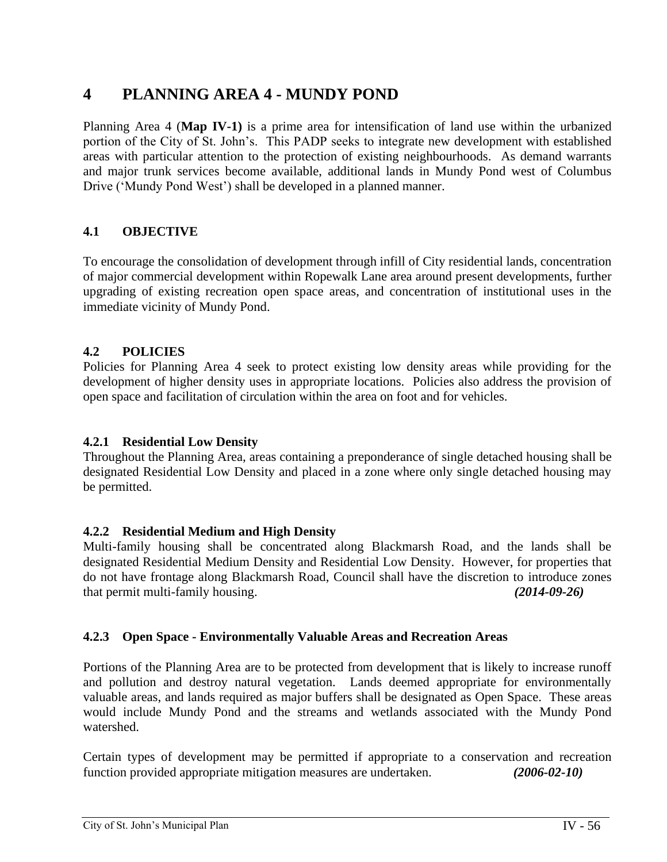# **4 PLANNING AREA 4 - MUNDY POND**

Planning Area 4 (**Map IV-1)** is a prime area for intensification of land use within the urbanized portion of the City of St. John's. This PADP seeks to integrate new development with established areas with particular attention to the protection of existing neighbourhoods. As demand warrants and major trunk services become available, additional lands in Mundy Pond west of Columbus Drive ('Mundy Pond West') shall be developed in a planned manner.

# **4.1 OBJECTIVE**

To encourage the consolidation of development through infill of City residential lands, concentration of major commercial development within Ropewalk Lane area around present developments, further upgrading of existing recreation open space areas, and concentration of institutional uses in the immediate vicinity of Mundy Pond.

# **4.2 POLICIES**

Policies for Planning Area 4 seek to protect existing low density areas while providing for the development of higher density uses in appropriate locations. Policies also address the provision of open space and facilitation of circulation within the area on foot and for vehicles.

# **4.2.1 Residential Low Density**

Throughout the Planning Area, areas containing a preponderance of single detached housing shall be designated Residential Low Density and placed in a zone where only single detached housing may be permitted.

# **4.2.2 Residential Medium and High Density**

Multi-family housing shall be concentrated along Blackmarsh Road, and the lands shall be designated Residential Medium Density and Residential Low Density. However, for properties that do not have frontage along Blackmarsh Road, Council shall have the discretion to introduce zones that permit multi-family housing. *(2014-09-26)*

# **4.2.3 Open Space - Environmentally Valuable Areas and Recreation Areas**

Portions of the Planning Area are to be protected from development that is likely to increase runoff and pollution and destroy natural vegetation. Lands deemed appropriate for environmentally valuable areas, and lands required as major buffers shall be designated as Open Space. These areas would include Mundy Pond and the streams and wetlands associated with the Mundy Pond watershed.

Certain types of development may be permitted if appropriate to a conservation and recreation function provided appropriate mitigation measures are undertaken. *(2006-02-10)*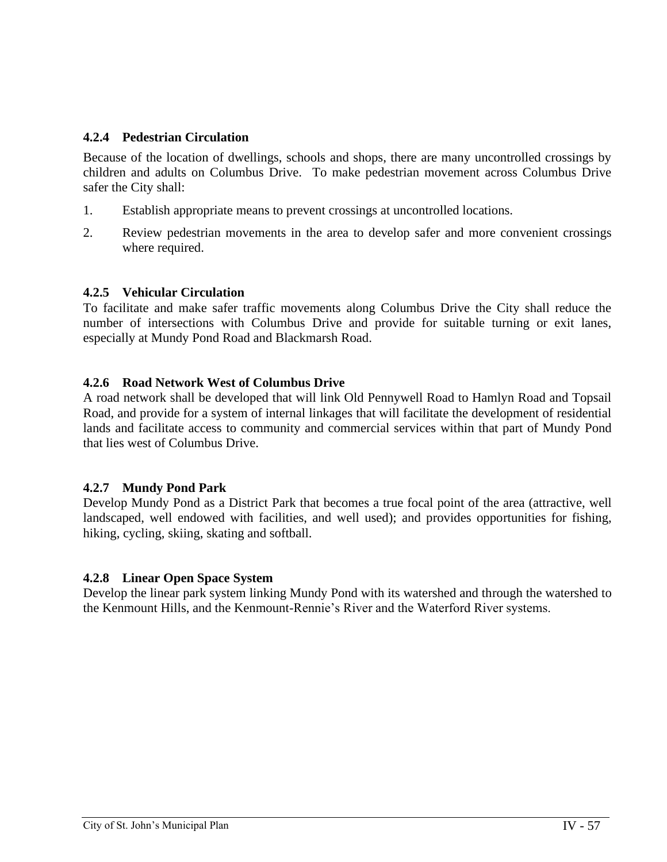# **4.2.4 Pedestrian Circulation**

Because of the location of dwellings, schools and shops, there are many uncontrolled crossings by children and adults on Columbus Drive. To make pedestrian movement across Columbus Drive safer the City shall:

- 1. Establish appropriate means to prevent crossings at uncontrolled locations.
- 2. Review pedestrian movements in the area to develop safer and more convenient crossings where required.

# **4.2.5 Vehicular Circulation**

To facilitate and make safer traffic movements along Columbus Drive the City shall reduce the number of intersections with Columbus Drive and provide for suitable turning or exit lanes, especially at Mundy Pond Road and Blackmarsh Road.

# **4.2.6 Road Network West of Columbus Drive**

A road network shall be developed that will link Old Pennywell Road to Hamlyn Road and Topsail Road, and provide for a system of internal linkages that will facilitate the development of residential lands and facilitate access to community and commercial services within that part of Mundy Pond that lies west of Columbus Drive.

# **4.2.7 Mundy Pond Park**

Develop Mundy Pond as a District Park that becomes a true focal point of the area (attractive, well landscaped, well endowed with facilities, and well used); and provides opportunities for fishing, hiking, cycling, skiing, skating and softball.

#### **4.2.8 Linear Open Space System**

Develop the linear park system linking Mundy Pond with its watershed and through the watershed to the Kenmount Hills, and the Kenmount-Rennie's River and the Waterford River systems.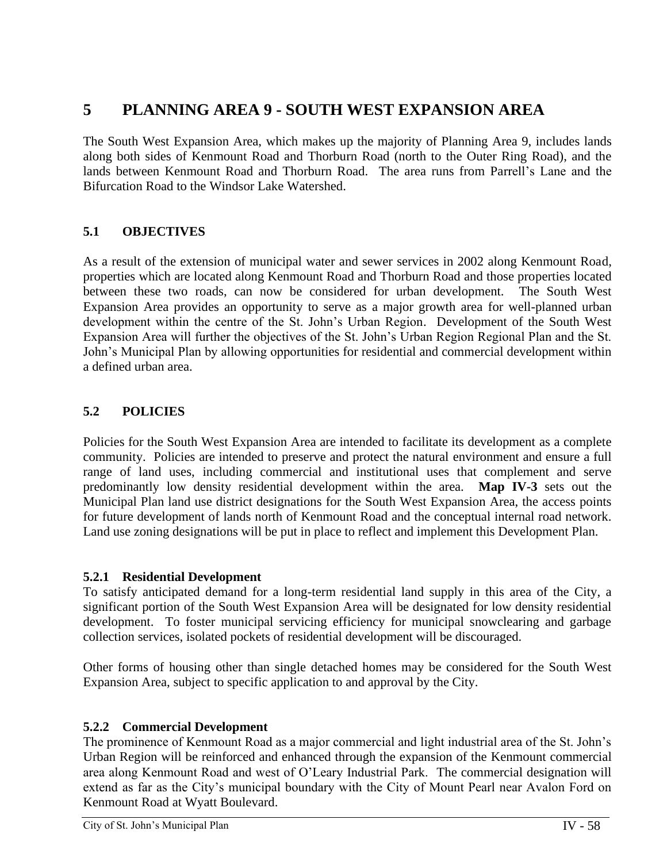# **5 PLANNING AREA 9 - SOUTH WEST EXPANSION AREA**

The South West Expansion Area, which makes up the majority of Planning Area 9, includes lands along both sides of Kenmount Road and Thorburn Road (north to the Outer Ring Road), and the lands between Kenmount Road and Thorburn Road. The area runs from Parrell's Lane and the Bifurcation Road to the Windsor Lake Watershed.

# **5.1 OBJECTIVES**

As a result of the extension of municipal water and sewer services in 2002 along Kenmount Road, properties which are located along Kenmount Road and Thorburn Road and those properties located between these two roads, can now be considered for urban development. The South West Expansion Area provides an opportunity to serve as a major growth area for well-planned urban development within the centre of the St. John's Urban Region. Development of the South West Expansion Area will further the objectives of the St. John's Urban Region Regional Plan and the St. John's Municipal Plan by allowing opportunities for residential and commercial development within a defined urban area.

# **5.2 POLICIES**

Policies for the South West Expansion Area are intended to facilitate its development as a complete community. Policies are intended to preserve and protect the natural environment and ensure a full range of land uses, including commercial and institutional uses that complement and serve predominantly low density residential development within the area. **Map IV-3** sets out the Municipal Plan land use district designations for the South West Expansion Area, the access points for future development of lands north of Kenmount Road and the conceptual internal road network. Land use zoning designations will be put in place to reflect and implement this Development Plan.

# **5.2.1 Residential Development**

To satisfy anticipated demand for a long-term residential land supply in this area of the City, a significant portion of the South West Expansion Area will be designated for low density residential development. To foster municipal servicing efficiency for municipal snowclearing and garbage collection services, isolated pockets of residential development will be discouraged.

Other forms of housing other than single detached homes may be considered for the South West Expansion Area, subject to specific application to and approval by the City.

# **5.2.2 Commercial Development**

The prominence of Kenmount Road as a major commercial and light industrial area of the St. John's Urban Region will be reinforced and enhanced through the expansion of the Kenmount commercial area along Kenmount Road and west of O'Leary Industrial Park. The commercial designation will extend as far as the City's municipal boundary with the City of Mount Pearl near Avalon Ford on Kenmount Road at Wyatt Boulevard.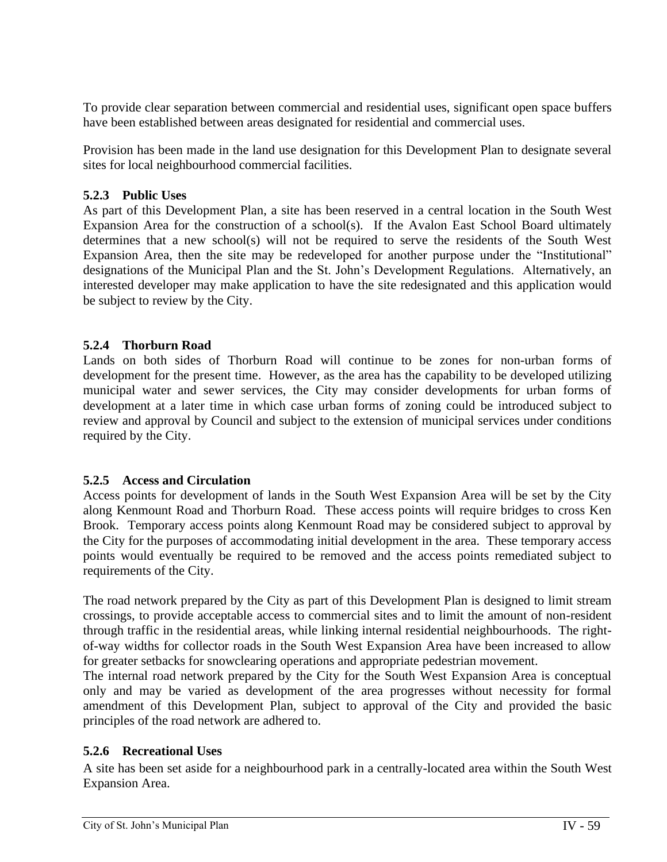To provide clear separation between commercial and residential uses, significant open space buffers have been established between areas designated for residential and commercial uses.

Provision has been made in the land use designation for this Development Plan to designate several sites for local neighbourhood commercial facilities.

# **5.2.3 Public Uses**

As part of this Development Plan, a site has been reserved in a central location in the South West Expansion Area for the construction of a school(s). If the Avalon East School Board ultimately determines that a new school(s) will not be required to serve the residents of the South West Expansion Area, then the site may be redeveloped for another purpose under the "Institutional" designations of the Municipal Plan and the St. John's Development Regulations. Alternatively, an interested developer may make application to have the site redesignated and this application would be subject to review by the City.

# **5.2.4 Thorburn Road**

Lands on both sides of Thorburn Road will continue to be zones for non-urban forms of development for the present time. However, as the area has the capability to be developed utilizing municipal water and sewer services, the City may consider developments for urban forms of development at a later time in which case urban forms of zoning could be introduced subject to review and approval by Council and subject to the extension of municipal services under conditions required by the City.

# **5.2.5 Access and Circulation**

Access points for development of lands in the South West Expansion Area will be set by the City along Kenmount Road and Thorburn Road. These access points will require bridges to cross Ken Brook. Temporary access points along Kenmount Road may be considered subject to approval by the City for the purposes of accommodating initial development in the area. These temporary access points would eventually be required to be removed and the access points remediated subject to requirements of the City.

The road network prepared by the City as part of this Development Plan is designed to limit stream crossings, to provide acceptable access to commercial sites and to limit the amount of non-resident through traffic in the residential areas, while linking internal residential neighbourhoods. The rightof-way widths for collector roads in the South West Expansion Area have been increased to allow for greater setbacks for snowclearing operations and appropriate pedestrian movement.

The internal road network prepared by the City for the South West Expansion Area is conceptual only and may be varied as development of the area progresses without necessity for formal amendment of this Development Plan, subject to approval of the City and provided the basic principles of the road network are adhered to.

# **5.2.6 Recreational Uses**

A site has been set aside for a neighbourhood park in a centrally-located area within the South West Expansion Area.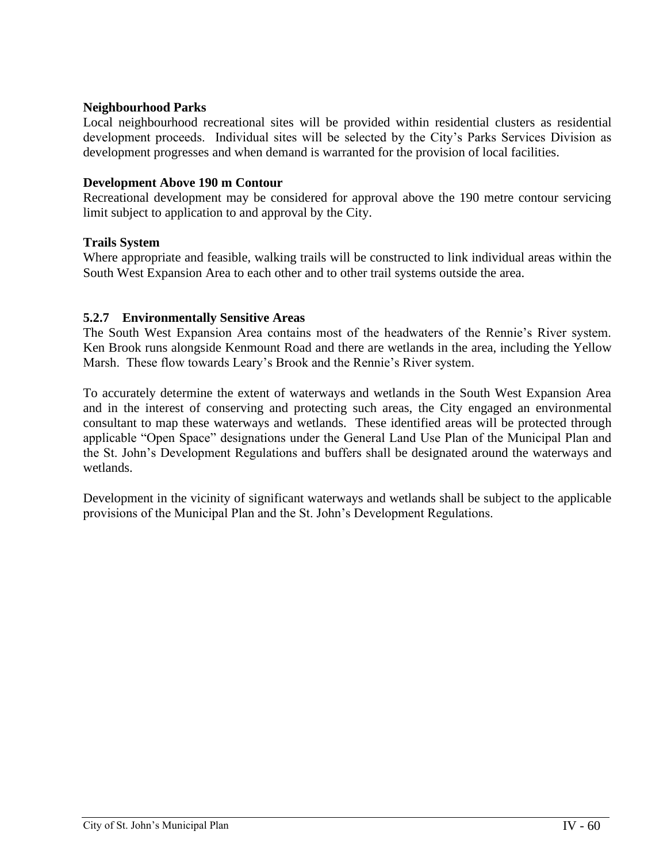# **Neighbourhood Parks**

Local neighbourhood recreational sites will be provided within residential clusters as residential development proceeds. Individual sites will be selected by the City's Parks Services Division as development progresses and when demand is warranted for the provision of local facilities.

# **Development Above 190 m Contour**

Recreational development may be considered for approval above the 190 metre contour servicing limit subject to application to and approval by the City.

# **Trails System**

Where appropriate and feasible, walking trails will be constructed to link individual areas within the South West Expansion Area to each other and to other trail systems outside the area.

# **5.2.7 Environmentally Sensitive Areas**

The South West Expansion Area contains most of the headwaters of the Rennie's River system. Ken Brook runs alongside Kenmount Road and there are wetlands in the area, including the Yellow Marsh. These flow towards Leary's Brook and the Rennie's River system.

To accurately determine the extent of waterways and wetlands in the South West Expansion Area and in the interest of conserving and protecting such areas, the City engaged an environmental consultant to map these waterways and wetlands. These identified areas will be protected through applicable "Open Space" designations under the General Land Use Plan of the Municipal Plan and the St. John's Development Regulations and buffers shall be designated around the waterways and wetlands.

Development in the vicinity of significant waterways and wetlands shall be subject to the applicable provisions of the Municipal Plan and the St. John's Development Regulations.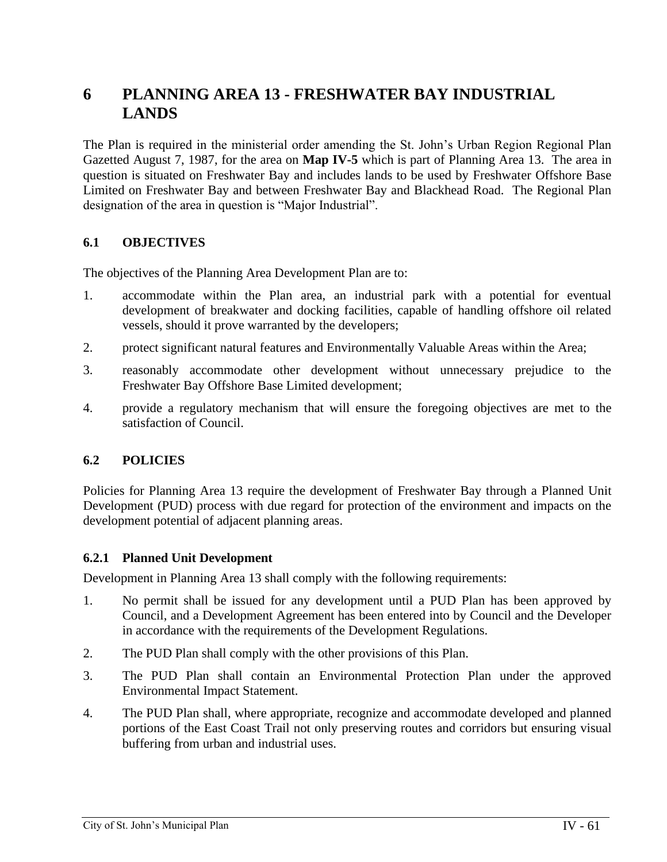# **6 PLANNING AREA 13 - FRESHWATER BAY INDUSTRIAL LANDS**

The Plan is required in the ministerial order amending the St. John's Urban Region Regional Plan Gazetted August 7, 1987, for the area on **Map IV-5** which is part of Planning Area 13. The area in question is situated on Freshwater Bay and includes lands to be used by Freshwater Offshore Base Limited on Freshwater Bay and between Freshwater Bay and Blackhead Road. The Regional Plan designation of the area in question is "Major Industrial".

# **6.1 OBJECTIVES**

The objectives of the Planning Area Development Plan are to:

- 1. accommodate within the Plan area, an industrial park with a potential for eventual development of breakwater and docking facilities, capable of handling offshore oil related vessels, should it prove warranted by the developers;
- 2. protect significant natural features and Environmentally Valuable Areas within the Area;
- 3. reasonably accommodate other development without unnecessary prejudice to the Freshwater Bay Offshore Base Limited development;
- 4. provide a regulatory mechanism that will ensure the foregoing objectives are met to the satisfaction of Council.

# **6.2 POLICIES**

Policies for Planning Area 13 require the development of Freshwater Bay through a Planned Unit Development (PUD) process with due regard for protection of the environment and impacts on the development potential of adjacent planning areas.

#### **6.2.1 Planned Unit Development**

Development in Planning Area 13 shall comply with the following requirements:

- 1. No permit shall be issued for any development until a PUD Plan has been approved by Council, and a Development Agreement has been entered into by Council and the Developer in accordance with the requirements of the Development Regulations.
- 2. The PUD Plan shall comply with the other provisions of this Plan.
- 3. The PUD Plan shall contain an Environmental Protection Plan under the approved Environmental Impact Statement.
- 4. The PUD Plan shall, where appropriate, recognize and accommodate developed and planned portions of the East Coast Trail not only preserving routes and corridors but ensuring visual buffering from urban and industrial uses.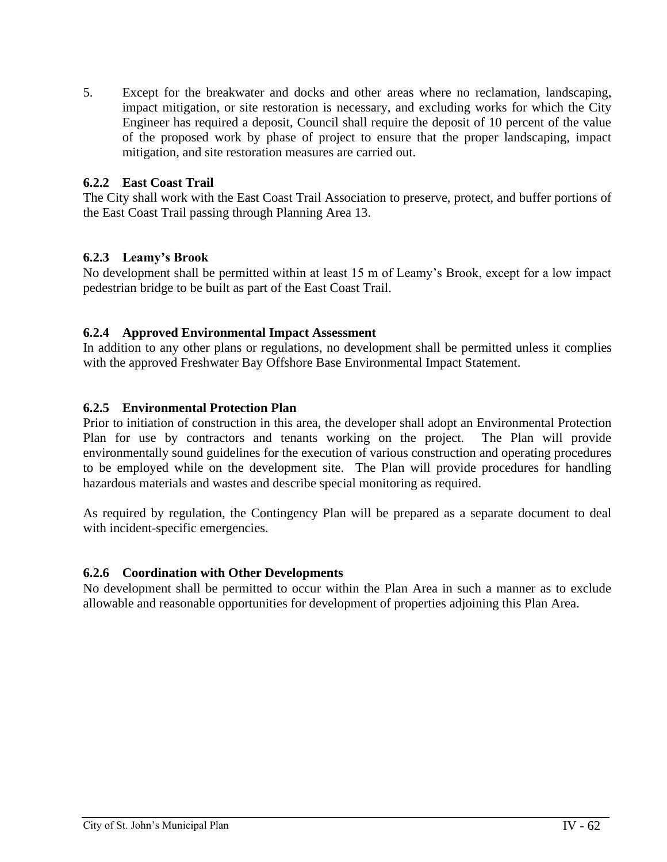5. Except for the breakwater and docks and other areas where no reclamation, landscaping, impact mitigation, or site restoration is necessary, and excluding works for which the City Engineer has required a deposit, Council shall require the deposit of 10 percent of the value of the proposed work by phase of project to ensure that the proper landscaping, impact mitigation, and site restoration measures are carried out.

## **6.2.2 East Coast Trail**

The City shall work with the East Coast Trail Association to preserve, protect, and buffer portions of the East Coast Trail passing through Planning Area 13.

# **6.2.3 Leamy's Brook**

No development shall be permitted within at least 15 m of Leamy's Brook, except for a low impact pedestrian bridge to be built as part of the East Coast Trail.

### **6.2.4 Approved Environmental Impact Assessment**

In addition to any other plans or regulations, no development shall be permitted unless it complies with the approved Freshwater Bay Offshore Base Environmental Impact Statement.

### **6.2.5 Environmental Protection Plan**

Prior to initiation of construction in this area, the developer shall adopt an Environmental Protection Plan for use by contractors and tenants working on the project. The Plan will provide environmentally sound guidelines for the execution of various construction and operating procedures to be employed while on the development site. The Plan will provide procedures for handling hazardous materials and wastes and describe special monitoring as required.

As required by regulation, the Contingency Plan will be prepared as a separate document to deal with incident-specific emergencies.

#### **6.2.6 Coordination with Other Developments**

No development shall be permitted to occur within the Plan Area in such a manner as to exclude allowable and reasonable opportunities for development of properties adjoining this Plan Area.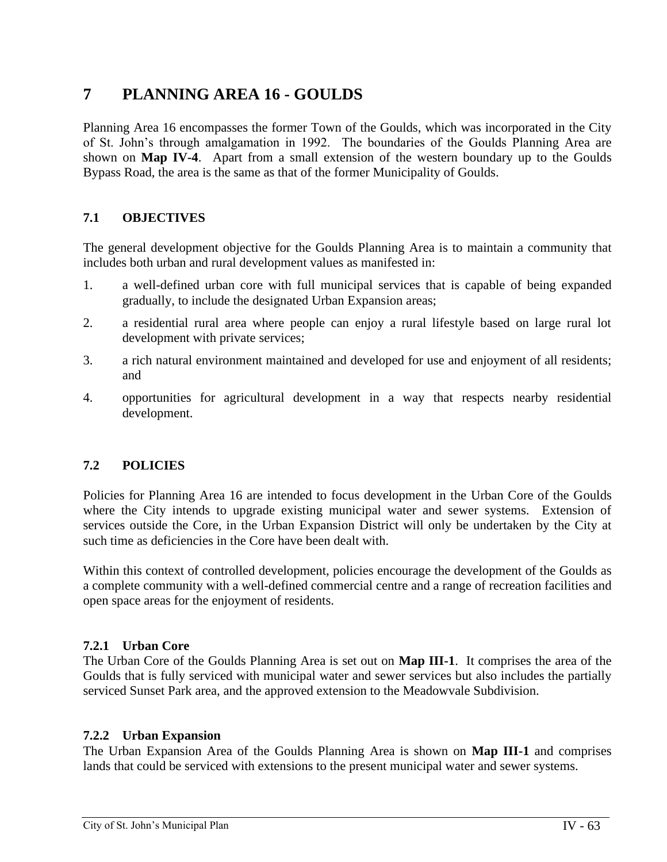# **7 PLANNING AREA 16 - GOULDS**

Planning Area 16 encompasses the former Town of the Goulds, which was incorporated in the City of St. John's through amalgamation in 1992. The boundaries of the Goulds Planning Area are shown on **Map IV-4**. Apart from a small extension of the western boundary up to the Goulds Bypass Road, the area is the same as that of the former Municipality of Goulds.

# **7.1 OBJECTIVES**

The general development objective for the Goulds Planning Area is to maintain a community that includes both urban and rural development values as manifested in:

- 1. a well-defined urban core with full municipal services that is capable of being expanded gradually, to include the designated Urban Expansion areas;
- 2. a residential rural area where people can enjoy a rural lifestyle based on large rural lot development with private services;
- 3. a rich natural environment maintained and developed for use and enjoyment of all residents; and
- 4. opportunities for agricultural development in a way that respects nearby residential development.

# **7.2 POLICIES**

Policies for Planning Area 16 are intended to focus development in the Urban Core of the Goulds where the City intends to upgrade existing municipal water and sewer systems. Extension of services outside the Core, in the Urban Expansion District will only be undertaken by the City at such time as deficiencies in the Core have been dealt with.

Within this context of controlled development, policies encourage the development of the Goulds as a complete community with a well-defined commercial centre and a range of recreation facilities and open space areas for the enjoyment of residents.

# **7.2.1 Urban Core**

The Urban Core of the Goulds Planning Area is set out on **Map III-1**. It comprises the area of the Goulds that is fully serviced with municipal water and sewer services but also includes the partially serviced Sunset Park area, and the approved extension to the Meadowvale Subdivision.

# **7.2.2 Urban Expansion**

The Urban Expansion Area of the Goulds Planning Area is shown on **Map III-1** and comprises lands that could be serviced with extensions to the present municipal water and sewer systems.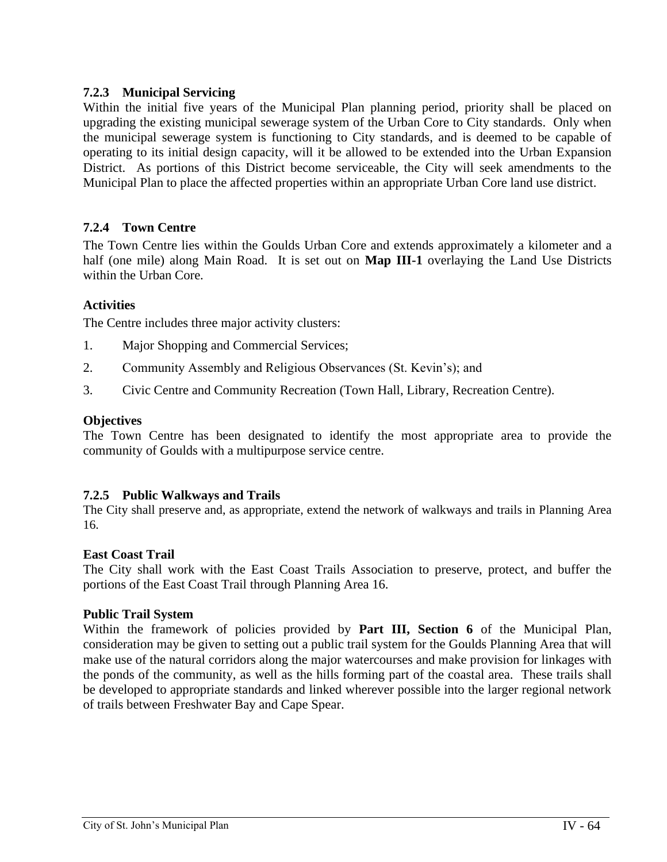# **7.2.3 Municipal Servicing**

Within the initial five years of the Municipal Plan planning period, priority shall be placed on upgrading the existing municipal sewerage system of the Urban Core to City standards. Only when the municipal sewerage system is functioning to City standards, and is deemed to be capable of operating to its initial design capacity, will it be allowed to be extended into the Urban Expansion District. As portions of this District become serviceable, the City will seek amendments to the Municipal Plan to place the affected properties within an appropriate Urban Core land use district.

# **7.2.4 Town Centre**

The Town Centre lies within the Goulds Urban Core and extends approximately a kilometer and a half (one mile) along Main Road. It is set out on **Map III-1** overlaying the Land Use Districts within the Urban Core.

# **Activities**

The Centre includes three major activity clusters:

- 1. Major Shopping and Commercial Services;
- 2. Community Assembly and Religious Observances (St. Kevin's); and
- 3. Civic Centre and Community Recreation (Town Hall, Library, Recreation Centre).

### **Objectives**

The Town Centre has been designated to identify the most appropriate area to provide the community of Goulds with a multipurpose service centre.

# **7.2.5 Public Walkways and Trails**

The City shall preserve and, as appropriate, extend the network of walkways and trails in Planning Area 16.

#### **East Coast Trail**

The City shall work with the East Coast Trails Association to preserve, protect, and buffer the portions of the East Coast Trail through Planning Area 16.

#### **Public Trail System**

Within the framework of policies provided by **Part III, Section 6** of the Municipal Plan, consideration may be given to setting out a public trail system for the Goulds Planning Area that will make use of the natural corridors along the major watercourses and make provision for linkages with the ponds of the community, as well as the hills forming part of the coastal area. These trails shall be developed to appropriate standards and linked wherever possible into the larger regional network of trails between Freshwater Bay and Cape Spear.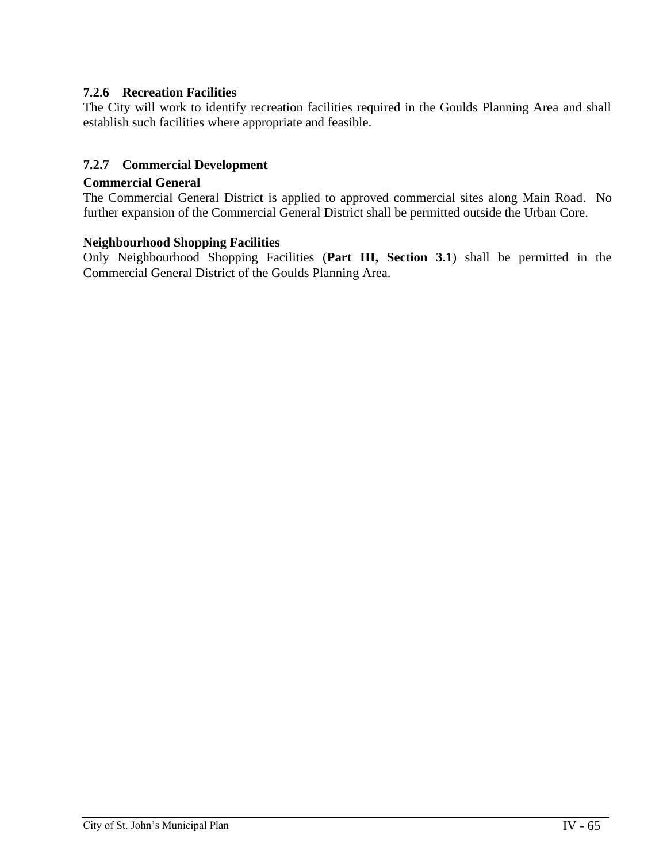# **7.2.6 Recreation Facilities**

The City will work to identify recreation facilities required in the Goulds Planning Area and shall establish such facilities where appropriate and feasible.

# **7.2.7 Commercial Development**

#### **Commercial General**

The Commercial General District is applied to approved commercial sites along Main Road. No further expansion of the Commercial General District shall be permitted outside the Urban Core.

#### **Neighbourhood Shopping Facilities**

Only Neighbourhood Shopping Facilities (**Part III, Section 3.1**) shall be permitted in the Commercial General District of the Goulds Planning Area.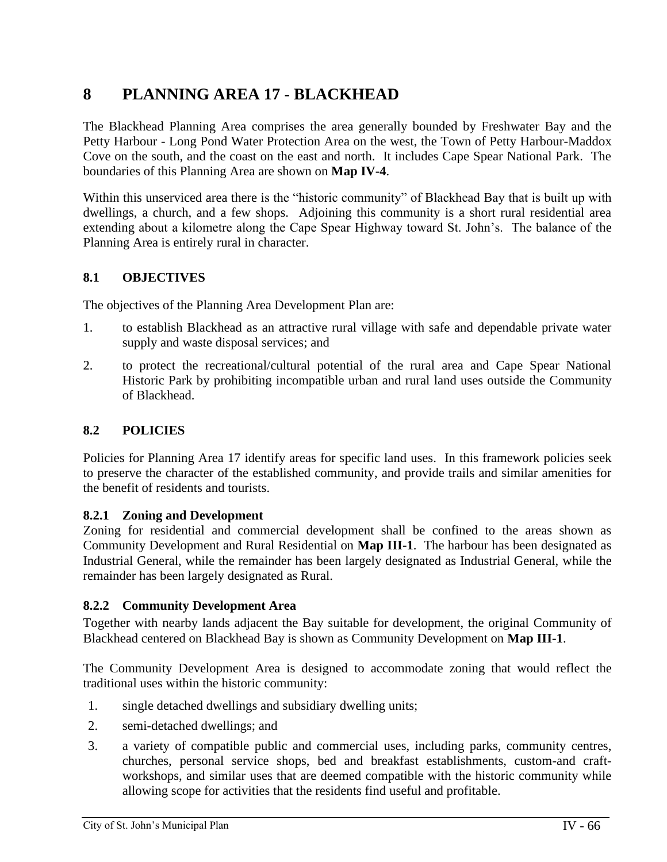# **8 PLANNING AREA 17 - BLACKHEAD**

The Blackhead Planning Area comprises the area generally bounded by Freshwater Bay and the Petty Harbour - Long Pond Water Protection Area on the west, the Town of Petty Harbour-Maddox Cove on the south, and the coast on the east and north. It includes Cape Spear National Park. The boundaries of this Planning Area are shown on **Map IV-4**.

Within this unserviced area there is the "historic community" of Blackhead Bay that is built up with dwellings, a church, and a few shops. Adjoining this community is a short rural residential area extending about a kilometre along the Cape Spear Highway toward St. John's. The balance of the Planning Area is entirely rural in character.

# **8.1 OBJECTIVES**

The objectives of the Planning Area Development Plan are:

- 1. to establish Blackhead as an attractive rural village with safe and dependable private water supply and waste disposal services; and
- 2. to protect the recreational/cultural potential of the rural area and Cape Spear National Historic Park by prohibiting incompatible urban and rural land uses outside the Community of Blackhead.

# **8.2 POLICIES**

Policies for Planning Area 17 identify areas for specific land uses. In this framework policies seek to preserve the character of the established community, and provide trails and similar amenities for the benefit of residents and tourists.

#### **8.2.1 Zoning and Development**

Zoning for residential and commercial development shall be confined to the areas shown as Community Development and Rural Residential on **Map III-1**. The harbour has been designated as Industrial General, while the remainder has been largely designated as Industrial General, while the remainder has been largely designated as Rural.

#### **8.2.2 Community Development Area**

Together with nearby lands adjacent the Bay suitable for development, the original Community of Blackhead centered on Blackhead Bay is shown as Community Development on **Map III-1**.

The Community Development Area is designed to accommodate zoning that would reflect the traditional uses within the historic community:

- 1. single detached dwellings and subsidiary dwelling units;
- 2. semi-detached dwellings; and
- 3. a variety of compatible public and commercial uses, including parks, community centres, churches, personal service shops, bed and breakfast establishments, custom-and craftworkshops, and similar uses that are deemed compatible with the historic community while allowing scope for activities that the residents find useful and profitable.